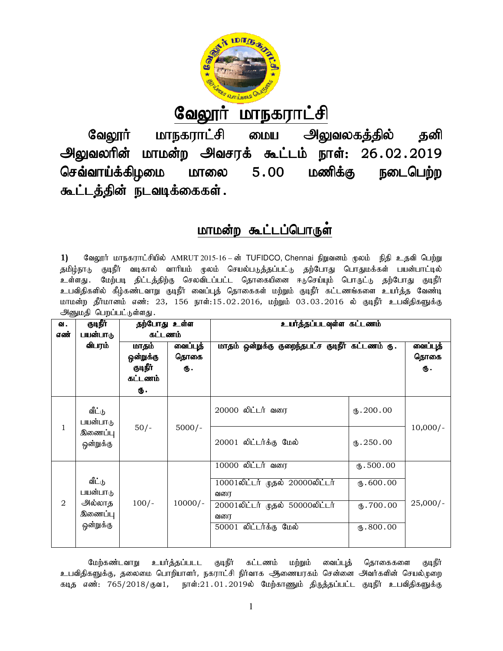

# <u>வேலூர் மாநகராட்சி</u>

வேலூர் மாநகராட்சி மைய அலுவலகத்தில் தனி அலுவலரின் மாமன்ற அவசரக் கூட்டம் நாள்: 26 செவ்வாய்க்கிழமை மாலை கூட்டத்தின் நடவடிக்கைகள்.  $5.00$  Lo $\omega$ amang Estados Karl Song and Tagos Karl Song and Tagos Karl Song and Tagos Karl Song and Tagos Karl Song and Tagos Karl Song and Tagos Karl Song and Tagos Karl Song and Tagos Karl Song and Tagos Karl Song and நடைபெற்ற

# <u>மாமன்ற கூட்டப்பொருள்</u>

|                                                                                                                                                                                           |                                                |                           |           | வேலூர் மாநகராட்சி மைய அலுவலகத்தில் தனி                                                                                                                                                     |                          |            |  |  |  |  |
|-------------------------------------------------------------------------------------------------------------------------------------------------------------------------------------------|------------------------------------------------|---------------------------|-----------|--------------------------------------------------------------------------------------------------------------------------------------------------------------------------------------------|--------------------------|------------|--|--|--|--|
|                                                                                                                                                                                           |                                                |                           |           | அலுவலரின் மாமன்ற அவசரக் கூட்டம் நாள்: 26.02.2019                                                                                                                                           |                          |            |  |  |  |  |
|                                                                                                                                                                                           | செவ்வாய்க்கிழமை மாலை 5 .00<br>மணிக்கு நடைபெற்ற |                           |           |                                                                                                                                                                                            |                          |            |  |  |  |  |
|                                                                                                                                                                                           |                                                |                           |           |                                                                                                                                                                                            |                          |            |  |  |  |  |
|                                                                                                                                                                                           |                                                | கூட்டத்தின் நடவடிக்கைகள். |           |                                                                                                                                                                                            |                          |            |  |  |  |  |
|                                                                                                                                                                                           |                                                |                           |           |                                                                                                                                                                                            |                          |            |  |  |  |  |
| மாமன்ற கூட்டப்பொருள                                                                                                                                                                       |                                                |                           |           |                                                                                                                                                                                            |                          |            |  |  |  |  |
|                                                                                                                                                                                           |                                                |                           |           |                                                                                                                                                                                            |                          |            |  |  |  |  |
| 1)                                                                                                                                                                                        |                                                |                           |           | வேலூர் மாநகராட்சியில் AMRUT 2015-16 – ன் TUFIDCO, Chennai நிறுவனம் முலம்  நிதி உதவி பெற்று                                                                                                 |                          |            |  |  |  |  |
|                                                                                                                                                                                           |                                                |                           |           | தமிழ்நாடு குடிநீர் வடிகால் வாரியம் முலம் செயல்படுத்தப்பட்டு தற்போது பொதுமக்கள் பயன்பாட்டில்                                                                                                |                          |            |  |  |  |  |
|                                                                                                                                                                                           |                                                |                           |           | உள்ளது. மேற்படி திட்டத்திற்கு செலவிடப்பட்ட தொகையினை ஈடுசெய்யும் பொருட்டு தற்போது குடிநீர்<br>உபவிதிகளில் கீழ்கண்டவாறு குடிநீர் வைப்புத் தொகைகள் மற்றும் குடிநீர் கட்டணங்களை உயர்த்த வேண்டி |                          |            |  |  |  |  |
|                                                                                                                                                                                           |                                                |                           |           | மாமன்ற தீர்மானம் எண்: 23, 156 நாள்:15.02.2016, மற்றும் 03.03.2016 ல் குடிநீர் உபவிதிகளுக்கு                                                                                                |                          |            |  |  |  |  |
|                                                                                                                                                                                           | அனுமதி பெறப்பட்டுள்ளது.                        |                           |           |                                                                                                                                                                                            |                          |            |  |  |  |  |
| ഖ.<br>எண்                                                                                                                                                                                 | குடிநீர்<br>பயன்பாடு                           | தற்போது உள்ள<br>கட்டணம்   |           | உயர்த்தப்படவுள்ள கட்டணம்                                                                                                                                                                   |                          |            |  |  |  |  |
|                                                                                                                                                                                           | விபரம்                                         | மாதம்                     | வைப்புத்  | மாதம் ஒன்றுக்கு குறைந்தபட்ச குடிநீர் கட்டணம் ரு.                                                                                                                                           |                          | வைப்புத்   |  |  |  |  |
|                                                                                                                                                                                           |                                                | ஒன்றுக்கு                 | தொகை      |                                                                                                                                                                                            |                          | தொகை       |  |  |  |  |
|                                                                                                                                                                                           |                                                | குடிநீர்<br>கட்டணம்       | Ф.        |                                                                                                                                                                                            |                          | ரு.        |  |  |  |  |
|                                                                                                                                                                                           |                                                | Ф.                        |           |                                                                                                                                                                                            |                          |            |  |  |  |  |
|                                                                                                                                                                                           | வீட்டு                                         |                           |           | 20000 லிட்டர் வரை                                                                                                                                                                          | $\times$ .200.00         |            |  |  |  |  |
|                                                                                                                                                                                           | பயன்பாடு                                       |                           |           |                                                                                                                                                                                            |                          |            |  |  |  |  |
| $\mathbf{1}$                                                                                                                                                                              | இணைப்பு                                        | $50/-$                    | $5000/-$  |                                                                                                                                                                                            |                          | $10,000/-$ |  |  |  |  |
|                                                                                                                                                                                           | ஒன்றுக்கு                                      |                           |           | 20001 லிட்டர்க்கு மேல்                                                                                                                                                                     | $\times 250.00$          |            |  |  |  |  |
|                                                                                                                                                                                           |                                                |                           |           | 10000 லிட்டர் வரை                                                                                                                                                                          | $\overline{w.500.00}$    |            |  |  |  |  |
|                                                                                                                                                                                           | வீட்டு                                         |                           |           | 10001லிட்டர் முதல் 20000லிட்டர்                                                                                                                                                            | $\mathbf{t}$ .600.00     |            |  |  |  |  |
|                                                                                                                                                                                           | பயன்பாடு                                       |                           |           | வரை                                                                                                                                                                                        |                          |            |  |  |  |  |
| 2                                                                                                                                                                                         | அல்லாத<br>இணைப்பு                              | $100/-$                   | $10000/-$ | 20001லிட்டர் முதல் 50000லிட்டர்                                                                                                                                                            | $\overline{10}$ . 700.00 | $25,000/-$ |  |  |  |  |
|                                                                                                                                                                                           | ஒன்றுக்கு                                      |                           |           | வரை<br>50001 லிட்டர்க்கு மேல்                                                                                                                                                              | $\overline{w.800.00}$    |            |  |  |  |  |
|                                                                                                                                                                                           |                                                |                           |           |                                                                                                                                                                                            |                          |            |  |  |  |  |
|                                                                                                                                                                                           |                                                |                           |           |                                                                                                                                                                                            |                          |            |  |  |  |  |
| மேற்கண்டவாறு<br>உயர்த்தப்படட<br>குடிநீர்<br>கட்டணம்<br>மற்றும்<br>வைப்புத்<br>தொகைகளை<br>குடிநீர்<br>உபவிதிகளுக்கு, தலைமை பொறியாளர், நகராட்சி நிர்வாக ஆணையரகம் சென்னை அவர்களின் செயல்முறை |                                                |                           |           |                                                                                                                                                                                            |                          |            |  |  |  |  |
|                                                                                                                                                                                           |                                                |                           |           |                                                                                                                                                                                            |                          |            |  |  |  |  |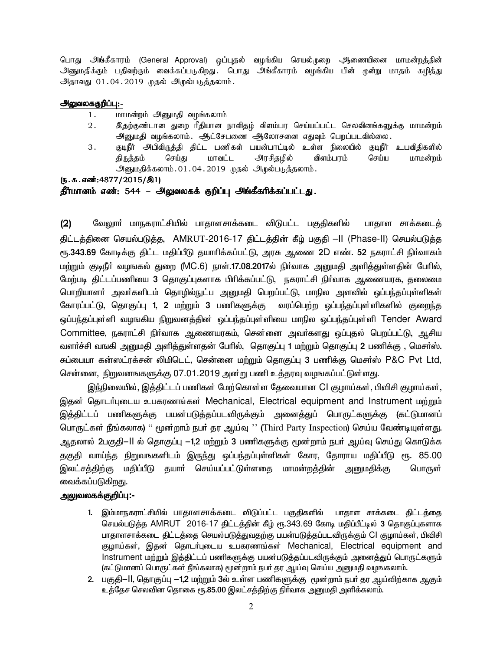பொது அங்கீகாரம் (General Approval) ஒப்புதல் வழங்கிய செயல்முறை ஆணையினை மாமன்றத்தின் அனுமதிக்கும் பதிவற்கும் வைக்கப்படுகிறது. பொது அங்கீகாரம் வழங்கிய பின் முன்று மாதம் கழித்து அதாவது 01.04.2019 முதல் அழுல்படுத்தலாம்.

### அலுவலககுறிப்பு:-

- 1. மாமன்றம் அனுமதி வழங்கலாம்
- 2. njw;Fz;lhd Jiw hPjpahd ehspjH; tpsk;gu bra;ag;gl;l brytpdA;fSf;F khkd;wk; அனுமதி வழங்கலாம். அட்சேபணை ஆலோசனை எதுவும் பெறப்படவில்லை.
- 3. FoePh; mgptpUj;jp jpl;l gzpfs; gad;ghl;oy; cs;s epiyapy; FoePh; cgtpjpfspy; திருத்தம் செய்து மாவட்ட அரசிதழில் விளம்பரம் செய்ய மாமன்றம் அனுமதிக்கலாம்.01.04.2019 முதல் அழல்படுத்தலாம்.

 $(5.5.5.5\cdot\frac{1000(15/81)}{2015/81})$ 

#### தீர்மானம் எண்: 544 – அலுவலகக் குறிப்பு அங்கீகரிக்கப்பட்டது.

(2) மேலுார் மாநகராட்சியில் பாதாளசாக்கடை விடுபட்ட பகுதிகளில் பாதாள சாக்கடைத் திட்டத்தினை செயல்படுத்த, AMRUT-2016-17 திட்டத்தின் கீழ் பகுதி –II (Phase-II) செயல்படுத்த ரூ.343.69 கோடிக்கு திட்ட மதிப்பீடு தயாாிக்கப்பட்டு, அரசு ஆணை 2D எண். 52 நகராட்சி நிா்வாகம் மற்றும் குடிநீர் வழஙகல் துறை (MC.6) நாள்.17.08.2017ல் நிர்வாக அனுமதி அளித்துள்ளதின் பேரில், மேற்படி திட்டப்பணியை 3 தொகுப்புகளாக பிரிக்கப்பட்டு, நகராட்சி நிர்வாக ஆணையரக, தலைமை பொறியாளா் அவா்களிடம் தொழில்நுட்ப அனுமதி பெறப்பட்டு, மாநில அளவில் ஒப்பந்தப்புள்ளிகள் கோரப்பட்டு, தொகுப்பு 1, 2 மற்றும் 3 பணிகளுக்கு வரப்பெற்ற ஒப்பந்தப்புள்ளிகளில் குறைந்த ஒப்பந்தப்புள்ளி வழஙகிய நிறுவனத்தின் ஒப்பந்தப்புள்ளியை மாநில ஒப்பந்தப்புள்ளி Tender Award Committee, நகராட்சி நிர்வாக ஆணையரகம், சென்னை அவர்களது ஒப்புதல் பெறப்பட்டு, ஆசிய வளர்ச்சி வஙகி அனுமதி அளித்துள்ளதன் பேரில், தொகுப்பு 1 மற்றும் தொகுப்பு 2 பணிக்கு , மெசர்ஸ். சுப்பையா கன்ஸட்ரக்சன் லிமிடெட், சென்னை மற்றும் தொகுப்பு 3 பணிக்கு மெசர்ஸ் P&C Pvt Ltd, சென்னை, நிறுவனஙகளுக்கு 07.01.2019 அன்று பணி உத்தரவு வழஙகப்பட்டுள்ளது.

இந்நிலையில், இத்திட்டப் பணிகள் மேற்கொள்ள தேவையான CI குழாய்கள், பிவிசி குழாய்கள், இதன் தொடர்புடைய உபகரணங்கள் Mechanical, Electrical equipment and Instrument மற்றும் இத்திட்டப் பணிகளுக்கு பயன்படுத்தப்படவிருக்கும் அனைத்துப் பொருட்களுக்கு (கட்டுமானப் பொருட்கள் நீங்கலாக) '' மூன்றாம் நபா் தர ஆய்வு '' (Third Party Inspection) செய்ய வேண்டியுள்ளது. ஆதலால் 2பகுதி–II ல் தொகுப்பு −1,2 மற்றும் 3 பணிகளுக்கு மூன்றாம் நபர் ஆய்வு செய்து கொடுக்க தகுதி வாய்ந்த நிறுவஙகளிடம் இருந்து ஒப்பந்தப்புள்ளிகள் கோர, தோராய மதிப்பீடு ரூ. 85.00 இலட்சத்திற்கு மதிப்பீடு தயாா் செய்யப்பட்டுள்ளதை மாமன்றத்தின் அனுமதிக்கு பொருள் வைக்கப்படுகிற<u>த</u>ு.

## <u>அலுவலகக்குறிப்பு:-</u>

- 1. இம்மாநகராட்சியில் பாதாளசாக்கடை விடுப்பட்ட பகுதிகளில் பாதாள சாக்கடை திட்டத்தை செயல்படுத்த AMRUT 2016-17 திட்டத்தின் கீழ் ரூ.343.69 கோடி மதிப்பீட்டில் 3 தொகுப்புகளாக பாதாளசாக்கடை திட்டத்தை செயல்படுத்துவதற்கு பயன்படுத்தப்படவிருக்கும் Cl குழாய்கள், பிவிசி சூழாய்கள், இதன் தொடர்புடைய உபகரணங்கள் Mechanical, Electrical equipment and Instrument மற்றும் இத்திட்டப் பணிகளுக்கு பயன்படுத்தப்படவிருக்கும் அனைத்துப் பொருட்களும் (கட்டுமானப் பொருட்கள் நீங்கலாக) மூன்றாம் நபர் தர ஆய்வு செய்ய அனுமதி வழஙகலாம்.
- 2. பகுதி−II, தொகுப்பு −1,2 மற்றும் 3ல் உள்ள பணிகளுக்கு மூன்றாம் நபர் தர ஆய்விற்காக ஆகும் உத்தேச செலவின தொகை ரூ.85.00 இலட்சத்திற்கு நிர்வாக அனுமதி அளிக்கலாம்.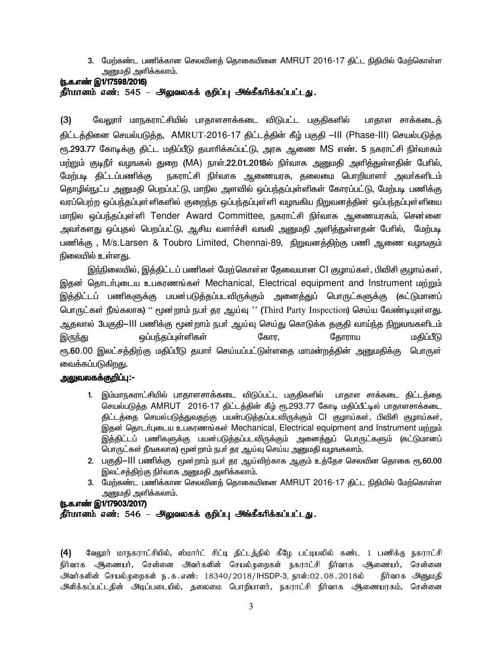3. மேற்கண்ட பணிக்கான செலவினத் தொகையினை  $AMRUT$  2016-17 திட்ட நிதியில் மேற்கொள்ள அனுமதி அளிக்கலாம்.

#### (ந.க.எண் இ1/17598/2016) தீர்மானம் எண்: 545 – அலுவலகக் குறிப்பு அங்கீகரிக்கப்பட்டது.

(3) வேலுாா் மாநகராட்சியில் பாதாளசாக்கடை விடுபட்ட பகுதிகளில் பாதாள சாக்கடைத் திட்டத்தினை செயல்படுத்த, AMRUT-2016-17 திட்டத்தின் கீழ் பகுதி –III (Phase-III) செயல்படுத்த ரூ.293.77 கோடிக்கு திட்ட மதிப்பீடு தயாாிக்கப்பட்டு, அரசு ஆணை MS எண். 5 நகராட்சி நிா்வாகம் மற்றும் குடிநீர் வழஙகல் துறை (MA) நாள்.22.01..2018ல் நிர்வாக அனுமதி அளித்துள்ளதின் பேரில், மேற்படி திட்டப்பணிக்கு நகராட்சி நிர்வாக ஆணையரக, தலைமை பொறியாளர் அவர்களிடம் தொழில்நுட்ப அனுமதி பெறப்பட்டு, மாநில அளவில் ஒப்பந்தப்புள்ளிகள் கோரப்பட்டு, மேற்படி பணிக்கு வரப்பெற்ற ஒப்பந்தப்புள்ளிகளில் குறைந்த ஒப்பந்தப்புள்ளி வழஙகிய நிறுவனத்தின் ஒப்பந்தப்புள்ளியை மாநில ஒப்பந்தப்புள்ளி Tender Award Committee, நகராட்சி நிர்வாக ஆணையரகம், சென்னை அவா்களது ஒப்புதல் பெறப்பட்டு, ஆசிய வளா்ச்சி வஙகி அனுமதி அளித்துள்ளதன் போில், மேற்படி பணிக்கு, M/s.Larsen & Toubro Limited, Chennai-89, நிறுவனத்திற்கு பணி ஆணை வழஙகும் நிலையில் உள்ள<u>த</u>ு.

இந்நிலையில், இத்திட்டப் பணிகள் மேற்கொள்ள தேவையான Cl குழாய்கள், பிவிசி குழாய்கள், இதன் தொடர்புடைய உபகரணங்கள் Mechanical, Electrical equipment and Instrument மற்றும் இத்திட்டப் பணிகளுக்கு பயன்படுத்தப்படவிருக்கும் அனைத்துப் பொருட்களுக்கு (கட்டுமானப் பொருட்கள் நீங்கலாக) '' மூன்றாம் நபா் தர ஆய்வு '' (Third Party Inspection) செய்ய வேண்டியுள்ளது. அதலால் 3பகுதி−III பணிக்கு மூன்றாம் நபா் ஆய்வு செய்து கொடுக்க தகுதி வாய்ந்த நிறுவஙகளிடம் ÏUªJ x¥gªj¥òŸëfŸ nfhu, njhuha kÂ¥ÕL ரூ.**60**.00 இலட்சத்திற்கு மதிப்பீடு தயாா் செய்யப்பட்டுள்ளதை மாமன்றத்தின் அனுமதிக்கு பொருள் வைக்கப்படுகிறது.

## <u>அலுவலகக்குறிப்பு:-</u>

- 1. இம்மாநகராட்சியில் பாதாளசாக்கடை விடுப்பட்ட பகுதிகளில் பாதாள சாக்கடை திட்டத்தை செயல்படுத்த AMRUT 2016-17 திட்டத்தின் கீழ் ரூ.293.77 கோடி மதிப்பீட்டில் பாதாளசாக்கடை திட்டத்தை செயல்படுத்துவதற்கு பயன்படுத்தப்படவிருக்கும் Cl குழாய்கள், பிவிசி குழாய்கள், இதன் தொடர்புடைய உபகரணங்கள் Mechanical, Electrical equipment and Instrument மற்றும் <u>இத்தி</u>ட்டப் பணிகளுக்கு பயன்படுத்தப்படவிருக்கும் அனைத்துப் பொருட்களும் (கட்டுமானப் பொருட்கள் நீஙகலாக) மூன்றாம் நபர் தர ஆய்வு செய்ய அனுமதி வழஙகலாம்.
- 2. பகுதி—III பணிக்கு மூன்றாம் நபர் தர ஆய்விற்காக ஆகும் உத்தேச செலவின தொகை ரூ.60.00 இலட்சத்திற்கு நிர்வாக அனுமதி அளிக்கலாம்.
- 3. மேற்கண்ட பணிக்கான செலவினத் தொகையினை AMRUT 2016-17 திட்ட நிதியில் மேற்கொள்ள அனுமதி அளிக்கலாம்.

## (ந.க.எண் இ1/17903/2017) தீர்மானம் எண்: 546 – அலுவலகக் குறிப்பு அங்கீகரிக்கப்பட்டது.

 $(4)$  வேலூர் மாநகராட்சியில், ஸ்மார்ட் சிட்டி திட்டத்தில் கீழே பட்டியலில் கண்ட 1 பணிக்கு நகராட்சி நிர்வாக ஆணையர், சென்னை அவர்களின் செயல்முறைகள் நகராட்சி நிர்வாக ஆணையர், சென்னை அவர்களின் செயல்முறைகள் ந.க.எண்: 18340/2018/IHSDP-3, நாள்:02.08.2018ல் நிர்வாக அனுமதி அளிக்கப்பட்டதின் அடிப்படையில், தலைமை பொறியாளர், நகராட்சி நிர்வாக ஆணையரகம், சென்னை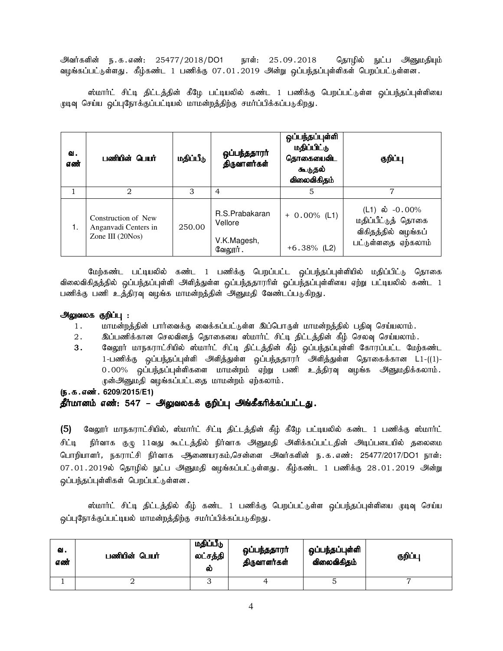அவர்களின் ந.க.எண்: 25477/2018/DO1 நாள்: 25.09.2018 தொழில் நுட்ப அனுமதியும் வழங்கப்பட்டுள்ளது . கீழ்கண்ட 1 பணிக்கு 07.01.2019 அன்று ஒப்பந்தப்புள்ளிகள் பெறப்பட்டுள்ளன .

ஸ்மார்ட் சிட்டி திட்டத்தின் கீழே பட்டியலில் கண்ட 1 பணிக்கு பெறப்பட்டுள்ள ஒப்பந்தப்புள்ளியை முடிவு செய்ய ஒப்புநோக்குப்பட்டியல் மாமன்றத்திற்கு சமர்ப்பிக்கப்படுகிறது.

| வ.<br>எண் | பணியின் பெயர்                                                     | மதிப்பீடு | ஒப்பந்ததாரா்<br>திருவாளர்கள்                         | ஒப்பந்தப்புள்ளி<br>மதிப்பிட்டு<br>தொகையைவிட<br>கூடுதல்<br>விலைவிகிதம் | குறிப்பு                                                                              |
|-----------|-------------------------------------------------------------------|-----------|------------------------------------------------------|-----------------------------------------------------------------------|---------------------------------------------------------------------------------------|
|           | $\mathfrak{D}_{\mathfrak{p}}$                                     | 3         | 4                                                    | 5                                                                     |                                                                                       |
| 1.        | Construction of New<br>Anganyadi Centers in<br>Zone III $(20Nos)$ | 250.00    | R.S.Prabakaran<br>Vellore<br>V.K.Magesh,<br>வேலூர் . | $+ 0.00\%$ (L1)<br>$+6.38\%$ (L2)                                     | (L1) ல் $-0.00\%$<br>மதிப்பீட்டுத் தொகை<br>விகிதத்தில் வழங்கப்<br>பட்டுள்ளதை ஏற்கலாம் |

மேற்கண்ட பட்டியலில் கண்ட 1 பணிக்கு பெறப்பட்ட ஒப்பந்தப்புள்ளியில் மதிப்பிட்டு தொகை விலைவிகிதத்தில் ஒப்பந்தப்புள்ளி அளித்துள்ள ஒப்பந்ததாரரிள் ஓப்பந்தப்புள்ளியை ஏற்று பட்டியலில் கண்ட 1 பணிக்கு பணி உத்திரவு வழங்க மாமன்றத்தின் அனுமதி வேண்டப்படுகிறது.

#### அலுவலக குறிப்பு :

- 1. khr மன்றத்தின் பார்வைக்கு வைக்கப்பட்டுள்ள இப்பொருள் மாமன்றத்தில் பதிவு செய்யலாம்.
- 2 . இப்பணிக்கான செலவினத் தொகையை ஸ்மார்ட் சிட்டி திட்டத்தின் கீழ் செலவு செய்யலாம் .
- 3. கேலூர் மாநகராட்சியில் ஸ்மார்ட் சிட்டி திட்டத்தின் கீழ் ஒப்பந்தப்புள்ளி கோரப்பட்ட மேற்கண்ட 1-பணிக்கு ஒப்பந்தப்புள்ளி அிித்துள்ள ஒப்பந்ததாரர் அிித்துள்ள தொகைக்கான L1-((1)- $0.00\%$  ஒப்பந்தப்புள்ளிகளை மாமன்றம் ஏற்று பணி உத்திரவு வழங்க அனுமதிக்கலாம். முன்அனுமதி வழங்கப்பட்டதை மாமன்றம் ஏற்கலாம்.

(ந.க.எண். 6209/2015/E1)

#### தீர்மானம் எண்: 547 – அலுவலகக் குறிப்பு அங்கீகரிக்கப்பட்டது.

(5) வேலூர் மாநகராட்சியில், ஸ்மார்ட் சிட்டி திட்டத்தின் கீழ் கீழே பட்டியலில் கண்ட 1 பணிக்கு ஸ்மார்ட் சிட்டி நிர்வாக குழு 11வது கூட்டத்தில் நிர்வாக அனுமதி அளிக்கப்பட்டதின் அடிப்படையில் தலைமை பொறியாளர், நகராட்சி நிர்வாக ஆணையரகம்,சென்ளை அவர்களின் ந.க.எண்: 25477/2017/DO1 நாள்: 07.01.2019ல் தொழில் நுட்ப அனுமதி வழங்கப்பட்டுள்ளது. கீழ்கண்ட 1 பணிக்கு 28.01.2019 அன்று ஒப்பந்தப்புள்ளிகள் பெறப்பட்டுள்ளன.

ஸ்மார்ட் சிட்டி திட்டத்தில் கீழ் கண்ட 1 பணிக்கு பெறப்பட்டுள்ள ஒப்பந்தப்புள்ளியை முடிவு செய்ய ஒப்புநோக்குப்பட்டியல் மாமன்றத்திற்கு சமர்ப்பிக்கப்படுகிறது.

| ഖ.<br>எண் | பணியின் பெ <b>யா்</b> | மதிப்பீடு<br>லட்சத்தி<br>ல | ஒப்பந்ததாரா்<br>திருவாளர்கள் | ஒப்பந்தப்புள்ளி<br>விலைவிகிதம் | குறிப்பு |
|-----------|-----------------------|----------------------------|------------------------------|--------------------------------|----------|
|           |                       | ັ                          |                              |                                |          |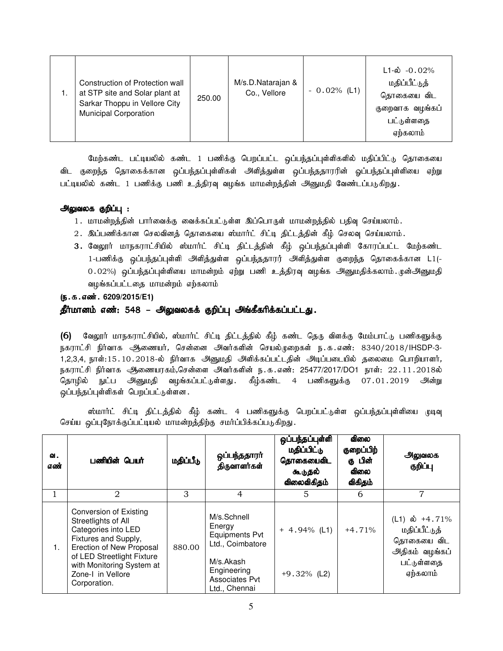|  | Construction of Protection wall<br>at STP site and Solar plant at<br>Sarkar Thoppu in Vellore City<br><b>Municipal Corporation</b> | 250.00 | M/s.D.Natarajan &<br>Co., Vellore | $-0.02\%$ (L1) | $L1 - \omega - 0.02\%$<br>மதிப்பீட்டுத்<br>தொகையை விட<br>குறைவாக வழங்கப்<br>பட்டுள்ளதை<br>ஏற்கலாம் |
|--|------------------------------------------------------------------------------------------------------------------------------------|--------|-----------------------------------|----------------|----------------------------------------------------------------------------------------------------|
|--|------------------------------------------------------------------------------------------------------------------------------------|--------|-----------------------------------|----------------|----------------------------------------------------------------------------------------------------|

மேற்கண்ட பட்டியலில் கண்ட 1 பணிக்கு பெறப்பட்ட ஒப்பந்தப்புள்ளிகளில் மதிப்பிட்டு தொகையை விட குறைந்த தொகைக்கான ஒப்பந்தப்புள்ளிகள் அளித்துள்ள ஒப்பந்ததாரரின் ஒப்பந்தப்புள்ளியை ஏற்று பட்டியலில் கண்ட 1 பணிக்கு பணி உத்திரவு வழங்க மாமன்றத்தின் அனுமதி வேண்டப்படுகிறது.

#### அலுவலக குறிப்பு :

- 1. மாமன்றத்தின் பார்வைக்கு வைக்கப்பட்டுள்ள இப்பொருள் மாமன்றத்தில் பதிவு செய்யலாம்.
- 2. இப்பணிக்கான செலவினத் தொகையை ஸ்மார்ட் சிட்டி திட்டத்தின் கீழ் செலவு செய்யலாம்.
- 3. வேலூர் மாநகராட்சியில் ஸ்மார்ட் சிட்டி திட்டத்தின் கீழ் ஒப்பந்தப்புள்ளி கோரப்பட்ட மேற்கண்ட 1-பணிக்கு ஒப்பந்தப்புள்ளி அளித்துள்ள ஒப்பந்ததாரர் அளித்துள்ள குறைந்த தொகைக்கான L1(-0.02%) ஒப்பந்தப்புள்ளியை மாமன்றம் ஏற்று பணி உத்திரவு வழங்க அனுமதிக்கலாம். முன்அனுமதி வழங்கப்பட்டதை மாமன்றம் எற்கலாம்

#### (ந.க.எண். 6209/2015/E1)

#### தீர்மானம் எண்: 548 – அலுவலகக் குறிப்பு அங்கீகரிக்கப்பட்டது.

(6) வேலூர் மாநகராட்சியில், ஸ்மார்ட் சிட்டி திட்டத்தில் கீழ் கண்ட தெரு விளக்கு மேம்பாட்டு பணிகளுக்கு நகராட்சி நிர்வாக அணையர், சென்னை அவர்களின் செயல்முறைகள் ந.க.எண்: 8340/2018/IHSDP-3-1,2,3,4, நாள்:15.10.2018-ல் நிர்வாக அனுமதி அளிக்கப்பட்டதின் அடிப்படையில் தலைமை பொறியாளர், நகராட்சி நிர்வாக ஆணையரகம்,சென்ளை அவர்களின் ந.க.எண்: 25477/2017/DO1 நாள்: 22.11.2018ல் தொழில் நுட்ப அனுமதி வழங்கப்பட்டுள்ளது. கீழ்கண்ட 4 பணிகளுக்கு 07.01.2019 அன்று ஒப்பந்தப்புள்ளிகள் பெறப்பட்டுள்ளன.

ஸ்மார்ட் சிட்டி திட்டத்தில் கீழ் கண்ட 4 பணிகளுக்கு பெறப்பட்டுள்ள ஒப்பந்தப்புள்ளியை முடிவு செய்ய ஒப்புநோக்குப்பட்டியல் மாமன்றத்திற்கு சமர்ப்பிக்கப்படுகிறது.

| வ.<br>எண் | பணியின் பெயர்                                                                                                                                                                                                                   | மதிப்பீடு | ஒப்பந்ததாரா்<br>திருவாளர்கள்                                                                                                      | ஒப்பந்தப்புள்ளி<br>மதிப்பிட்டு<br>தொகையைவிட<br>கூடுதல்<br>விலைவிகிதம் | ഖിതல<br>குறைப்பிற்<br>கு பின்<br><b>விலை</b><br>விகிதம் | அலுவலக<br>குறிப்பு                                                                                    |
|-----------|---------------------------------------------------------------------------------------------------------------------------------------------------------------------------------------------------------------------------------|-----------|-----------------------------------------------------------------------------------------------------------------------------------|-----------------------------------------------------------------------|---------------------------------------------------------|-------------------------------------------------------------------------------------------------------|
|           | $\mathcal{D}_{\mathcal{L}}$                                                                                                                                                                                                     | 3         | 4                                                                                                                                 | 5                                                                     | 6                                                       | 7                                                                                                     |
| 1.        | <b>Conversion of Existing</b><br>Streetlights of All<br>Categories into LED<br>Fixtures and Supply,<br>Erection of New Proposal<br>of LED Streetlight Fixture<br>with Monitoring System at<br>Zone-I in Vellore<br>Corporation. | 880.00    | M/s.Schnell<br>Energy<br><b>Equipments Pvt</b><br>Ltd., Coimbatore<br>M/s.Akash<br>Engineering<br>Associates Pvt<br>Ltd., Chennai | $+ 4.94\%$ (L1)<br>$+9.32\%$ (L2)                                     | $+4.71%$                                                | (L1) $\dot{\omega}$ +4.71%<br>மதிப்பீட்டுத்<br>தொகையை விட<br>அதிகம் வழங்கப்<br>பட்டுள்ளதை<br>ஏற்கலாம் |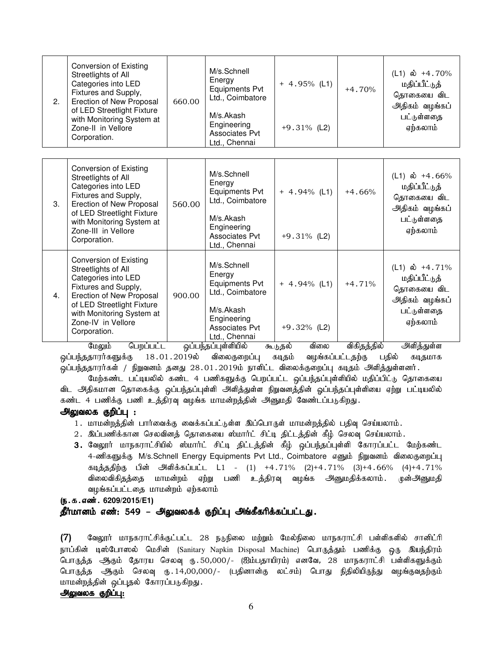| 2. | <b>Conversion of Existing</b><br>Streetlights of All<br>Categories into LED<br>Fixtures and Supply,<br>Erection of New Proposal<br>of LED Streetlight Fixture<br>with Monitoring System at<br>Zone-II in Vellore<br>Corporation.  | 660.00 | M/s.Schnell<br>Energy<br><b>Equipments Pvt</b><br>Ltd., Coimbatore<br>M/s.Akash<br>Engineering<br>Associates Pvt<br>Ltd., Chennai | $+ 4.95\%$ (L1)<br>$+9.31\%$ (L2) | $+4.70%$ | (L1) ல் +4.70%<br>மதிப்பீட்டுத்<br>தொகையை விட<br>அதிகம் வழங்கப்<br>பட்டுள்ளதை<br>ஏற்கலாம்             |
|----|-----------------------------------------------------------------------------------------------------------------------------------------------------------------------------------------------------------------------------------|--------|-----------------------------------------------------------------------------------------------------------------------------------|-----------------------------------|----------|-------------------------------------------------------------------------------------------------------|
|    |                                                                                                                                                                                                                                   |        |                                                                                                                                   |                                   |          |                                                                                                       |
| 3. | <b>Conversion of Existing</b><br>Streetlights of All<br>Categories into LED<br>Fixtures and Supply,<br>Erection of New Proposal<br>of LED Streetlight Fixture<br>with Monitoring System at<br>Zone-III in Vellore<br>Corporation. | 560.00 | M/s.Schnell<br>Energy<br>Equipments Pvt<br>Ltd., Coimbatore<br>M/s.Akash<br>Engineering<br><b>Associates Pvt</b><br>Ltd., Chennai | $+ 4.94\%$ (L1)<br>$+9.31\%$ (L2) | $+4.66%$ | (L1) ல் +4.66%<br>மதிப்பீட்டுத்<br>தொகையை விட<br>அதிகம் வழங்கப்<br>பட்டுள்ளதை<br>ஏற்கலாம்             |
| 4. | <b>Conversion of Existing</b><br>Streetlights of All<br>Categories into LED<br>Fixtures and Supply,<br>Erection of New Proposal<br>of LED Streetlight Fixture<br>with Monitoring System at<br>Zone-IV in Vellore<br>Corporation.  | 900.00 | M/s.Schnell<br>Energy<br>Equipments Pvt<br>Ltd., Coimbatore<br>M/s.Akash<br>Engineering<br><b>Associates Pvt</b><br>Ltd., Chennai | $+ 4.94\%$ (L1)<br>$+9.32\%$ (L2) | $+4.71%$ | (L1) $\dot{\omega}$ +4.71%<br>மதிப்பீட்டுத்<br>தொகையை விட<br>அதிகம் வழங்கப்<br>பட்டுள்ளதை<br>ஏற்கலாம் |

மேலும் பெறப்பட்ட ஒப்பந்தப்புள்ளியில் கூடுதல் விலை விகிதத்தில் அிளித்துள்ள<br>தாரர்களுக்கு 18.01.2019ல் விலைகுறைப்பு கடிதம் வழங்கப்பட்டதற்கு பதில் கடிதமாக <u>ஒ</u>ப்பந்ததாரர்களுக்கு 18․01․2019ல் விலைகுறைப்பு கடிதம் வழங்கப்பட்டதற்கு பதில் கடிதமாக .<br>ஒப்பந்ததாரர்கள் / நிறுவனம் தனது 28.01.2019ம் நாளிட்ட விலைக்குறைப்பு கடிதம் அிளித்துள்ளனர்.

மேற்கண்ட பட்டியலில் கண்ட 4 பணிகளுக்கு பெறப்பட்ட ஒப்பந்தப்புள்ளியில் மதிப்பிட்டு தொகையை விட அதிகமான தொகைக்கு ஒப்பந்தப்புள்ளி அளித்துள்ள நிறுவனத்தின் ஒப்பந்தப்புள்ளியை ஏற்று பட்டியலில் கண்ட 4 பணிக்கு பணி உத்திரவு வழங்க மாமன்றத்தின் அனுமதி வேண்டப்படுகிறது.

#### அலுவலக குறிப்பு :

- 1. மாமன்றத்தின் பார்வைக்கு வைக்கப்பட்டுள்ள இப்பொருள் மாமன்றத்தில் பதிவு செய்யலாம்.
- 2. இப்பணிக்கான செலவினத் தொகையை ஸ்மார்ட் சிட்டி திட்டத்தின் கீழ் செலவு செய்யலாம்.
- 3. வேலூர் மாநகராட்சியில் ஸ்மார்ட் சிட்டி திட்டத்தின் கீழ் ஒப்பந்தப்புள்ளி கோரப்பட்ட மேற்கண்ட 4-ணிகளுக்கு M/s.Schnell Energy Equipments Pvt Ltd., Coimbatore எனும் நிறுவனம் விலைகுறைப்பு கடித்ததிற்கு பின் அளிக்கப்பட்ட L1 - (1) +4.71% (2)+4.71% (3)+4.66% (4)+4.71% விலைவிகிதத்தை மாமன்றம் ஏற்று பணி உத்திரவு வழங்க அனுமதிக்கலாம். முன்அனுமதி வழங்கப்பட்டதை மாமன்றம் ஏற்கலாம்

(ந.க.எண். 6209/2015/E1)

#### தீர்மானம் எண்: 549 – அலுவலகக் குறிப்பு அங்கீகரிக்கப்பட்டது.

(7) கேலூர் மாநகராட்சிக்குட்பட்ட 28 நடுநிலை மற்றும் மேல்நிலை மாநகராட்சி பள்ளிகளில் சானிட்ரி நாப்கின் டிஸ்போஸல் மெசின் (Sanitary Napkin Disposal Machine) பொருத்தும் பணிக்கு ஒரு இயந்திரம் பொருத்த ஆகும் தோரய செலவு ரு.50,000/- (ஐம்பதாயிரம்) எனவே, 28 மாநகராட்சி பள்ளிகளுக்கும் பொருத்த ஆகும் செலவு ரு. 14,00,000/- (பதினான்கு லட்சம்) பொது நிதிலியிருந்து வழங்குவதற்கும் மாமன்றத்தின் ஒப்புதல் கோரப்படுகிறது.

#### அலுவலக குறிப்பு: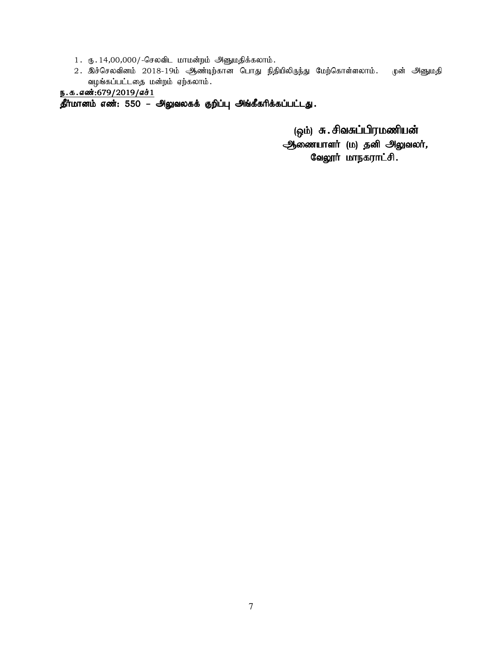- 1. ரு. 14,00,000/-செலவிட மாமன்றம் அனுமதிக்கலாம்.
- 2. இச்செலவினம் 2018-19ம் ஆண்டிற்கான பொது நிதியிலிருந்து மேற்கொள்ளலாம். முன் அனுமதி வழங்கப்பட்டதை மன்றம் ஏற்கலாம்.

## $p.a.6$   $m:679/2019/6$  $d1$

 $\overline{\mathbf{\hat{g}^{\text{fr}^{\text{ir}}}}$ மானம் எண்: 550 – அலுவலகக் குறிப்பு அங்கீகரிக்கப்பட்டது.

(ஒம்) சு. சிவசுப்பிரமணியன்

ஆணையாளர் (ம) தனி அலுவலர், வேலூர் மாநகராட்சி.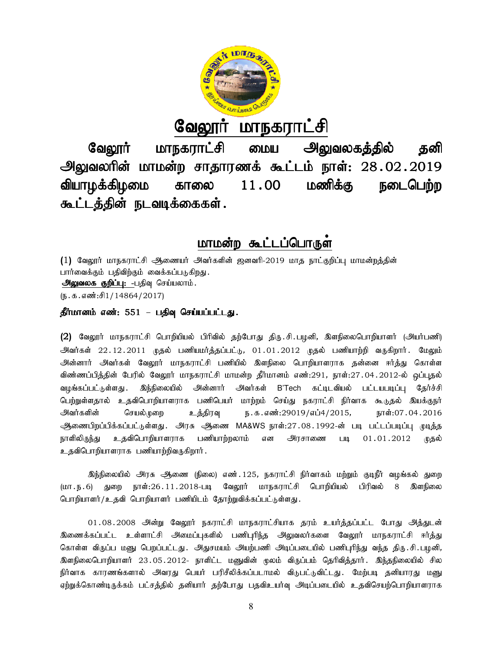

<u>வேலூர் மாநகராட்சி</u>

வேலூர் மாநகராட்சி மைய அலுவலகத்தில் தனி அலுவலரின் மாமன்ற சாதாரணக் கூட்டம் நாள்: 28 வியாழக்கிழமை காலை கூட்டத்தின் நடவடிக்கைகள்.  $11.00$  மணிக்கு நடைபெற்ற

# <u>மாமன்ற கூட்டப்பொருள</u>்

(1) வேலூர் மாநகராட்சி ஆணையர் அவர்களின் ஜனவரி-2019 மாத நாட்குறிப்பு மாமன்றத்தின் பார்வைக்கும் பதிவிற்கும் வைக்கப்படுகிறது. அலுவலக குறிப்பு: -பதிவு செய்யலாம்.  $(\mathfrak{g}.\mathfrak{s}.\mathfrak{s}.\mathfrak{so}$ ்சி $1/14864/2017)$ 

## தீர்மானம் எண்: 551 – பதிவு செய்யப்பட்டது.

(2) வேலூர் மாநகராட்சி பொறியியல் பிரிவில் தற்போது திரு.சி.பழனி, இளநிலைபொறியாளர் (அயர்பணி) அவர்கள் 22.12.2011 முதல் பணியமர்த்தப்பட்டு, 01.01.2012 முதல் பணியாற்றி வருகிறார். மேலும் அன்னார் அவர்கள் வேலூர் மாநகராட்சி பணியில் இளநிலை பொறியாளராக தன்னை ஈர்த்து கொள்ள ்விண்ணப்பித்தின் பேரில் வேலூர் மாநகராட்சி மாமன்ற தீர்மானம் எண்:291, நாள்:27.04.2012 வழங்கப்பட்டுள்ளது . இந்நிலையில் அன்னார் அவர்கள் B'Tech கட்டிடவியல் பட்டயபடிப்பு தேர்ச்சி பெற்றுள்ளதால் உதவிபொறியாளராக பணிபெயர் மாற்றம் செய்து நகராட்சி நிர்வாக கூடுதல் இயக்குநர்<br>அவர்களின் செயல்முறை உத்திரவு ந.க.எண்:29019/எப்4/2015, நாள்:07.04.2016 .<br>அவர்களின் செயல்முறை உத்திரவு ந.க.எண்:29019/எப்4/2015, நாள்:07.04.2016 ஆணைபிறப்பிக்கப்பட்டுள்ளது. அரசு ஆணை MA&WS நாள்:27.08.1992-ன் படி பட்டப்படிப்பு முடித்த நாளிலிருந்து உதவிபொறியாளராக பணியாற்றலாம் என அரசாணை படி 01.01.2012 முதல் நாளிலிருந்து உதவிபொறியாளராக பணியாற்றலாம் என அரசாணை படி<br>உதவிபொறியாளராக பணியாற்றிவருகிறார் . rir அவர்கள் வேலூர் மாநகராட்சி பணியில் இளநிலை பொறியாளராக தன்னை ஈர்த்து கொள்ள<br>ப்பித்தின் பேரில் வேலூர் மாநகராட்சி மாமன்ற தீர்மானம் எண்:291, நாள்:27.04.2012-ல் ஒப்புதல்<br>ப்பட்டுள்ளது. இந்நிலையில் அன்னார் அவர்கள் B'Tech க **Galgyrini Lurip-Simmi-9i enchum - 9igyialev.5.5580 5611**<br>**enchicos consider a memorial encomination of the simminal encomination of the simminal energy and the simminal<br>guidality of the simminal energy of the simminal e** (1) வேலூா மாநகராடசி ஆணையா அவாகளின ஜனவர்-2019 மாத நாட்குறிப்பு மாமனறத்தின்<br>பார்வைக்கும் பதிவிற்கும் வைக்கப்படுகிறது.<br>- அலுவலைக் குறிப்பு: -பதிவு செய்யலாம்.<br>(ந.க.எண்:சி1/14864/2017)<br>தீ**ர்மானம் எண்:** 551 – **பதிவு செய்யப்பட்ட** 

இந்நிலையில் அரசு ஆணை (நிலை) எண்.125, நகராட்சி நிர்வாகம் மற்றும் குடிநீர் வழங்கல் துறை இந்நிலையில் அரசு ஆணை (நிலை) எண்.125, நகராட்சி நிர்வாகம் மற்றும் குடிநீர் வழங்கல் துறை<br>(மா.ந.6) துறை நாள்:26.11.2018-படி வேலூர் மாநகராட்சி பொறியியல் பிரிவல் 8 இளநிலை பொறியாளர்/உதவி பொறியாளர் பணியிடம் தோற்றுவிக்கப்பட்டுள்ளது.

01.08.2008 அன்று வேலூர் நகராட்சி மாநகராட்சியாக தரம் உயர்த்தப்பட்ட போது அத்துடன் <u>இ</u>ணைக்கப்பட்ட உள்ளாட்சி அமைப்புகளில் பணிபுரிந்த அலுவலர்களை வேலூர் மாநகராட்சி ஈர்த்து கொள்ள விருப்ப மனு பெறப்பட்டது. அதுசமயம் அயற்பணி அடிப்படையில் பணிபுரிந்து வந்த திரு.சி.படினி, கொள்ள விருப்ப மனு பெறப்பட்டது. அதுசமயம் அயற்பணி அடிப்படையில் பணிபுரிந்து வந்த திரு.சி.பழனி,<br>இளநிலைபொறியாளர் 23.05.2012- நாளிட்ட மனுவின் மூலம் விருப்பம் தெரிவித்தார். இந்தநிலையில் சில நிர்வாக காரணங்களால் அவரது பெயர் பரிசீலிக்கப்படாமல் விடுபட்டுவிட்டது. மேற்படி தனியாரது மனு ஏற்றுக்கொண்டிருக்கம் பட்சத்தில் தனியார் தற்போது பதவிஉயர்வு அடிப்படையில் உதவிசெயற்பொறியாளராக அவர்களின் செயல்டுறை உத்திரவு ந.க.எண்:29019/எப்4/2015, நாள்:07.04.2016<br>ஆணைபிறப்பிக்கப்பட்டுள்ளது. அரசு ஆணை MA&WS நாள்:27.08.1992-ன் படி பட்டப்படிப்பு முடித்த<br>நாளிலிருந்து உதவிபொறியாளராக பணியாற்றலாம் என அிரசாணை படி 01.01.20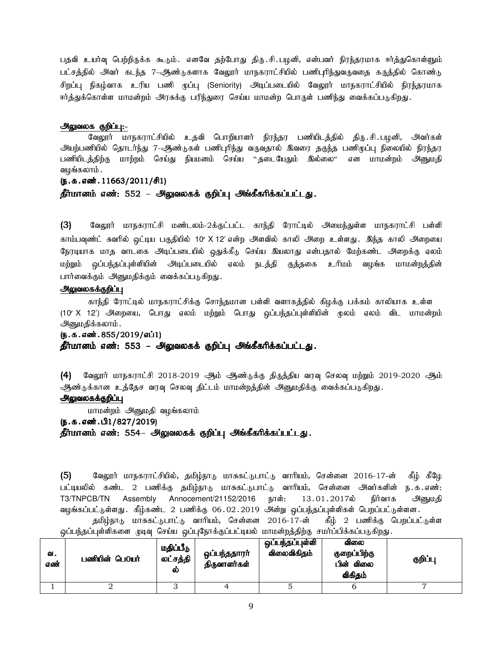பதவி உயர்வு பெற்றிருக்க கூடும். எனவே தற்போது திரு.சி.பழனி, என்பவர் நிரந்தரமாக ஈர்த்துகொள்ளும் பட்சத்தில் அவர் கடந்த 7-ஆண்டுகளாக வேலூர் மாநகராட்சியில் பணிபுரிந்துவருவதை கருத்தில் கொண்டு சிறப்பு நிகழ்வாக உரிய பணி முப்பு (Seniority) அடிப்படையில் வேலூர் மாநகராட்சியில் நிரந்தரமாக ஈர்த்துக்கொள்ள மாமன்றம் அரசுக்கு பரிந்துரை செய்ய மாமன்ற பொருள் பணிந்து வைக்கப்படுகிறது.

#### அலுவலக குறிப்பு:-

வேலூர் மாநகராட்சியில் உதவி பொறியாளர் நிரந்தர பணியிடத்தில் திரு.சி.பழனி, அவர்கள் அயற்பணியில் தொடர்ந்து 7-ஆண்டுகள் பணிபுரிந்து வருவதால் இவரை தகுந்த பணிமுப்பு நிலையில் நிரந்தர பணியிடத்திற்கு மாற்றம் செய்து நியமனம் செய்ய ``தடையேதும் இல்லை⁄`` என மாமன்றம் அனுமதி வழங்கலாம் .

#### $(5.5.5.5\ldots)(5.11663/2011/\text{F})$

#### தீர்மானம் எண்: 552 – அலுவலகக் குறிப்பு அங்கீகரிக்கப்பட்டது.

(3) வேலூர் மாநகராட்சி மண்டலம்-2க்குட்பட்ட காந்தி ரோட்டில் அமைந்துள்ள மாநகராட்சி பள்ளி காம்பவுண்ட் சுவரில் ஒட்டிய பகுதியில் 10′ X 12' என்ற அளவில் காலி அறை உள்ளது. இந்த காலி அறையை நேரடியாக மாத வாடகை அடிப்படையில் ஒதுக்கீடு செய்ய இயலாது என்பதால் மேற்கண்ட அறைக்கு ஏலம் மற்றும் ஒப்பந்தப்புள்ளியின் அடிப்படையில் ஏலம் நடத்தி குத்தகை உரிமம் வழங்க மாமன்றத்தின் பார்வைக்கும் அனுமதிக்கும் வைக்கப்படுகிறது.

#### அலுவலகக்குறிப்பு

காந்தி ரோட்டில் மாநகராட்சிக்கு சொந்தமான பள்ளி வளாகத்தில் கிழக்கு பக்கம் காலியாக உள்ள (10′ X 12') அிறையை, பொது ஏலம் மற்றும் பொது ஒப்பந்தப்புள்ளியின் முலம் ஏலம் விட மாமன்றம் அனுமதிக்கலாம் .

#### (ந.க.எண். 855/2019/எப்1)

தீர்மானம் எண்: 553 – அலுவலகக் குறிப்பு அங்கீகரிக்கப்பட்டது.

(4) மேலூர் மாநகராட்சி 2018-2019 ஆம் ஆண்டுக்கு திருத்திய வரவு செலவு மற்றும் 2019-2020 ஆம் ஆண்டுக்கான உத்தேச வரவு செலவு திட்டம் மாமன்றத்தின் அனுமதிக்கு வைக்கப்படுகிறது.

#### அலுவலகக்குறிப்பு

மாமன்றம் அனுமதி வழங்கலாம்

#### (ந.க.எண்.பி1/827/2019)

தீர்மானம் எண்: 554– அலுவலகக் குறிப்பு அங்கீகரிக்கப்பட்டது.

 $(5)$  Baலூர் மாநகராட்சியில், தமிழ்நாடு மாசுகட்டுபாட்டு வாரியம், சென்னை 2016-17-ன் கீழ் கீழே பட்டியலில் கண்ட 2 பணிக்கு தமிழ்நாடு மாசுகட்டுபாட்டு வாரியம், சென்னை அவர்களின் ந.க.எண்: T3/TNPCB/TN Assembly Annocement/21152/2016 நாள்: 13.01.2017ல் நிர்வாக அனுமதி வழங்கப்பட்டுள்ளது . கீழ்கண்ட 2 பணிக்கு 06.02.2019 அன்று ஒப்பந்தப்புள்ளிகள் பெறப்பட்டுள்ளன . தமிழ்நாடு மாசுகட்டுபாட்டு வாரியம், சென்னை 2016-17-ன் கீழ் 2 பணிக்கு பெறப்பட்டுள்ள ஒப்பந்தப்புள்ளிகளை முடிவு செய்ய ஒப்புநோக்குப்பட்டியல் மாமன்றத்திற்கு சமா்ப்பிக்கப்படுகிறது.

| ഖ.<br>எண் | பணியின் பெ0யர் | மதிப்பீடு<br>லட்சத்தி<br>ல | ஒப்பந்ததாரா்<br>திருவாளர்கள் | ் ஒப்பந்தப்புள்ளி<br>விலைவிகிதம் | ഖിതல<br>குறைப்பிற்கு<br>பின் விலை<br>விகிதம் | குறிப்பு |
|-----------|----------------|----------------------------|------------------------------|----------------------------------|----------------------------------------------|----------|
|           |                | ບ                          |                              | ٮ                                |                                              |          |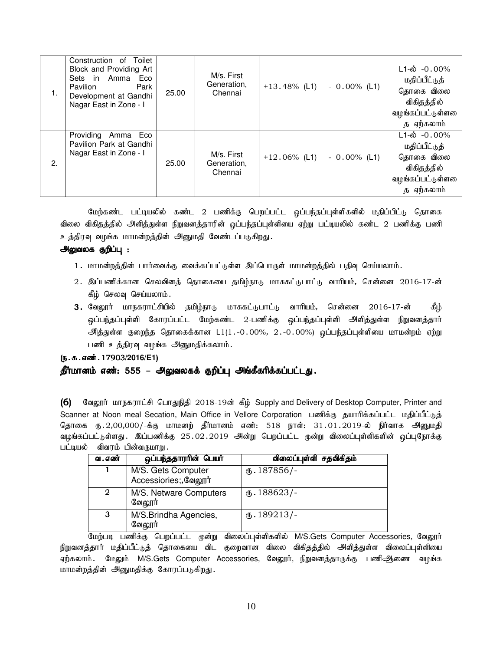| 1. | Construction of<br>Toilet<br>Block and Providing Art<br>Sets in Amma<br>Eco<br>Park<br>Pavilion<br>Development at Gandhi<br>Nagar East in Zone - I | 25.00 | M/s. First<br>Generation,<br>Chennai | $+13.48\%$ (L1) | $-0.00\%$ (L1) | $L1-\dot{\omega}$ -0.00%<br>மதிப்பீட்டுத்<br>தொகை விலை<br>விகிதத்தில்<br>வழங்கப்பட்டுள்ளலை<br>த ஏற்கலாம்     |
|----|----------------------------------------------------------------------------------------------------------------------------------------------------|-------|--------------------------------------|-----------------|----------------|--------------------------------------------------------------------------------------------------------------|
| 2. | Providing<br>Amma Eco<br>Pavilion Park at Gandhi<br>Nagar East in Zone - I                                                                         | 25.00 | M/s. First<br>Generation,<br>Chennai | $+12.06\%$ (L1) | $-0.00\%$ (L1) | $L1 - \dot{\omega} - 0.00\%$<br>மதிப்பீட்டுத்<br>தொகை விலை<br>விகிதத்தில்<br>வழங்கப்பட்டுள்ளலை<br>த ஏற்கலாம் |

மேற்கண்ட பட்டியலில் கண்ட 2 பணிக்கு பெறப்பட்ட ஒப்பந்தப்புள்ளிகளில் மதிப்பிட்டு தொகை விலை விகிதத்தில் அளித்துள்ள நிறுவனத்தாரின் ஒப்பந்தப்புள்ளியை ஏற்று பட்டியலில் கண்ட 2 பணிக்கு பணி உத்திரவ வழங்க மாமன்றத்தின் அனுமதி வேண்டப்படுகிறது.

#### அலுவலக குறிப்பு :

- 1. மாமன்றத்தின் பார்வைக்கு வைக்கப்பட்டுள்ள இப்பொருள் மாமன்றத்தில் பதிவு செய்யலாம்.
- 2. இப்பணிக்கான செலவினத் தொகையை தமிழ்நாடு மாசுகட்டுபாட்டு வாரியம், சென்னை 2016-17-ன் கீழ் செலவு செய்யலாம்.
- 3. வேலூர் மாநகராட்சியில் தமிழ்நாடு மாசுகட்டுபாட்டு வாரியம், சென்னை 2016-17-ன் கீழ் ஒப்பந்தப்புள்ளி கோரப்பட்ட மேற்கண்ட 2-பணிக்கு ஒப்பந்தப்புள்ளி அளித்துள்ள நிறுவனத்தார் ூித்துள்ள குறைந்த தொகைக்கான L1(1.-0.00%, 2.-0.00%) ஒப்பந்தப்புள்ளியை மாமன்றம் ஏற்று பணி உத்திரவு வழங்க அனுமதிக்கலாம்.

#### (ந.க.எண். 17903/2016/E1)

#### தீர்மானம் எண்: 555 – அலுவலகக் குறிப்பு அங்கீகரிக்கப்பட்டது.

(6) வேலூர் மாநகராட்சி பொதுநிதி 2018-19ன் கீழ் Supply and Delivery of Desktop Computer, Printer and Scanner at Noon meal Secation, Main Office in Vellore Corporation பணிக்கு தயாரிக்கப்பட்ட மதிப்பீட்டுத் தொகை ரூ.2,00,000/-க்கு மாமனற் தீர்மானம் எண்: 518 நாள்: 31.01.2019-ல் நிர்வாக அினுமதி வழங்கப்பட்டுள்ளது . இப்பணிக்கு 25.02.2019 அன்று பெறப்பட்ட முன்று விலைப்புள்ளிகளின் ஒப்புநோக்கு பட்டியல் விவரம் பின்வருமாறு.

| வ . எண் | ஒப்பந்ததாரரின் பெயர்                        | விலைப்புள்ளி சதவிகிதம் |
|---------|---------------------------------------------|------------------------|
|         | M/S. Gets Computer<br>Accessiories;, வேலூர் | $\text{I}87856/-$      |
| 2       | M/S. Netware Computers<br>வேலூர்            | $\text{I}88623$ /-     |
| 3       | M/S.Brindha Agencies,<br>வேலூர்             | $\text{I}89213/-$      |

மேற்படி பணிக்கு பெறப்பட்ட முன்று விலைப்புள்ளிகளில் M/S.Gets Computer Accessories, வேலூர் நிறுவனத்தார் மதிப்பீட்டுத் தொகையை விட குறைவான விலை விகிதத்தில் அளித்துள்ள விலைப்புள்ளியை ஏற்கலாம். மேலும் M/S.Gets Computer Accessories, வேலூர், நிறுவனத்தாருக்கு பணிஆிணை வழங்க மாமன்றத்தின் அனுமதிக்கு கோரப்படுகிறது.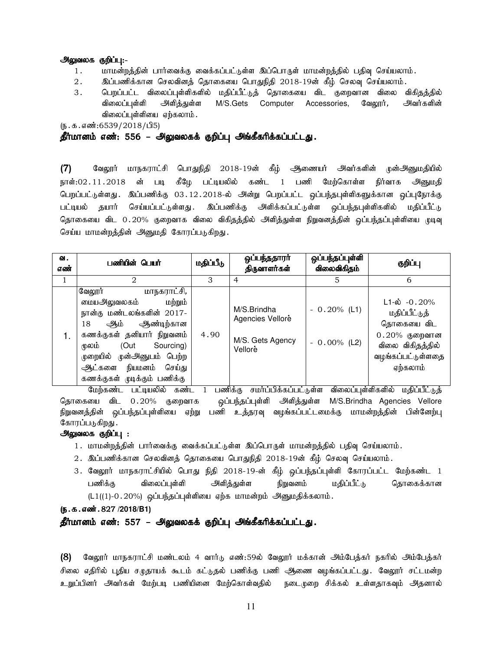#### அலுவலக குறிப்பு:-

- 1. khkd;wj;jpd; ghh;itf;F itf;fg;gl;Ls;s ng;bghUs; khkd;wj;jpy; gjpt[ bra;ayhk;.
- 2. இப்பணிக்கான செலவினத் தொகையை பொதுநிதி 2018-19ன் கீழ் செலவு செய்யலாம்.
- 3 . பெறப்பட்ட விலைப்புள்ளிகளில் மதிப்பீட்டுத் தொகையை விட குறைவான விலை விகிதத்தில் விலைப்புள்ளி அளித்துள்ள M/S.Gets Computer Accessories, வேலூர், அவர்களின் விலைப்புள்ளியை ஏற்கலாம்.

 $(5.5.5\pi, 6539/2018/\text{d}5)$ 

#### தீர்மானம் எண்: 556 – அலுவலகக் குறிப்பு அங்கீகரிக்கப்பட்டது.

 $(7)$  வேலூர் மாநகராட்சி பொதுநிதி 2018-19ன் கீழ் ஆணையர் அவர்களின் முன்அனுமதியில் நாள்:02 11 2018 ன் படி கீழே பட்டியலில் கண்ட 1 பணி மேற்கொள்ள நிர்வாக அனுமதி பெறப்பட்டுள்ளது. இப்பணிக்கு 03.12.2018-ல் அன்று பெறப்பட்ட ஒப்பந்தபுள்ளிகளுக்கான ஒப்புநோக்கு பட்டியல் தயார் செய்யப்பட்டுள்ளது .இப்பணிக்கு அளிக்கப்பட்டுள்ள ஒப்பந்தபுள்ளிகளில் மதிப்பீட்டு தொகையை விட 0.20% குறைவாக விலை விகிதத்தில் அளித்துள்ள நிறுவனத்தின் ஒப்பந்தப்புள்ளியை முடிவு செய்ய மாமன்றத்தின் அனுமதி கோரப்படுகிறது.

| வ.<br>எண் | பணியின் பெயர்                                                                                                                                                                                                                                            | மதிப்பீடு | ஒப்பந்ததாரர்<br>திருவாளர்கள்                                   | ஒப்பந்தப்புள்ளி<br>விலைவிகிதம்   | குறிப்பு                                                                                                                   |
|-----------|----------------------------------------------------------------------------------------------------------------------------------------------------------------------------------------------------------------------------------------------------------|-----------|----------------------------------------------------------------|----------------------------------|----------------------------------------------------------------------------------------------------------------------------|
|           | $\mathfrak{D}_{\mathfrak{p}}$                                                                                                                                                                                                                            | 3         | $\overline{4}$                                                 | 5.                               | 6                                                                                                                          |
|           | மாநகராட்சி,<br>வேலூர்<br>மற்றும்<br>மையஅலுவலகம்<br>நான்கு மண்டலங்களின் 2017-<br>ஆண்டிற்கான<br>18<br>ஆம்<br>கணக்குகள் தனியார் நிறுவனம்<br>Sourcing)<br>(Out<br>மலம்<br>முறையில் முன்அனுபம் பெற்ற<br>ஆட்களை நியமனம் செய்து<br>கணக்குகள் முடிக்கும் பணிக்கு | 4.90      | M/S.Brindha<br>Agencies Vellore<br>M/S. Gets Agency<br>Vellorè | $-0.20\%$ (L1)<br>$-0.00\%$ (L2) | $L1 - \phi$ -0.20%<br>மதிப்பீட்டுத்<br>தொகையை விட<br>$0.20\%$ குறைவான<br>விலை விகிதத்தில்<br>வழங்கப்பட்டுள்ளதை<br>ஏற்கலாம் |

மேற்கண்ட பட்டியலில் கண்ட 1 பணிக்கு சமா்ப்பிக்கப்பட்டுள்ள விலைப்புள்ளிகளில் மதிப்பீட்டுத் தொகையை விட 0.20% குறைவாக ஒப்பந்தப்புள்ளி அளித்துள்ள M/S.Brindha Agencies Vellore நிறுவனத்தின் ஒப்பந்தப்புள்ளியை ஏற்று பணி உத்தரவு வழங்கப்பட்டமைக்கு மாமன்றத்தின் பின்னேற்பு கோரப்படுகிறது .

#### அலுவலக குறிப்பு :

- 1. மாமன்றத்தின் பார்வைக்கு வைக்கப்பட்டுள்ள இப்பொருள் மாமன்றத்தில் பதிவு செய்யலாம்.
- $2.$  இப்பணிக்கான செலவினத் தொகையை பொதுநிதி  $2018$ -19ன் கீழ் செலவு செய்யலாம்.
- 3. வேலூர் மாநகராட்சியில் பொது நிதி 2018-19-ன் கீழ் ஒப்பந்தப்புள்ளி கோரப்பட்ட மேற்கண்ட 1 பணிக்கு விலைப்புள்ளி அளித்துள்ள நிறுவனம் மதிப்பீட்டு தொகைக்கான  $(L1((1)-0.20%)$  ஒப்பந்தப்புள்ளியை ஏற்க மாமன்றம் அனுமதிக்கலாம்.

#### (**ந.க.எண்.** 827 /2018/B1)

#### தீர்மானம் எண்: 557 – அலுவலகக் குறிப்பு அங்கீகரிக்கப்பட்டது.

(8) வேலூர் மாநகராட்சி மண்டலம் 4 வார்டு எண்:59ல் வேலூர் மக்கான் அம்பேக்கர் நகரில் அம்பேக்கர் சிலை எதிரில் புதிய சுடுதாயக் கூடம் கட்டுதல் பணிக்கு பணி அிணை வழங்கப்பட்டது. வேலூர் சட்டமன்ற உறுப்பினர் அவர்கள் மேற்படி பணியினை மேற்கொள்வதில் நடைமுறை சிக்கல் உள்ளதாகவும் அதனால்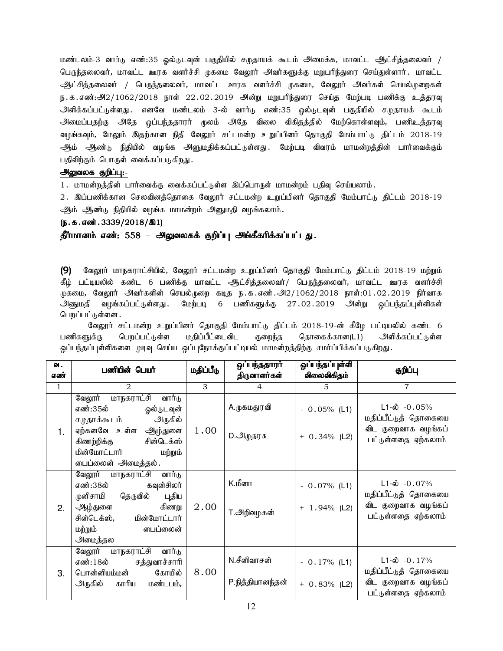மண்டலம்-3 வார்டு எண்:35 ஒல்டுடவுன் பகுதியில் சமுதாயக் கூடம் அமைக்க, மாவட்ட ஆட்சித்தலைவர் / பெருந்தலைவர், மாவட்ட ஊரக வளர்ச்சி முகமை வேலூர் அவர்களுக்கு மறுபரிந்துரை செய்துள்ளார். மாவட்ட ஆட்சித்தலைவர் / பெருந்தலைவர், மாவட்ட ஊரக வளர்ச்சி முகமை, வேலூர் அவர்கள் செயல்முறைகள் ந.க.எண்:அ2/1062/2018 நாள் 22.02.2019 அன்று மறுபரிந்துரை செய்த மேற்படி பணிக்கு உத்தரவு அிளிக்கப்பட்டுள்ளது .எனவே மண்டலம் 3-ல் வார்டு எண்:35 ஒல்டுடவுன் பகுதியில் சமுதாயக் கூடம் அமைப்பதற்கு அதே ஒப்பந்ததாரர் முலம் அதே விலை விகிதத்தில் மேற்கொள்ளவும், பணிஉத்தரவு வழங்கவும், மேலும் இதற்கான நிதி வேலூர் சட்டமன்ற உறுப்பினர் தொகுதி மேம்பாட்டு திட்டம் 2018-19 ஆம் ஆண்டு நிதியில் வழங்க அனுமதிக்கப்பட்டுள்ளது. மேற்படி விவரம் மாமன்றத்தின் பார்வைக்கும் பதிவிற்கும் பொருள் வைக்கப்படுகிறது.

### அலுவலக குறிப்பு:-

1. மாமன்றத்தின் பார்வைக்கு வைக்கப்பட்டுள்ள இப்பொருள் மாமன்றம் பதிவு செய்யலாம்.

2. இப்பணிக்கான செலவினக்கொகை வேலூர் சட்டமன்ற உறுப்பினர் கொகுதி மேம்பாட்டு திட்டம் 2018-19 ஆம் ஆண்டு நிதியில் வழங்க மாமன்றம் அனுமதி வழங்கலாம்.

#### $(5.5.5.5\ldots)$  (5.5.54 $\ldots$ 3339/2018/ $\Omega$ 1)

தீர்மானம் எண்: 558 – அலுவலகக் குறிப்பு அங்கீகரிக்கப்பட்டது.

(9) வேலூர் மாநகராட்சியில், வேலூர் சட்டமன்ற உறுப்பினர் தொகுதி மேம்பாட்டு திட்டம் 2018-19 மற்றும் கீம் பட்டியலில் கண்ட 6 பணிக்கு மாவட்ட ஆட்சிக்கலைவர் / பெருந்கலைவர், மாவட்ட ஊரக வளர்ச்சி முகமை, வேலூர் அவர்களின் செயல்முறை கடித ந.க.எண்.அ $2/1062/2018$  நாள்:01.02.2019 நிர்வாக அனுமதி வழங்கப்பட்டுள்ளது .மேற்படி 6 பணிகளுக்கு 27.02.2019 அன்று ஒப்பந்தப்புள்ளிகள் பெறப்பட்டுள்ளன .

வேலூர் சட்டமன்ற உறுப்பினர் தொகுதி மேம்பாட்டு திட்டம் 2018-19-ன் கீழே பட்டியலில் கண்ட 6 பணிகளுக்கு பெறப்பட்டுள்ள மதிப்பீட்டைவிட குறைந்த தொகைக்கான(L1) அளிக்கப்பட்டுள்ள ஒப்பந்தப்புள்ளிகளை முடிவு செய்ய ஒப்புநோக்குப்பட்டியல் மாமன்றத்திற்கு சமா்ப்பிக்கப்படுகிறது.

| ഖ.           | பணியின் பெயர்                                                                                                                                                                          | மதிப்பீடு | ஒப்பந்ததாரா்                    | ஒப்பந்தப்புள்ளி                   | குறிப்பு                                                                                         |
|--------------|----------------------------------------------------------------------------------------------------------------------------------------------------------------------------------------|-----------|---------------------------------|-----------------------------------|--------------------------------------------------------------------------------------------------|
| எண்          |                                                                                                                                                                                        |           | விலைவிகிதம்<br>திருவாளர்கள்     |                                   |                                                                                                  |
| $\mathbf{1}$ | 2                                                                                                                                                                                      | 3         | $\overline{4}$                  | 5                                 | 7                                                                                                |
| 1.           | வேலூர் மாநகராட்சி<br>வார்டு<br>எண்:35ல்<br>ஓல்டுடவுன்<br>அருகில்<br>சமுதாக்கூடம்<br>ஏற்கனவே உள்ள ஆழ்துளை<br>சின்டெக்ஸ்<br>கிணற்றிக்கு<br>மின்மோட்டார்<br>மற்றும்<br>டைப்லைன் அமைத்தல். | 1.00      | A.முகமதுரவி<br>D.அழுதரசு        | $-0.05\%$ (L1)<br>$+ 0.34\%$ (L2) | $L1-\dot{\omega} - 0.05\%$<br>மதிப்பீட்டுத் தொகையை<br>விட குறைவாக வழங்கப்<br>பட்டுள்ளதை ஏற்கலாம் |
| 2.           | வேலூர் மாநகராட்சி வார்டு<br>கவுன்சிலர்<br>எண்:38ல்<br>தெருவில்<br>முனிசாமி<br>புதிய<br>ஆழ்துளை<br>கிணறு<br>சின்டெக்ஸ், மின்மோட்டார்<br>பைப்லைன்<br>மற்றும்<br>அமைத்தல                  | 2.00      | K.மீனா<br>T.அறிவழகன்            | $-0.07\%$ (L1)<br>$+ 1.94\%$ (L2) | $L1-\omega$ -0.07%<br>மதிப்பீட்டுத் தொகையை<br>விட குறைவாக வழங்கப்<br>பட்டுள்ளதை ஏற்கலாம்         |
| 3.           | மாநகராட்சி<br>வேலூர்<br>வார்டு<br>எண்:18ல்<br>சத்துவாச்சாரி<br>கோயில்<br>பொன்னியம்மன்<br>காரிய<br>அருகில்<br>மண்டபம்,                                                                  | 8.00      | N.சீனிவாசன்<br>P.நித்தியானந்தன் | $-0.17\%$ (L1)<br>$+ 0.83\%$ (L2) | $L1-\hat{\omega}$ -0.17%<br>மதிப்பீட்டுத் தொகையை<br>விட குறைவாக வழங்கப்<br>பட்டுள்ளதை ஏற்கலாம்   |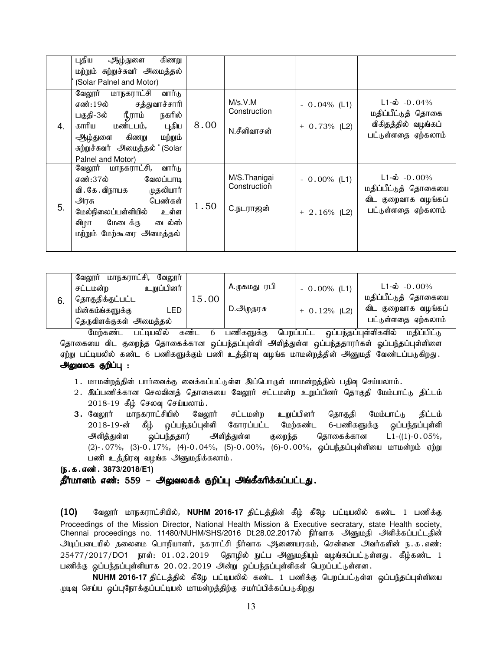|    | புதிய<br>கிணறு<br>ஆழ்துளை<br>மற்றும் சுற்றுச்சுவர் அமைத்தல்<br>(Solar Palnel and Motor)                                                                                                                      |      |                                           |                                   |                                                                                                |
|----|--------------------------------------------------------------------------------------------------------------------------------------------------------------------------------------------------------------|------|-------------------------------------------|-----------------------------------|------------------------------------------------------------------------------------------------|
| 4. | வார்டு<br>வேலூர் மாநகராட்சி<br>சத்துவாச்சாரி<br>எண்:19ல்<br>நீராம்<br>பகுதி-3ல்<br>நகரில்<br>மண்டபம்,<br>புதிய<br>காரிய<br>கிணறு<br>ஆழ்துளை<br>மற்றும்<br>சுற்றுச்சுவர் அமைத்தல் (Solar<br>Palnel and Motor) | 8.00 | M/s.V.M<br>Construction<br>N.சீனிவாசன்    | $-0.04\%$ (L1)<br>$+ 0.73\%$ (L2) | $L1-\dot{\omega}$ -0.04%<br>மதிப்பீட்டுத் தொகை<br>விகிதத்தில் வழங்கப்<br>பட்டுள்ளதை ஏற்கலாம்   |
| 5. | வேலூர் மாநகராட்சி,<br>வார்டு<br>எண்:37ல்<br>வேலப்பாடி<br>முதலியார்<br>வி . கே . விநாயக<br>பெண்கள்<br>அரசு<br>உள்ள<br>மேல்நிலைப்பள்ளியில்<br>டைல்ஸ்<br>மேடைக்கு<br>விழா<br>மற்றும் மேற்கூரை அமைத்தல்          | 1.50 | M/S.Thanigai<br>Construction<br>C.நடராஜன் | $-0.00\%$ (L1)<br>$+2.16\%$ (L2)  | $L1-\dot{\omega}$ -0.00%<br>மதிப்பீட்டுத் தொகையை<br>விட குறைவாக வழங்கப்<br>பட்டுள்ளதை ஏற்கலாம் |

|    | மாநகராட்சி,<br>வேலூர்<br>வேலார் |       |              |                |                          |
|----|---------------------------------|-------|--------------|----------------|--------------------------|
| 6. | உறுப்பினர்<br>சட்டமன்ற          | 15.00 | A.முகமது ரபி | $-0.00\%$ (L1) | $L1-\dot{\omega}$ -0.00% |
|    | ' தொகுதிக்குட்பட்ட              |       |              |                | மதிப்பீட்டுத் தொகையை     |
|    | மின்கம்ங்களுக்கு<br>LED         |       | D.அழுதரசு    | $+ 0.12%$ (L2) | விட குறைவாக வழங்கப்      |
|    | தெருவிளக்குகள் அமைத்தல்         |       |              |                | பட்டுள்ளதை ஏற்கலாம்      |

மேற்கண்ட பட்டியலில் கண்ட 6 பணிகளுக்கு பெறப்பட்ட ஒப்பந்தப்புள்ளிகளில் மதிப்பிட்டு தொகையை விட குறைந்த தொகைக்கான ஒப்பந்தப்புள்ளி அளித்துள்ள ஒப்பந்ததாரர்கள் ஓப்பந்தப்புள்ளிளை ஏற்று பட்டியலில் கண்ட 6 பணிகளுக்கும் பணி உத்திரவு வழங்க மாமன்றத்தின் அனுமதி வேண்டப்படுகிறது. அலுவலக குறிப்பு :

- 1. மாமன்றத்தின் பார்வைக்கு வைக்கப்பட்டுள்ள இப்பொருள் மாமன்றத்தில் பதிவு செய்யலாம்.
- 2. இப்பணிக்கான செலவினத் தொகையை வேலூர் சட்டமன்ற உறுப்பினர் தொகுதி மேம்பாட்டு திட்டம்  $2018-19$  கீழ் செலவு செய்யலாம்.
- 3. வேலூர் மாநகராட்சியில் வேலூர் சட்டமன்ற உறுப்பினர் தொகுதி மேம்பாட்டு திட்டம் 2018-19-ன் கீழ் ஒப்பந்தப்புள்ளி கோரப்பட்ட மேற்கண்ட 6-பணிகளுக்கு ஒப்பந்தப்புள்ளி அிளித்துள்ள ஒப்பந்ததார் அளித்துள்ள குறைந்த தொகைக்கான L1-((1)-0.05%, (2)-.07%, (3)-0.17%, (4)-0.04%, (5)-0.00%, (6)-0.00%, ஒப்பந்தப்புள்ளியை மாமன்றம் ஏற்று பணி உத்திரவு வழங்க அனுமதிக்கலாம்.

#### (ந.க.எண். 3873/2018/E1)

## தீர்மானம் எண்: 559 – அலுவலகக் குறிப்பு அங்கீகரிக்கப்பட்டது.

 $(10)$  வேலூர் மாநகராட்சியில், **NUHM 2016-17** திட்டத்தின் கீழ் கீழே பட்டியலில் கண்ட 1 பணிக்கு Proceedings of the Mission Director, National Health Mission & Executive secratary, state Health society, Chennai proceedings no. 11480/NUHM/SHS/2016 Dt.28.02.2017ல் நிர்வாக அனுமதி அளிக்கப்பட்டதின் .<br>அடிப்படையில் தலைமை பொறியாளர், நகராட்சி நிர்வாக ஆணையரகம், சென்னை அவர்களின் ந.க.எண்:  $25477/2017/D$ O1 நாள்:  $01.02.2019$  தொழில் நுட்ப அனுமதியும் வழங்கப்பட்டுள்ளது. கீழ்கண்ட  $1$ பணிக்கு ஒப்பந்தப்புள்ளியாக 20.02.2019 அன்று ஒப்பந்தப்புள்ளிகள் பெறப்பட்டுள்ளன.

NUHM 2016-17 திட்டத்தில் கீழே பட்டியலில் கண்ட 1 பணிக்கு பெறப்பட்டுள்ள ஒப்பந்தப்புள்ளியை முடிவு செய்ய ஒப்புநோக்குப்பட்டியல் மாமன்றத்திற்கு சமர்ப்பிக்கப்படுகிறது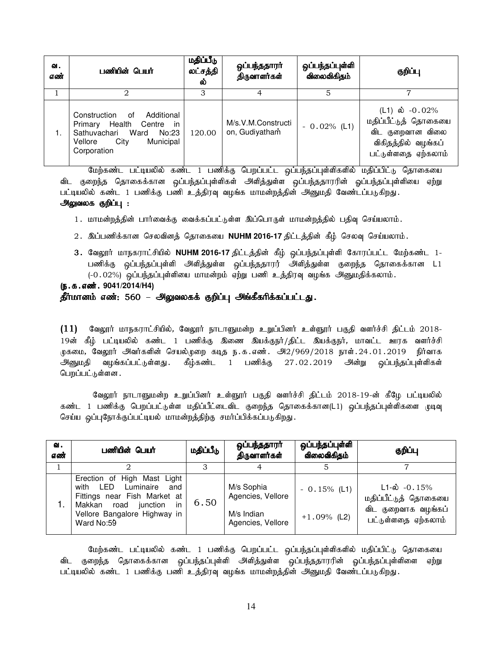| வ.<br>எண் | பணியின் பெயர்                                                                                                                                | மதிப்பீடு<br>லட்சத்தி<br>ல் | ஒப்பந்ததாரர்<br>திருவாளர்கள்         | ஒப்பந்தப்புள்ளி<br>விலைவிகிதம் | குறிப்பு                                                                                                    |
|-----------|----------------------------------------------------------------------------------------------------------------------------------------------|-----------------------------|--------------------------------------|--------------------------------|-------------------------------------------------------------------------------------------------------------|
|           |                                                                                                                                              | 3                           |                                      | 5                              |                                                                                                             |
| 1.        | Construction<br>Additional<br>of<br>Primary Health Centre in<br>Ward<br>Sathuvachari<br>No:23<br>Municipal<br>City<br>Vellore<br>Corporation | 120.00                      | M/s.V.M.Constructi<br>on, Gudiyatham | $-0.02\%$ (L1)                 | (L1) ல் $-0.02\%$<br>மதிப்பீட்டுத் தொகையை<br>விட குறைவான விலை<br>விகிதத்தில் வழங்கப்<br>பட்டுள்ளதை ஏற்கலாம் |

மேற்கண்ட பட்டியலில் கண்ட 1 பணிக்கு பெறப்பட்ட ஒப்பந்தப்புள்ளிகளில் மதிப்பிட்டு தொகையை விட குறைந்த தொகைக்கான ஒப்பந்தப்புள்ளிகள் அளித்துள்ள ஒப்பந்ததாரரின் ஒப்பந்தப்புள்ளியை ஏற்று பட்டியலில் கண்ட 1 பணிக்கு பணி உத்திரவு வழங்க மாமன்றத்தின் அனுமதி வேண்டப்படுகிறது. அலுவலக குறிப்பு :

- 1. மாமன்றத்தின் பார்வைக்கு வைக்கப்பட்டுள்ள இப்பொருள் மாமன்றத்தில் பதிவு செய்யலாம்.
- 2. இப்பணிக்கான செலவினத் தொகையை NUHM 2016-17 திட்டத்தின் கீழ் செலவு செய்யலாம்.
- 3. வேலூர் மாநகராட்சியில் NUHM 2016-17 திட்டத்தின் கீழ் ஒப்பந்தப்புள்ளி கோரப்பட்ட மேற்கண்ட 1-பணிக்கு ஒப்பந்தப்புள்ளி அளித்துள்ள ஒப்பந்ததாரர் அளித்துள்ள குறைந்த தொகைக்கான L1  $(-0.02\%)$  ஒப்பந்தப்புள்ளியை மாமன்றம் ஏற்று பணி உத்திரவு வழங்க அனுமதிக்கலாம்.

### (ந.க.எண். 9041/2014/H4) தீர்மானம் எண்: 560 – அலுவலகக் குறிப்பு அங்கீகரிக்கப்பட்டது.

 $(11)$  மேலூர் மாநகராட்சியில், வேலூர் நாடாளுமன்ற உறுப்பினர் உள்ளூர் பகுதி வளர்ச்சி திட்டம் 2018-19ன் கீழ் பட்டியலில் கண்ட 1 பணிக்கு இணை இயக்குநர்/திட்ட இயக்குநர், மாவட்ட ஊரக வளர்ச்சி .<br>முகமை, வேலூர் அவர்களின் செயல்முறை கடித ந.க.எண். அ $2/969/2018$  நாள். $24.01.2019$  நிர்வாக .<br>அனுமதி வழங்கப்பட்டுள்ளது கீழ்கண்ட 1 பணிக்கு 27.02.2019 அன்று ஒப்பந்தப்புள்ளிகள் பெறப்பட்டுள்ளன.

வேலூர் நாடாளுமன்ற உறுப்பினர் உள்ளூர் பகுதி வளர்ச்சி திட்டம் 2018-19-ன் கீழே பட்டியலில் கண்ட 1 பணிக்கு பெறப்பட்டுள்ள மதிப்பீட்டைவிட குறைந்த தொகைக்கான(L1) ஒப்பந்தப்புள்ளிகளை முடிவு செய்ய ஒப்புநோக்குப்பட்டியல் மாமன்றத்திற்கு சமர்ப்பிக்கப்படுகிறது.

| வ.<br>எண் | பணியின் பெயர்                                                                                                                                                                 | மதிப்பீடு | ஒப்பந்ததாரர்<br>திருவாளர்கள்                                       | ஒப்பந்தப்புள்ளி<br>விலைவிகிதம்  | குறிப்பு                                                                                 |
|-----------|-------------------------------------------------------------------------------------------------------------------------------------------------------------------------------|-----------|--------------------------------------------------------------------|---------------------------------|------------------------------------------------------------------------------------------|
|           |                                                                                                                                                                               | З         |                                                                    |                                 |                                                                                          |
|           | Erection of High Mast Light<br>LED<br>Luminaire<br>with<br>and<br>Fittings near Fish Market at<br>Makkan road<br>junction<br>in<br>Vellore Bangalore Highway in<br>Ward No:59 | 6.50      | M/s Sophia<br>Agencies, Vellore<br>M/s Indian<br>Agencies, Vellore | $-0.15%$ (L1)<br>$+1.09\%$ (L2) | $L1 - \phi$ -0.15%<br>மதிப்பீட்டுத் தொகையை<br>விட குறைவாக வழங்கப்<br>பட்டுள்ளதை ஏற்கலாம் |

மேற்கண்ட பட்டியலில் கண்ட 1 பணிக்கு பெறப்பட்ட ஒப்பந்தப்புள்ளிகளில் மதிப்பிட்டு தொகையை விட குறைந்த தொகைக்கான ஒப்பந்தப்புள்ளி அளித்துள்ள ஒப்பந்ததாரரின் ஒப்பந்தப்புள்ளிளை ஏற்று பட்டியலில் கண்ட 1 பணிக்கு பணி உத்திரவு வழங்க மாமன்றத்தின் அனுமதி வேண்டப்படுகிறது.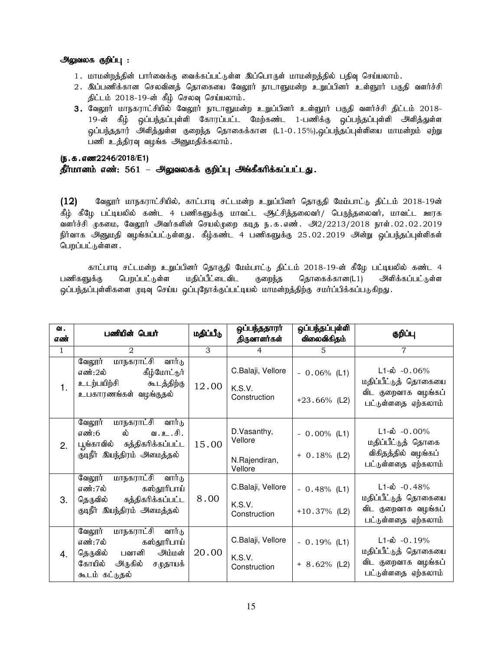### அலுவலக குறிப்பு :

- 1. மாமன்றத்தின் பார்வைக்கு வைக்கப்பட்டுள்ள இப்பொருள் மாமன்றத்தில் பதிவு செய்யலாம்.
- 2. இப்பணிக்கான செலவினக் தொகையை வேலூர் நாடாளுமன்ற உறுப்பினர் உள்ளூர் பகுதி வளர்ச்சி  $j$ ட்டம் 2018-19-ன் கீழ் செலவு செய்யலாம்.
- 3. வேலூர் மாநகராட்சியில் வேலூர் நாடாளுமன்ற உறுப்பினர் உள்ளூர் பகுதி வளர்ச்சி திட்டம் 2018-19-ன் கீழ் ஒப்பந்தப்புள்ளி கோரப்பட்ட மேற்கண்ட 1-பணிக்கு ஒப்பந்தப்புள்ளி அிித்துள்ள ஒப்பந்ததார் அளித்துள்ள குறைந்த தொகைக்கான (L1-0.15%),ஒப்பந்தப்புள்ளியை மாமன்றம் ஏற்று பணி உத்திரவு வழங்க அனுமதிக்கலாம்.

## (ந.க.எண2246/2018/E1) தீர்மானம் எண்: 561 – அலுவலகக் குறிப்பு அங்கீகரிக்கப்பட்டது.

 $(12)$  Baலூர் மாநகராட்சியில், காட்பாடி சட்டமன்ற உறுப்பினர் தொகுதி மேம்பாட்டு திட்டம் 2018-19ன் கீழ் கீழே பட்டியலில் கண்ட 4 பணிகளுக்கு மாவட்ட ஆட்சித்தலைவர்/ பெருந்தலைவர், மாவட்ட ஊரக வளர்ச்சி முகமை, வேலூர் அவர்களின் செயல்முறை கடித ந.க.எண். அ2/2213/2018 நாள்.02.02.2019 நிர்வாக அனுமதி வழங்கப்பட்டுள்ளது. கீழ்கண்ட 4 பணிகளுக்கு 25.02.2019 அன்று ஒப்பந்தப்புள்ளிகள் பெறப்பட்டுள்ளன .

காட்பாடி சட்டமன்ற உறுப்பினர் தொகுதி மேம்பாட்டு திட்டம் 2018-19-ன் கீழே பட்டியலில் கண்ட 4 பணிகளுக்கு பெறப்பட்டுள்ள மதிப்பீட்டைவிட குறைந்த தொகைக்கான(L1) அளிக்கப்பட்டுள்ள ஒப்பந்தப்புள்ளிகளை முடிவு செய்ய ஒப்புநோக்குப்பட்டியல் மாமன்றத்திற்கு சமாப்பிக்கப்படுகிறது.

| வ.<br>எண்      | பணியின் பெயர்                                                                                                               | மதிப்பீடு | ஒப்பந்ததாரா்<br>திருவாளர்கள்                       | ஒப்பந்தப்புள்ளி<br>விலைவிகிதம்    | குறிப்பு                                                                                       |
|----------------|-----------------------------------------------------------------------------------------------------------------------------|-----------|----------------------------------------------------|-----------------------------------|------------------------------------------------------------------------------------------------|
| $\mathbf{1}$   | $\mathcal{D}_{1}$                                                                                                           | 3         | $\overline{4}$                                     | $5^{\circ}$                       | $\overline{7}$                                                                                 |
| 1 <sub>1</sub> | வேலூர் மாநகராட்சி வார்டு<br>எண்:2ல் கீழ்மோட்டூர்<br>உடற்பயிற்சி கூடத்திற்கு<br>உபகாரணங்கள் வழங்குதல்                        | 12.00     | C.Balaji, Vellore<br>K.S.V.<br>Construction        | $-0.06\%$ (L1)<br>$+23.66\%$ (L2) | $L1-\dot{\omega}$ -0.06%<br>மதிப்பீட்டுத் தொகையை<br>விட குறைவாக வழங்கப்<br>பட்டுள்ளதை ஏற்கலாம் |
| 2.             | வேலூர்<br>மாநகராட்சி வார்டு<br>எண்:6 ல் வ.உ.சி.<br>பூங்காவில் சுத்திகரிக்கப்பட்ட<br>குடிநீர் இயந்திரம் அமைத்தல்             | 15.00     | D.Vasanthy,<br>Vellore<br>N.Rajendiran,<br>Vellore | $-0.00\%$ (L1)<br>$+ 0.18%$ (L2)  | $L1-\hat{\omega}$ -0.00%<br>மதிப்பீட்டுத் தொகை<br>விகிதத்தில் வழங்கப்<br>பட்டுள்ளதை ஏற்கலாம்   |
| 3.             | வேலூர் மாநகராட்சி வார்டு<br>எண்:7ல் கஸ்தூரிபாய்<br>தெருவில் சுத்திகரிக்கப்பட்ட<br>குடிநீர் இயந்திரம் அமைத்தல்               | 8.00      | C.Balaji, Vellore<br>K.S.V.<br>Construction        | $-0.48%$ (L1)<br>$+10.37\%$ (L2)  | $L1-\dot{\omega}$ -0.48%<br>மதிப்பீட்டுத் தொகையை<br>விட குறைவாக வழங்கப்<br>பட்டுள்ளதை ஏற்கலாம் |
| 4.             | மாநகராட்சி வார்டு<br>வேலூர்<br>கஸ்தூரிபாய்<br>எண்:7ல்<br>தெருவில் பவானி அம்மன்<br>கோயில் அருகில் சமுதாயக்<br>கூடம் கட்டுதல் | 20.00     | C.Balaji, Vellore<br>K.S.V.<br>Construction        | $-0.19%$ (L1)<br>$+ 8.62\%$ (L2)  | $L1-\dot{\omega}$ -0.19%<br>மதிப்பீட்டுத் தொகையை<br>விட குறைவாக வழங்கப்<br>பட்டுள்ளதை ஏற்கலாம் |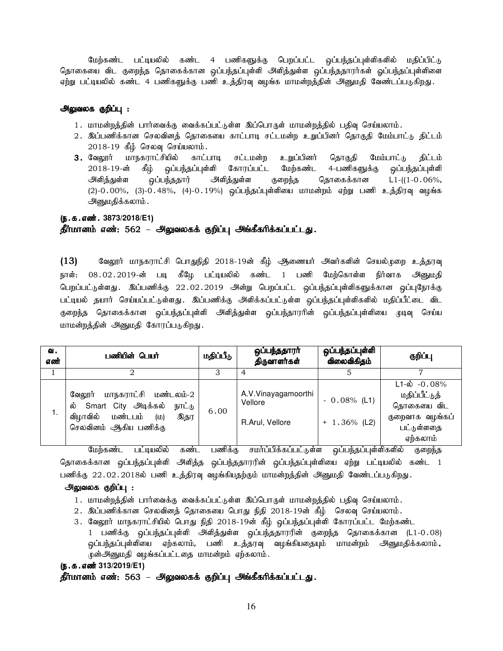மேற்கண்ட பட்டியலில் கண்ட 4 பணிகளுக்கு பெறப்பட்ட ஒப்பந்தப்புள்ளிகளில் மதிப்பிட்டு தொகையை விட குறைந்த தொகைக்கான ஒப்பந்தப்புள்ளி அளித்துள்ள ஒப்பந்ததாரர்கள் ஓப்பந்தப்புள்ளிளை ஏற்று பட்டியலில் கண்ட 4 பணிகளுக்கு பணி உத்திரவு வழங்க மாமன்றத்தின் அனுமதி வேண்டப்படுகிறது.

#### அலுவலக குறிப்பு :

- 1. மாமன்றத்தின் பார்வைக்கு வைக்கப்பட்டுள்ள இப்பொருள் மாமன்றத்தில் பதிவு செய்யலாம்.
- 2. இப்பணிக்கான செலவினத் தொகையை காட்பாடி சட்டமன்ற உறுப்பினர் தொகுதி மேம்பாட்டு திட்டம்  $2018-19$  கீழ் செலவு செய்யலாம்.
- 3. வேலூர் மாநகராட்சியில் காட்பாடி சட்டமன்ற உறுப்பினர் தொகுதி மேம்பாட்டு திட்டம் 2018-19-ன் கீழ் ஒப்பந்தப்புள்ளி கோரப்பட்ட மேற்கண்ட 4-பணிகளுக்கு ஒப்பந்தப்புள்ளி அிளித்துள்ள ஒப்பந்ததார் அளித்துள்ள குறைந்த தொகைக்கான L1-((1-0.06%, (2)-0.00%, (3)-0.48%, (4)-0.19%) ஒப்பந்தப்புள்ளியை மாமன்றம் ஏற்று பணி உத்திரவு வழங்க அனுமதிக்கலாம்.

## (ந.க.எண். 3873/2018/E1) தீர்மானம் எண்: 562 – அலுவலகக் குறிப்பு அங்கீகரிக்கப்பட்டது.

 $(13)$  கேலூர் மாநகராட்சி பொதுநிதி 2018-19ன் கீழ் ஆணையர் அவர்களின் செயல்முறை உத்தரவு நாள்: 08.02.2019-ன் படி கீழே பட்டியலில் கண்ட 1 பணி மேற்கொள்ள நிர்வாக அனுமதி பெறப்பட்டுள்ளது . இப்பணிக்கு 22.02.2019 அன்று பெறப்பட்ட ஒப்பந்தப்புள்ளிகளுக்கான ஒப்புநோக்கு பட்டியல் தயார் செய்யப்பட்டுள்ளது. இப்பணிக்கு அளிக்கப்பட்டுள்ள ஒப்பந்தப்புள்ளிகளில் மதிப்பீட்டை விட குறைந்த தொகைக்கான ஒப்பந்தப்புள்ளி அளித்துள்ள ஒப்பந்தாரரின் ஒப்பந்தப்புள்ளியை முடிவு செய்ய மாமன்றத்தின் அனுமதி கோரப்படுகிறது.

| வ.<br>எண் | பணியின் பெயர்                                                                                                                                                            | மதிப்பீடு             | ஒப்பந்ததாரா்<br>திருவாளர்கள்                           | ஒப்பந்தப்புள்ளி<br>விலைவிகிதம்              | குறிப்பு                                                                                                              |
|-----------|--------------------------------------------------------------------------------------------------------------------------------------------------------------------------|-----------------------|--------------------------------------------------------|---------------------------------------------|-----------------------------------------------------------------------------------------------------------------------|
|           |                                                                                                                                                                          |                       | 4                                                      |                                             |                                                                                                                       |
| 1.        | மாநகராட்சி<br>மண்டலம்-2<br>வேலார்<br>Smart City அடிக்கல்<br>ல்<br>நாட்டு<br>மண்டபம்<br>விழாவில்<br>(D)<br>இதர<br>செலவினம் ஆகிய பணிக்கு<br>$\sim$ $\sim$<br>$\sim$ $\sim$ | 6.00<br>$\sim$ $\sim$ | A.V.Vinayagamoorthi<br>Vellore<br>R.Arul, Vellore<br>. | $-0.08\%$ (L1)<br>$+ 1.36\%$ (L2)<br>$\sim$ | $L1-\dot{\omega}$ -0.08%<br>மதிப்பீட்டுத்<br>தொகையை விட<br>குறைவாக வழங்கப்<br>பட்டுள்ளதை<br>ஏற்கலாம்<br>$\sim$ $\sim$ |

மேற்கண்ட பட்டியலில் கண்ட பணிக்கு சமா்ப்பிக்கப்பட்டுள்ள ஒப்பந்தப்புள்ளிகளில் குறைந்த தொகைக்கான ஒப்பந்தப்புள்ளி அளித்த ஒப்பந்ததாரரின் ஒப்பந்தப்புள்ளியை ஏற்று பட்டியலில் கண்ட 1 பணிக்கு 22.02.2018ல் பணி உத்திரவு வழங்கியதற்கும் மாமன்றத்தின் அனுமதி வேண்டப்படுகிறது.

#### அலுவலக குறிப்பு :

- 1. மாமன்றத்தின் பார்வைக்கு வைக்கப்பட்டுள்ள இப்பொருள் மாமன்றத்தில் பதிவு செய்யலாம்.
- $2.$  இப்பணிக்கான செலவினத் தொகையை பொது நிதி  $2018$ -19ன் கீழ் செலவு செய்யலாம்.
- 3. வேலூர் மாநகராட்சியில் பொது நிதி 2018-19ன் கீழ் ஒப்பந்தப்புள்ளி கோரப்பட்ட மேற்கண்ட 1 பணிக்கு ஒப்பந்தப்புள்ளி அளித்துள்ள ஒப்பந்ததாரரின் குறைந்த தொகைக்கான (L1-0.08) <u>ஓ</u>ப்பந்தப்புள்ளியை ஏற்கலாம், பணி உத்தரவு வழங்கியதையும் மாமன்றம் அனுமதிக்கலாம்**.** முன்அனுமதி வழங்கப்பட்டதை மாமன்றம் ஏற்கலாம்.

#### (**ந.க.எண்313/2019/E1**)

தீர்மானம் எண்: 563 – அலுவலகக் குறிப்பு அங்கீகரிக்கப்பட்டது.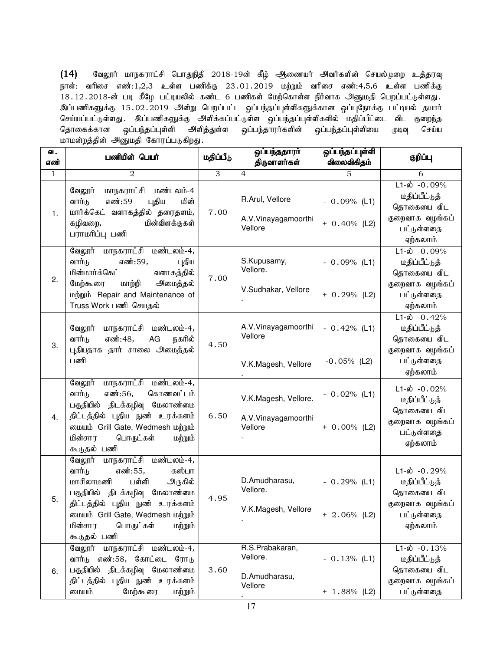$(14)$  கேலூர் மாநகராட்சி பொதுநிதி 2018-19ன் கீழ் ஆணையர் அவர்களின் செயல்முறை உத்தரவு நாள்: வரிசை எண்:1,2,3 உள்ள பணிக்கு 23.01.2019 மற்றும் வரிசை எண்:4,5,6 உள்ள பணிக்கு .<br>18.12.2018-ன் படி கீழே பட்டியலில் கண்ட 6 பணிகள் மேற்கொள்ள நிர்வாக அனுமதி பெறப்பட்டுள்ளது. இப்பணிகளுக்கு 15.02.2019 அன்று பெறப்பட்ட ஓப்பந்தப்புள்ளிகளுக்கான ஒப்புநோக்கு பட்டியல் தயார் செய்யப்பட்டுள்ளது . இப்பணிகளுக்கு அளிக்கப்பட்டுள்ள ஒப்பந்தப்புள்ளிகளில் மதிப்பீட்டை விட குறைந்த தொகைக்கான ஒப்பந்தப்புள்ளி அளித்துள்ள ஒப்பந்தாரர்களின் ஒப்பந்தப்புள்ளியை முடிவு செய்ய மாமன்றத்தின் அனுமதி கோரப்படுகிறது.

| வ.<br>எண்    | பணியின் பெயர்                                                                                                                                                                                                                                          | மதிப்பீடு | ஒப்பந்ததாரா்<br>திருவாளர்கள்                            | ஒப்பந்தப்புள்ளி<br>விலைவிகிதம்   | குறிப்பு                                                                                                 |
|--------------|--------------------------------------------------------------------------------------------------------------------------------------------------------------------------------------------------------------------------------------------------------|-----------|---------------------------------------------------------|----------------------------------|----------------------------------------------------------------------------------------------------------|
| $\mathbf{1}$ | 2                                                                                                                                                                                                                                                      | 3         | $\overline{4}$                                          | 5                                | 6                                                                                                        |
| 1.           | மாநகராட்சி மண்டலம்-4<br>வேலூர்<br>எண்:59<br>வார்டு<br>புதிய<br>மின்<br>மார்க்கெட் வளாகத்தில் தரைதளம்,<br>மின்விளக்குகள்<br>கழிவறை,<br>பராமரிப்பு பணி                                                                                                   | 7.00      | R.Arul, Vellore<br>A.V.Vinayagamoorthi<br>Vellore       | $-0.09%$ (L1)<br>$+ 0.40\%$ (L2) | $L1 - \dot{\omega} - 0.09\%$<br>மதிப்பீட்டுத்<br>தொகையை விட<br>குறைவாக வழங்கப்<br>பட்டுள்ளதை<br>ஏற்கலாம் |
| 2.           | வேலூர் மாநகராட்சி மண்டலம்-4,<br>வார்டு<br>எண்:59,<br>புதிய<br>மின்மார்க்கெட்<br>வளாகத்தில்<br>மாற்றி<br>அமைத்தல்<br>மேற்கூரை<br>மற்றும் Repair and Maintenance of<br>Truss Work பணி செயதல்                                                             | 7.00      | S.Kupusamy,<br>Vellore.<br>V.Sudhakar, Vellore          | $-0.09%$ (L1)<br>$+ 0.29%$ (L2)  | $L1-\dot{\omega} - 0.09\%$<br>மதிப்பீட்டுத்<br>தொகையை விட<br>குறைவாக வழங்கப்<br>பட்டுள்ளதை<br>ஏற்கலாம்   |
| 3.           | மாநகராட்சி மண்டலம்-4,<br>வேலூர்<br>எண்:48,<br>வார்டு<br>AG<br>நகரில்<br>புதியதாக தார் சாலை அமைத்தல்<br>பணி                                                                                                                                             | 4.50      | A.V.Vinayagamoorthi<br>Vellore<br>V.K.Magesh, Vellore   | $-0.42%$ (L1)<br>$-0.05%$ (L2)   | $L1-\dot{\omega}$ -0.42%<br>மதிப்பீட்டுத்<br>தொகையை விட<br>குறைவாக வழங்கப்<br>பட்டுள்ளதை<br>ஏற்கலாம்     |
| 4.           | வேலூர் மாநகராட்சி மண்டலம்-4,<br>எண்:56,<br>வார்டு<br>கொணவட்டம்<br>பகுதியில் திடக்கழிவு மேலாண்மை<br>திட்டத்தில் புதிய நுண் உரக்களம்<br><b>லையம் Grill Gate, Wedmesh மற்றும்</b><br>மின்சார<br>பொருட்கள்<br>மற்றும்<br>கூடுதல் பணி                       | 6.50      | V.K.Magesh, Vellore.<br>A.V.Vinayagamoorthi<br>Vellore  | $-0.02%$ (L1)<br>$+ 0.00\%$ (L2) | $L1-\omega$ -0.02%<br>மதிப்பீட்டுத்<br>தொகையை விட<br>குறைவாக வழங்கப்<br>பட்டுள்ளதை<br>ஏற்கலாம்           |
| 5.           | வேலூர் மாநகராட்சி மண்டலம்-4,<br>எண்:55,<br>வார்டு<br>கஸ்பா<br>பள்ளி<br>மாசிலாமணி<br>அருகில்<br>பகுதியில் திடக்கழிவு மேலாண்மை<br>திட்டத்தில் புதிய நுண் உரக்களம்<br>லையம் Grill Gate, Wedmesh மற்றும்<br>பொருட்கள்<br>மின்சார<br>மற்றும்<br>கூடுதல் பணி | 4.95      | D.Amudharasu,<br>Vellore.<br>V.K.Magesh, Vellore        | $-0.29%$ (L1)<br>$+ 2.06\%$ (L2) | $L1-\dot{\omega}$ -0.29%<br>மதிப்பீட்டுத்<br>தொகையை விட<br>குறைவாக வழங்கப்<br>பட்டுள்ளதை<br>ஏற்கலாம்     |
| 6.           | மாநகராட்சி மண்டலம்-4,<br>வேலூர்<br>எண்:58, கோட்டை<br>வார்டு<br>ரோடு<br>பகுதியில் திடக்கழிவு மேலாண்மை<br>திட்டத்தில் புதிய நுண் உரக்களம்<br>மேற்கூரை<br>மையம்<br>மற்றும்                                                                                | 3.60      | R.S.Prabakaran,<br>Vellore.<br>D.Amudharasu,<br>Vellore | $-0.13%$ (L1)<br>$+ 1.88\%$ (L2) | $L1-\dot{\omega}$ -0.13%<br>மதிப்பீட்டுத்<br>தொகையை விட<br>குறைவாக வழங்கப்<br>பட்டுள்ளதை                 |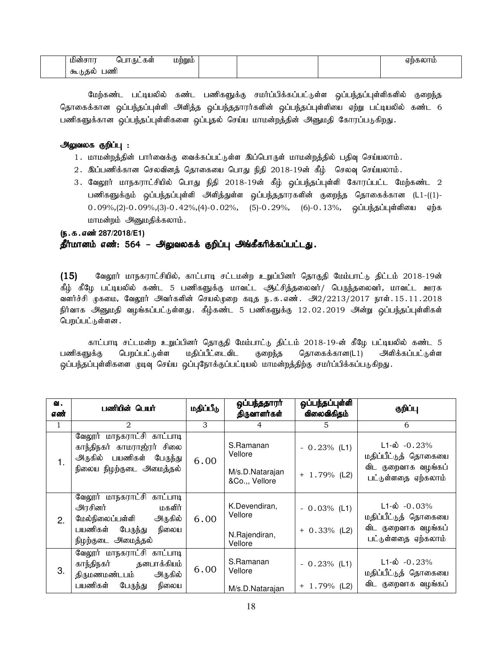| மின்              | பாருடகள<br>∪ol<br>$\sim$ | LDMMLL |  | $-220000$<br>σm |
|-------------------|--------------------------|--------|--|-----------------|
| கூ<br>பண்<br>ക്കാ |                          |        |  |                 |

மேற்கண்ட பட்டியலில் கண்ட பணிகளுக்கு சமர்ப்பிக்கப்பட்டுள்ள ஒப்பந்தப்புள்ளிகளில் குறைந்த தொகைக்கான ஒப்பந்தப்புள்ளி அளித்த ஒப்பந்ததாரர்களின் ஒப்பந்தப்புள்ளியை ஏற்று பட்டியலில் கண்ட 6 பணிகளுக்கான ஒப்பந்தப்புள்ளிகளை ஒப்புதல் செய்ய மாமன்றத்தின் அனுமதி கோரப்படுகிறது.

### அலுவலக குறிப்பு :

- 1. மாமன்றத்தின் பார்வைக்கு வைக்கப்பட்டுள்ள இப்பொருள் மாமன்றத்தில் பதிவு செய்யலாம்.
- $2.$  இப்பணிக்கான செலவினத் தொகையை பொது நிதி  $2018\text{-}19$ ன் கீழ் செலவு செய்யலாம்.
- 3. வேலூர் மாநகராட்சியில் பொது நிதி 2018-19ன் கீழ் ஒப்பந்தப்புள்ளி கோரப்பட்ட மேற்கண்ட 2 பணிகளுக்கும் ஒப்பந்தப்புள்ளி அளித்துள்ள ஒப்பந்ததாரகளின் குறைந்த தொகைக்கான (L1-((1)- $0.09\%,(2)-0.09\%,(3)-0.42\%,(4)-0.02\%, (5)-0.29\%, (6)-0.13\%,$  ஓப்பந்தப்புள்ளியை ஏற்க மாமன்றம் அனுமதிக்கலாம்.

(ந.க.எண் 287/2018/E1)

## தீர்மானம் எண்: 564 – அலுவலகக் குறிப்பு அங்கீகரிக்கப்பட்டது.

 $(15)$  Baலூர் மாநகராட்சியில், காட்பாடி சட்டமன்ற உறுப்பினர் தொகுதி மேம்பாட்டு திட்டம் 2018-19ன் கீழ் கீழே பட்டியலில் கண்ட 5 பணிகளுக்கு மாவட்ட ஆட்சித்தலைவர்/ பெருந்தலைவர், மாவட்ட ஊரக வளர்ச்சி முகமை, வேலூர் அவர்களின் செயல்முறை கடித ந.க.எண். அ2/2213/2017 நாள்.15.11.2018 நிர்வாக அனுமதி வழங்கப்பட்டுள்ளது .கீீழ்கண்ட 5 பணிகளுக்கு 12.02.2019 அன்று ஒப்பந்தப்புள்ளிகள் பெறப்பட்டுள்ளன .

காட்பாடி சட்டமன்ற உறுப்பினர் தொகுதி மேம்பாட்டு திட்டம் 2018-19-ன் கீழே பட்டியலில் கண்ட 5 பணிகளுக்கு பெறப்பட்டுள்ள மதிப்பீட்டைவிட குறைந்த தொகைக்கான(L1) அளிக்கப்பட்டுள்ள ஒப்பந்தப்புள்ளிகளை முடிவு செய்ய ஒப்புநோக்குப்பட்டியல் மாமன்றத்திற்கு சமாப்பிக்கப்படுகிறது.

| வ.<br>எண்    | பணியின் பெயர்                                                                                                                       | மதிப்பீடு | ஒப்பந்ததாரர்<br>திருவாளர்கள்                              | ஒப்பந்தப்புள்ளி<br>விலைவிகிதம்   | குறிப்பு                                                                                       |
|--------------|-------------------------------------------------------------------------------------------------------------------------------------|-----------|-----------------------------------------------------------|----------------------------------|------------------------------------------------------------------------------------------------|
| $\mathbf{1}$ | $\mathfrak{D}$                                                                                                                      | 3         | 4                                                         | 5.                               | 6                                                                                              |
| 1.           | வேலூர் மாநகராட்சி காட்பாடி<br>காந்திநகர் காமராஜ்ரர் சிலை<br>அருகில் பயணிகள் பேருந்து<br>நிலைய நிழற்குடை அமைத்தல்                    | 6.00      | S.Ramanan<br>Vellore<br>M/s.D.Natarajan<br>&Co.,, Vellore | $-0.23%$ (L1)<br>$+ 1.79%$ (L2)  | $L1-\dot{\omega} -0.23%$<br>மதிப்பீட்டுத் தொகையை<br>விட குறைவாக வழங்கப்<br>பட்டுள்ளதை ஏற்கலாம் |
| 2.           | வேலூர் மாநகராட்சி காட்பாடி<br>அரசினர்<br>மகளிர்<br>மேல்நிலைப்பள்ளி<br>அருகில்<br>பயணிகள்<br>பேருந்து<br>நிலைய<br>நிழற்குடை அமைத்தல் | 6.00      | K.Devendiran,<br>Vellore<br>N.Rajendiran,<br>Vellore      | $-0.03%$ (L1)<br>$+ 0.33\%$ (L2) | $L1-\dot{\omega}$ -0.03%<br>மதிப்பீட்டுத் தொகையை<br>விட குறைவாக வழங்கப்<br>பட்டுள்ளதை ஏற்கலாம் |
| 3.           | வேலூர் மாநகராட்சி காட்பாடி<br>காந்திநகர் தனபாக்கியம்<br>திருமணமண்டபம்<br>அருகில்<br>பயணிகள்<br>பேருந்து<br>நிலைய                    | 6.00      | S.Ramanan<br>Vellore<br>M/s.D.Natarajan                   | $-0.23%$ (L1)<br>$+ 1.79%$ (L2)  | $L1-\dot{\omega}$ -0.23%<br>மதிப்பீட்டுத் தொகையை<br>விட குறைவாக வழங்கப்                        |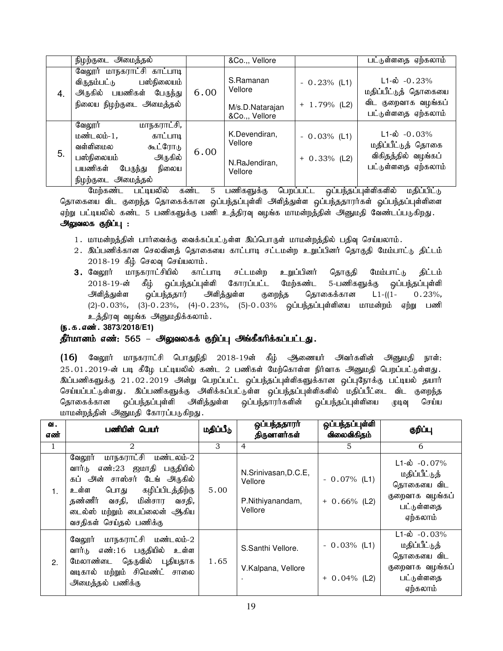|    | நிழற்குடை <del>அ</del> மைத்தல்                                                       |      | &Co.,, Vellore                    |                 | பட்டுள்ளதை ஏற்கலாம்                              |
|----|--------------------------------------------------------------------------------------|------|-----------------------------------|-----------------|--------------------------------------------------|
| 4. | வேலூர் மாநகராட்சி காட்பாடி<br>பஸ்நிலையம்<br>விருதம்பட்டு<br>அருகில் பயணிகள் பேருந்து | 6.00 | S.Ramanan<br>Vellore              | $-0.23%$ (L1)   | $L1-\dot{\omega}$ -0.23%<br>மதிப்பீட்டுத் தொகையை |
|    | நிலைய நிழற்குடை அமைத்தல்                                                             |      | M/s.D.Natarajan<br>&Co.,, Vellore | $+ 1.79\%$ (L2) | விட குறைவாக வழங்கப்<br>பட்டுள்ளதை ஏற்கலாம்       |
| 5. | மாநகராட்சி,<br>வேலூர்<br>மண்டலம்-1,<br>காட்பாடி<br>வள்ளிமைல<br>கூட்ரோடு              | 6.00 | K.Devendiran,<br>Vellore          | $-0.03\%$ (L1)  | $L1-\dot{\omega}$ -0.03%<br>மதிப்பீட்டுத் தொகை   |
|    | அருகில்<br>பஸ்நிலையம்<br>பயணிகள்<br>நிலைய<br>பேருந்து<br>நிழற்குடை அமைத்தல்          |      | N.RaJendiran,<br>Vellore          | $+ 0.33\%$ (L2) | விகிதத்தில் வழங்கப்<br>பட்டுள்ளதை ஏற்கலாம்       |

மேற்கண்ட பட்டியலில் கண்ட 5 பணிகளுக்கு பெறப்பட்ட ஒப்பந்தப்புள்ளிகளில் மதிப்பிட்டு தொகையை விட குறைந்த தொகைக்கான ஒப்பந்தப்புள்ளி அளித்துள்ள ஒப்பந்ததாரர்கள் ஓப்பந்தப்புள்ளிளை ஏற்று பட்டியலில் கண்ட 5 பணிகளுக்கு பணி உத்திரவு வழங்க மாமன்றத்தின் அனுமதி வேண்டப்படுகிறது.

## அலுவலக குறிப்பு :

- 1. மாமன்றத்தின் பார்வைக்கு வைக்கப்பட்டுள்ள இப்பொருள் மாமன்றத்தில் பதிவு செய்யலாம்.
- 2. இப்பணிக்கான செலவினத் தொகையை காட்பாடி சட்டமன்ற உறுப்பினர் தொகுதி மேம்பாட்டு திட்டம்  $2018-19$  கீழ் செலவு செய்யலாம்.
- 3. வேலூர் மாநகராட்சியில் காட்பாடி சட்டமன்ற உறுப்பினர் தொகுதி மேம்பாட்டு திட்டம் 2018-19-ன் கீழ் ஒப்பந்தப்புள்ளி கோரப்பட்ட மேற்கண்ட 5-பணிகளுக்கு ஒப்பந்தப்புள்ளி அளித்துள்ள ஒப்பந்ததார் அளித்துள்ள குறைந்த தொகைக்கான L1-((1- 0.23%, (2)-0.03%, (3)-0.23%, (4)-0.23%, (5)-0.03% ஒப்பந்தப்புள்ளியை மாமன்றம் ஏற்று பணி உத்திரவு வழங்க அனுமதிக்கலாம்.

(ந.க.எண். 3873/2018/E1)

#### தீர்மானம் எண்: 565 – அலுவலகக் குறிப்பு அங்கீகரிக்கப்பட்டது.

(16) வேலூர் மாநகராட்சி பொதுநிதி 2018-19ன் கீழ் அணையர் அவர்களின் அனுமதி நாள்:  $25.01.2019$ -ன் படி கீழே பட்டியலில் கண்ட  $2$  பணிகள் மேற்கொள்ள நிர்வாக அனுமதி பெறப்பட்டுள்ளது. இப்பணிகளுக்கு 21.02.2019 அன்று பெறப்பட்ட ஒப்பந்தப்புள்ளிகளுக்கான ஒப்புநோக்கு பட்டியல் தயார் செய்யப்பட்டுள்ளது . இப்பணிகளுக்கு அளிக்கப்பட்டுள்ள ஒப்பந்தப்புள்ளிகளில் மதிப்பீட்டை விட குறைந்த தொகைக்கான ஒப்பந்தப்புள்ளி அளித்துள்ள ஒப்பந்தாரர்களின் ஒப்பந்தப்புள்ளியை முடிவு செய்ய மாமன்றத்தின் அனுமதி கோரப்படுகிறது.

| வ.<br>எண்      | பணியின் பெயர்                                                                                                                                                                                                              | மதிப்பீடு | ஒப்பந்ததாரா<br>திருவாளர்கள்                                    | ஒப்பந்தப்புள்ளி<br>விலைவிகிதம்    | குறிப்பு                                                                                             |
|----------------|----------------------------------------------------------------------------------------------------------------------------------------------------------------------------------------------------------------------------|-----------|----------------------------------------------------------------|-----------------------------------|------------------------------------------------------------------------------------------------------|
| $\mathbf{1}$   | 2                                                                                                                                                                                                                          | 3         | $\overline{4}$                                                 | $5^{\circ}$                       | 6                                                                                                    |
| 1 <sub>1</sub> | மாநகராட்சி மண்டலம்-2<br>வேலூர்<br>எண்:23 ஜமாதி பகுதியில்<br>வார்டு<br>கப் அன் சாஸ்சர் டேங் அருகில்<br>உள்ள பொது கழிப்பிடத்திற்கு<br>தண்ணீர் வசதி, மின்சார வசதி,<br>டைல்ஸ் மற்றும் பைப்லைன் ஆகிய<br>வசதிகள் செய்தல் பணிக்கு | 5.00      | N.Srinivasan, D.C.E,<br>Vellore<br>P.Nithiyanandam,<br>Vellore | $-0.07\%$ (L1)<br>$+ 0.66\%$ (L2) | $L1-\dot{\omega}$ -0.07%<br>மதிப்பீட்டுத்<br>தொகையை விட<br>குறைவாக வழங்கப்<br>பட்டுள்ளதை<br>ஏற்கலாம் |
| 2.             | வேலூர் மாநகராட்சி மண்டலம்-2<br>வார்டு எண்:16 பகுதியில்<br>உள்ள<br>மேலாண்டை தெருவில் புதியதாக<br>வடிகால் மற்றும் சிமெண்ட் சாலை<br>அமைத்தல் பணிக்கு                                                                          | 1.65      | S.Santhi Vellore.<br>V.Kalpana, Vellore                        | $-0.03\%$ (L1)<br>$+ 0.04\%$ (L2) | $L1-\dot{\omega}$ -0.03%<br>மதிப்பீட்டுத்<br>தொகையை விட<br>குறைவாக வழங்கப்<br>பட்டுள்ளதை<br>ஏற்கலாம் |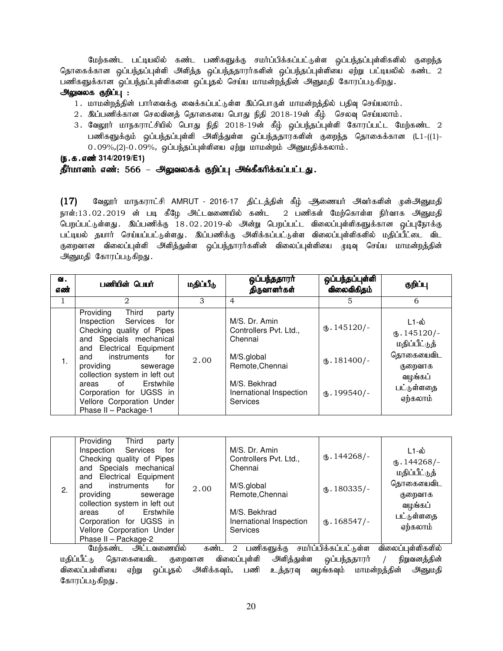மேற்கண்ட பட்டியலில் கண்ட பணிகளுக்கு சமர்ப்பிக்கப்பட்டுள்ள ஒப்பந்தப்புள்ளிகளில் குறைந்த தொகைக்கான ஒப்பந்தப்புள்ளி அளித்த ஒப்பந்ததாரர்களின் ஒப்பந்தப்புள்ளியை ஏற்று பட்டியலில் கண்ட 2 பணிகளுக்கான ஒப்பந்தப்புள்ளிகளை ஒப்புதல் செய்ய மாமன்றத்தின் அனுமதி கோரப்படுகிறது.

#### அலுவலக குறிப்பு :

- 1. மாமன்றத்தின் பார்வைக்கு வைக்கப்பட்டுள்ள இப்பொருள் மாமன்றத்தில் பதிவு செய்யலாம்.
- $2.$  இப்பணிக்கான செலவினத் தொகையை பொது நிதி  $2018\text{-}19$ ன் கீழ் செலவு செய்யலாம்.
- 3. வேலூர் மாநகராட்சியில் பொது நிதி 2018-19ன் கீழ் ஒப்பந்தப்புள்ளி கோரப்பட்ட மேற்கண்ட 2 பணிகளுக்கும் ஒப்பந்தப்புள்ளி அளித்துள்ள ஒப்பந்ததாரகளின் குறைந்த தொகைக்கான (L1-((1)- $0.09\%,$ (2)- $0.09\%$ , ஒப்பந்தப்புள்ளியை ஏற்று மாமன்றம் அனுமதிக்கலாம்.

#### (ந.க.எண்<sup>314/2019/E1)</sup>

#### தீர்மானம் எண்: 566 – அலுவலகக் குறிப்பு அங்கீகரிக்கப்பட்டது.

(17) வேலூர் மாநகராட்சி AMRUT - 2016-17 திட்டத்தின் கீழ் அணையர் அவர்களின் முன்அனுமதி நாள்:13.02.2019 ன் படி கீழே அட்டவணையில் கண்ட 2 பணிகள் மேற்கொள்ள நிர்வாக அனுமதி பெறப்பட்டுள்ளது. இப்பணிக்கு 18.02.2019-ல் அன்று பெறப்பட்ட விலைப்புள்ளிகளுக்கான ஒப்புநோக்கு பட்டியல் தயார் செய்யப்பட்டுள்ளது. இப்பணிக்கு அளிக்கப்பட்டுள்ள விலைப்புள்ளிகளில் மதிப்பீட்டை விட குறைவான விலைப்புள்ளி அளித்துள்ள ஒப்பந்தாரர்களின் விலைப்புள்ளியை முடிவு செய்ய மாமன்றத்தின் அனுமதி கோரப்படுகிறது.

| வ.<br>எண் | பணியின் பெயர்                                                                                                                                                                                                                                                                                                                                 | மதிப்பீடு | ஒப்பந்ததாரர்<br>திருவாளர்கள்                                                                                                                      | ஒப்பந்தப்புள்ளி<br>விலைவிகிதம்                                        | குறிப்பு                                                                                                     |
|-----------|-----------------------------------------------------------------------------------------------------------------------------------------------------------------------------------------------------------------------------------------------------------------------------------------------------------------------------------------------|-----------|---------------------------------------------------------------------------------------------------------------------------------------------------|-----------------------------------------------------------------------|--------------------------------------------------------------------------------------------------------------|
| Τ.        | 2                                                                                                                                                                                                                                                                                                                                             | 3         | $\overline{4}$                                                                                                                                    | 5.                                                                    | 6                                                                                                            |
| 1.        | Providing<br>Third<br>party<br>Inspection Services<br>for<br>Checking quality of Pipes<br>and Specials mechanical<br>Electrical Equipment<br>and<br>instruments<br>for<br>and<br>providing sewerage<br>collection system in left out<br>of Erstwhile<br>areas<br>Corporation for UGSS in<br>Vellore Corporation Under<br>Phase II - Package-1 | 2.00      | M/S. Dr. Amin<br>Controllers Pvt. Ltd.,<br>Chennai<br>M/S.global<br>Remote, Chennai<br>M/S. Bekhrad<br>Inernational Inspection<br><b>Services</b> | $\omega$ . 145120/-<br>$\mathbf{L}$ . 181400/-<br>$\omega$ . 199540/- | L1-ல்<br>$\mathbf{0}.145120/-$<br>மதிப்பீட்டுத்<br>தொகையைவிட<br>குறைவாக<br>வழங்கப்<br>பட்டுள்ளதை<br>ஏற்கலாம் |

|    | Providing<br>Third<br>party<br>Inspection Services for<br>Checking quality of Pipes<br>and Specials mechanical<br>and Electrical Equipment |                          | M/S. Dr. Amin<br>Controllers Pvt. Ltd.,<br>Chennai         | $\omega$ . 144268/- | L1-ல்<br>$\times$ . 144268/-<br>மதிப்பீட்டுத்             |
|----|--------------------------------------------------------------------------------------------------------------------------------------------|--------------------------|------------------------------------------------------------|---------------------|-----------------------------------------------------------|
| 2. | instruments<br>for<br>and<br>providing<br>sewerage                                                                                         | 2.00                     | M/S.global<br>Remote, Chennai                              | $\text{I}80335/-$   | தொகையைவிட<br>குறைவாக<br>வழங்கப்<br>பட்டுள்ளதை<br>ஏற்கலாம் |
|    | collection system in left out<br>Erstwhile<br>of<br>areas<br>Corporation for UGSS in<br>Vellore Corporation Under                          |                          | M/S. Bekhrad<br>Inernational Inspection<br><b>Services</b> | $\text{I}68547$ /-  |                                                           |
|    | Phase II - Package-2                                                                                                                       |                          |                                                            |                     |                                                           |
|    | $\mathbf{a}$ . $\mathbf{a}$ . $\mathbf{a}$                                                                                                 | $\overline{\phantom{a}}$ | $\cdots$ $\sim$<br>$\sim$ 0<br>$\sim$                      |                     | $\sim$<br>$\cdot$                                         |

மேற்கண்ட அட்டவணையில் கண்ட 2 பணிகளுக்கு சமர்ப்பிக்கப்பட்டுள்ள விலைப்புள்ளிகளில் மதிப்பீட்டு தொகையைவிட குறைவான விலைப்புள்ளி அளித்துள்ள ஒப்பந்ததாரர் / நிறுவனத்தின் விலைப்பள்ளியை ஏற்று ஒப்புதல் அளிக்கவும், பணி உத்தரவு வழங்கவும் மாமன்றத்தின் அனுமதி கோரப்படுகிறது.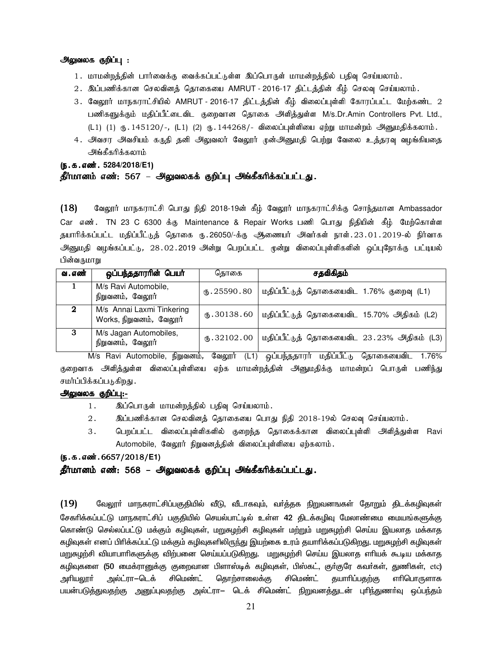#### அலுவலக குறிப்பு :

- 1. மாமன்றத்தின் பார்வைக்கு வைக்கப்பட்டுள்ள இப்பொருள் மாமன்றத்தில் பதிவு செய்யலாம்.
- 2. இப்பணிக்கான செலவினத் தொகையை AMRUT 2016-17 திட்டத்தின் கீழ் செலவு செய்யலாம்.
- 3. வேலூர் மாநகராட்சியில் AMRUT 2016-17 திட்டத்தின் கீழ் விலைப்புள்ளி கோரப்பட்ட மேற்கண்ட 2 பணிகளுக்கும் மதிப்பீட்டைவிட குறைவான தொகை அளித்துள்ள M/s.Dr.Amin Controllers Pvt. Ltd., (L1) (1) ரூ. 145120/-, (L1) (2) ரூ. 144268/- விலைப்புள்ளியை ஏற்று மாமன்றம் அனுமதிக்கலாம்.
- 4. அவசர அவசியம் கருதி தனி அலுவலர் வேலூர் முன்அனுமதி பெற்று வேலை உத்தரவு வழங்கியதை அங்கீகரிக்கலாம்

## (ந.க.எண். 5284/2018/E1)

#### தீர்மானம் எண்: 567 – அலுவலகக் குறிப்பு அங்கீகரிக்கப்பட்டது.

 $(18)$  Baலூர் மாநகராட்சி பொது நிதி 2018-19ன் கீழ் வேலூர் மாநகராட்சிக்கு சொந்தமான Ambassador Car எண். TN 23 C 6300 க்கு Maintenance & Repair Works பணி பொது நிதியின் கீழ் மேற்கொள்ள தயாரிக்கப்பட்ட மதிப்பீட்டுத் தொகை ரு.26050/-க்கு அிணையர் அவர்கள் நாள்.23.01.2019-ல் நிர்வாக அனுமதி வழங்கப்பட்டு, 28.02.2019 அன்று பெறப்பட்ட முன்று விலைப்புள்ளிகளின் ஒப்புநோக்கு பட்டியல் பின்வருமாறு

| வ . எண் | ஒப்பந்ததாரரின் பெயர்                                 | தொகை         | சதவிகிதம்                                  |
|---------|------------------------------------------------------|--------------|--------------------------------------------|
|         | M/s Ravi Automobile,<br>நிறுவனம், வேலூர்             | (B.25590.80) | மதிப்பீட்டுத் தொகையைவிட 1.76% குறைவு (L1)  |
| 2       | M/s Annai Laxmi Tinkering<br>Works, நிறுவனம், வேலூர் | (B.30138.60) | மதிப்பீட்டுத் தொகையைவிட 15.70% அதிகம் (L2) |
| 3       | M/s Jagan Automobiles,<br>நிறுவனம், வேலூர்           | (B.32102.00) | மதிப்பீட்டுத் தொகையைவிட 23.23% அதிகம் (L3) |

M/s Ravi Automobile, நிறுவனம், வேலூர் (L1) ஒப்பந்ததாரர் மதிப்பீட்டு தொகையைவிட 1.76% குறைவாக அளித்துள்ள விலைப்புள்ளியை ஏற்க மாமன்றத்தின் அனுமதிக்கு மாமன்றப் பொருள் பணிந்து சமர்ப்பிக்கப்படுகிறது .

#### அலுவலக குறிப்பு:-

- 1. இப்பொருள் மாமன்றத்தில் பதிவு செய்யலாம்.
- $2.$   $\quad$  இப்பணிக்கான செலவினத் தொகையை பொது நிதி  $2018$ -19ல் செலவு செய்யலாம்.
- 3. பெறப்பட்ட விலைப்புள்ளிகளில் குறைந்த தொகைக்கான விலைப்புள்ளி அளித்துள்ள Ravi Automobile, வேலூர் நிறுவனத்தின் விலைப்புள்ளியை ஏற்கலாம்.

#### (ந.க.எண். 6657/2018/E1)

#### தீர்மானம் எண்: 568 – அலுவலகக் குறிப்பு அங்கீகரிக்கப்பட்டது.

 $(19)$  மேலூா் மாநகராட்சிப்பகுதியில் வீடு, வீடாகவும், வா்த்தக நிறுவனஙகள் தோறும் திடக்கழிவுகள் சேகாிக்கப்பட்டு மாநகராட்சிப் பகுதியில் செயல்பாட்டில் உள்ள 42 திடக்கழிவு மேலாண்மை மையங்களுக்கு கொண்டு செல்லப்பட்டு மக்கும் கழிவுகள், மறுசுழற்சி கழிவுகள் மற்றும் மறுசுழற்சி செய்ய இயலாத மக்காத கழிவுகள் எனப் பிரிக்கப்பட்டு மக்கும் கழிவுகளிலிருந்து இயற்கை உரம் தயாரிக்கப்படுகிறது. மறுசுழற்சி கழிவுகள் மறுசுழற்சி வியாபாரிகளுக்கு விற்பனை செய்யப்படுகிறது. மறுசுழற்சி செய்ய இயலாத எரியக் கூடிய மக்காத கழிவுகளை (50 மைக்ரானுக்கு குறைவான பிளாஸ்டிக் கழிவுகள், பிஸ்கட், குா்குரே கவா்கள், துணிகள், etc) அரியலூா் அல்ட்ரா $-$ டெக் சிமெண்ட் தொற்சாலைக்கு சிமெண்ட் தயாாிப்பதற்கு எாிபொருளாக பயன்படுத்துவதற்கு அனுப்புவதற்கு அல்ட்ரா— டெக் சிமெண்ட் நிறுவனத்துடன் புரிந்துணா்வு ஒப்பந்தம்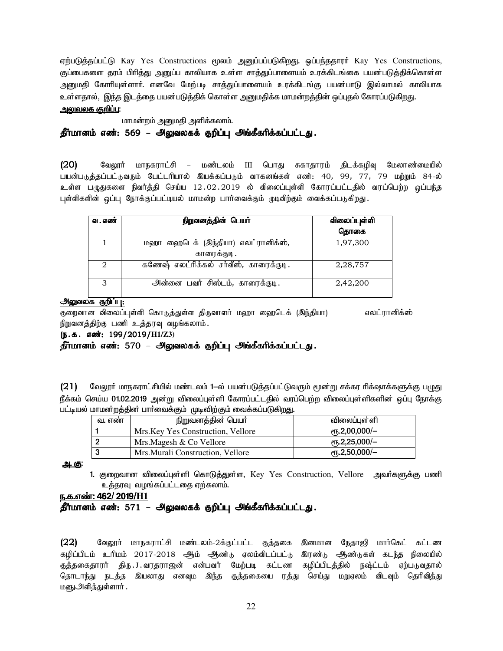ஏற்படுத்தப்பட்டு Kay Yes Constructions மூலம் அனுப்பப்படுகிறது. ஒப்பந்ததாரர் Kay Yes Constructions, குப்பைகளை தரம் பிரித்து அனுப்ப காலியாக உள்ள சாத்துப்பாளையம் உரக்கிடங்கை பயன்படுத்திக்கொள்ள அனுமதி கோரியுள்ளாா். எனவே மேற்படி சாத்துப்பாளையம் உரக்கிடங்கு பயன்பாடு இல்லாமல் காலியாக உள்ளதால், இந்த இடத்தை பயன்படுத்திக் கொள்ள அனுமதிக்க மாமன்றத்தின் ஒப்புதல் கோரப்படுகிறது. அலுவலக குறிப்பு:

மாமன்றம் அனுமதி அளிக்கலாம்.

#### தீர்மானம் எண்: 569 – அலுவலகக் குறிப்பு அங்கீகரிக்கப்பட்டது.

 $(20)$ வேலூர் மாநகராட்சி – மண்டலம் III பொது சுகாதாரம் திடக்கழிவு மேலாண்மையில் பயன்படுத்தப்பட்டுவரும் பேட்டரியால் இயக்கப்படும் வாகனங்கள் எண்: 40, 99, 77, 79 மற்றும் 84-ல் உள்ள பழுதுகளை நிவர்த்தி செய்ய 12.02.2019 ல் விலைப்புள்ளி கோரப்பட்டதில் வரப்பெற்ற ஒப்பந்த புள்ளிகளின் ஒப்பு நோக்குப்பட்டியல் மாமன்ற பார்வைக்கும் முடிவிற்கும் வைக்கப்படுகிறது.

| வ . எண் | நிறுவனத்தின் பெயர்                                 | விலைப்புள்ளி<br>தொகை |
|---------|----------------------------------------------------|----------------------|
|         | மஹா ஹைடெக் (இந்தியா) எலட்ரானிக்ஸ்,<br>காரைக்குடி . | 1,97,300             |
| 2       | கணேஷ் எலட்ரிக்கல் சர்வீஸ், காரைக்குடி.             | 2,28,757             |
| 3       | அன்னை பவர் சிஸ்டம், காரைக்குடி.                    | 2,42,200             |

#### அலுவலக குறிப்பு:

குறைவான விலைப்புள்ளி கொடுத்துள்ள திருவாளர் மஹா ஹைடெக் (இந்தியா) எலட்ரானிக்ஸ் நிறுவனத்திற்கு பணி உத்தரவு வழங்கலாம்.

#### (ந.க. எண்: 199/2019/H1/Z3)

தீர்மானம் எண்: 570 – அலுவலகக் குறிப்பு அங்கீகரிக்கப்பட்டது.

வேலூா் மாநகராட்சியில் மண்டலம் 1—ல் பயன்படுத்தப்பட்டுவரும் மூன்று சக்கர ரிக்ஷாக்களுக்கு பழுது  $(21)$ நீக்கம் செய்ய 01.02.2019 அன்று விலைப்புள்ளி கோரப்பட்டதில் வரப்பெற்ற விலைப்புள்ளிகளின் ஒப்பு நோக்கு பட்டியல் மாமன்றத்தின் பார்வைக்கும் முடிவிற்கும் வைக்கப்படுகிறது.

| வ. எண | நிறுவனத்தின் பெயர்                 | விலை <b>ப்</b> புள்ளி     |
|-------|------------------------------------|---------------------------|
|       | Mrs. Key Yes Construction, Vellore | $\epsilon$ гђ.2,00,000/-  |
| 2     | Mrs.Magesh & Co Vellore            | $e$ гђ.2,25,000/-         |
| 3     | Mrs. Murali Construction, Vellore  | $\rm (P\pi, 2, 50, 000/-$ |

<u>அ. கு:</u>

1. குறைவான விலைப்புள்ளி கொடுத்துள்ள, Key Yes Construction, Vellore அவர்களுக்கு பணி உத்தரவு வழங்கப்பட்டதை ஏற்கலாம்.

#### ந.க.எண்: 462/ 2019/H1

தீர்மானம் எண்: 571 – அலுவலகக் குறிப்பு அங்கீகரிக்கப்பட்டது.

 $(22)$ வேலூர் மாநகராட்சி மண்டலம்-2க்குட்பட்ட குத்தகை இனமான நேதாஜி மார்கெட் கட்டண கழிப்பிடம் உரிமம் 2017-2018 ஆம் ஆண்டு ஏலம்விடப்பட்டு இரண்டு ஆண்டுகள் கடந்த நிலையில் குத்தகைதாரர் திரு. J. வரதராஜன் என்பவர் மேற்படி கட்டண கழிப்பிடத்தில் நஷ்ட்டம் ஏற்படுவதால் தொடாந்து நடத்த இயலாது எனவும இந்த குத்தகையை ரத்து செய்து மறுஏலம் விடவும் தெரிவித்து மனுஅிித்துள்ளார் .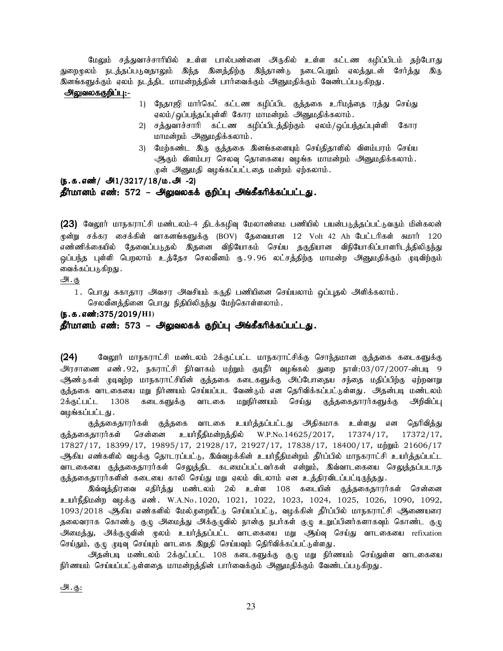மேலும் சத்துவாச்சாரியில் உள்ள பால்பண்னை அருகில் உள்ள கட்டண கழிப்பிடம் தற்போது துறைமுலம் நடத்தப்படுவதாலும் இந்த இனத்திற்கு இந்தாண்டு நடைபெறும் ஏலத்துடன் சேர்த்து இரு <u>இனங்களுக்கும் ஏலம் நடத்திட மாமன்றத்தி</u>ன் பார்வைக்கும் அனுமதிக்கும் வேண்டப்படுகிறது.

#### <u>அலுவலககுறிப்பு:-</u>

- 1) நேதாஜி மார்கெட் கட்டண கழிப்பிட குத்தகை உரிமத்தை ரத்து செய்து ஏலம்/ஒப்பந்தப்புள்ளி கோர மாமன்றம் அனுமதிக்கலாம்.
- 2) சத்துவாச்சாரி கட்டண கழிப்பிடத்திற்கும் ஏலம்/ஒப்பந்தப்புள்ளி கோர மாமன்றம் அனுமதிக்கலாம்.
- 3) மேற்கண்ட இரு குத்தகை இனங்களையும் செய்திதாளில் விளம்பரம் செய்ய ஆகும் விளம்பர செலவு தொகையை வழங்க மாமன்றம் அனுமதிக்கலாம். முன் அனுமதி வழங்கப்பட்டதை மன்றம் ஏற்கலாம்.

#### $(5.5.5 \text{ s} \cdot \text{m} \cdot \text{m} \cdot \text{m} \cdot \text{m} \cdot \text{m} \cdot \text{m} \cdot \text{m} \cdot \text{m} \cdot \text{m} \cdot \text{m} \cdot \text{m} \cdot \text{m} \cdot \text{m} \cdot \text{m} \cdot \text{m} \cdot \text{m} \cdot \text{m} \cdot \text{m} \cdot \text{m} \cdot \text{m} \cdot \text{m} \cdot \text{m} \cdot \text{m} \cdot \text{m} \cdot \text{m} \cdot \text{m} \cdot \text{m} \cdot \text{m} \cdot \text{m} \cdot \text{$ தீர்மானம் எண்: 572 – அலுவலகக் குறிப்பு அங்கீகரிக்கப்பட்டது.

 $(23)$  வேலூர் மாநகராட்சி மண்டலம்-4 திடக்கழிவு மேலாண்மை பணியில் பயன்படுத்தப்பட்டுவரும் மின்கலன் முன்று சக்கர சைக்கிள் வாகனங்களுக்கு (BOV) தேவையான 12 Volt 42 Ah பேட்டரிகள் சுமார் 120 எண்ணிக்கையில் தேவைப்படுதல் இதனை விநியோகம் செய்ய தகுதியான விநியோகிப்பாளரிடத்திலிருந்து ஒப்பந்த புள்ளி பெறலாம் உத்தேச செலவீனம் ரு.9.96 லட்சத்திற்கு மாமன்ற அனுமதிக்கும் முடிவிற்கும் வைக்கப்படுகிறது .

#### அ.கு

1. பொது சுகாதார அவசர அவசியம் கருதி பணியினை செய்யலாம் ஒப்புதல் அளிக்கலாம். செலவீனத்தினை பொது நிதியிலிருந்து மேற்கொள்ளலாம்.

(ந.க.எண்:375/2019/H1)

தீர்மானம் எண்: 573 – அலுவலகக் குறிப்பு அங்கீகரிக்கப்பட்டது.

(24) கேலூர் மாநகராட்சி மண்டலம் 2க்குட்பட்ட மாநகராட்சிக்கு சொந்தமான குத்தகை கடைகளுக்கு .<br>அரசாணை எண்.92, நகராட்சி நிர்வாகம் மற்றும் குடிநீர் வழங்கல் துறை நாள்:03/07/2007-ன்படி 9 ஆண்டுகள் முடிவுற்ற மாநகராட்சியின் குத்தகை கடைகளுக்கு அப்போதைய சந்தை மதிப்பிற்கு ஏற்றவாறு குத்தகை வாடகையை மறு நிர்ணயம் செய்யப்பட வேண்டும் என தெரிவிக்கப்பட்டுள்ளது. அதன்படி மண்டலம் 2க்குட்பட்ட 1308 கடைகளுக்கு வாடகை மறுநிர்ணயம் செய்து குத்தகைதாரர்களுக்கு அறிவிப்பு வழங்கப்பட்டது.

குத்தகைதாரர்கள் குத்தகை வாடகை உயர்த்தப்பட்டது அதிகமாக உள்ளது என தெரிவித்து குத்தகைதாரர்கள் சென்னை உயர்நீதிமன்றத்தில் W.P.No.14625/2017, 17374/17, 17372/17, 17827/17, 18399/17, 19895/17, 21928/17, 21927/17, 17838/17, 18400/17, மற்றும் 21606/17 ஆகிய எண்களில் வழக்கு தொடரப்பட்டு, இவ்வழக்கின் உயர்நீதிமன்றம் தீர்ப்பில் மாநகராட்சி உயர்த்தப்பட்ட வாடகையை குத்தகைதாரர்கள் செலுத்திட கடமைப்பட்டவர்கள் என்றும், இவ்வாடகையை செலுத்தப்படாத குத்தகைதாரர்களின் கடையை காலி செய்து மறு ஏலம் விடலாம் என உத்திரவிடப்பட்டிருந்தது.

இவ்வுத்திரவை எதிர்த்து மண்டலம் 2ல் உள்ள 108 கடையின் குத்தகைதாரர்கள் சென்னை உயர்நீதிமன்ற வழக்கு எண். W.A.No.1020, 1021, 1022, 1023, 1024, 1025, 1026, 1090, 1092, 1093/2018 ஆகிய எண்களில் மேல்முறையீட்டு செய்யப்பட்டு, வழக்கின் தீர்ப்பில் மாநகராட்சி ஆணையரை தலைவராக கொண்டு குழு அமைத்து அக்குழுவில் நான்கு நபர்கள் குழு உறுப்பினர்களாகவும் கொண்ட குழு அமைத்து, அக்குழுவின் முலம் உயர்த்தப்பட்ட வாடகையை மறு ஆய்வு செய்து வாடகையை refixation செய்தும், குழு முடிவு செய்யும் வாடகை இறுதி செய்யவும் திெரிவிக்கப்பட்டுள்ளது.

அதன்படி மண்டலம் 2க்குட்பட்ட 108 கடைகளுக்கு குழு மறு நிர்ணயம் செய்துள்ள வாடகையை நிர்ணயம் செய்யப்பட்டுள்ளதை மாமன்றத்தின் பார்வைக்கும் அனுமதிக்கும் வேண்டப்படுகிறது.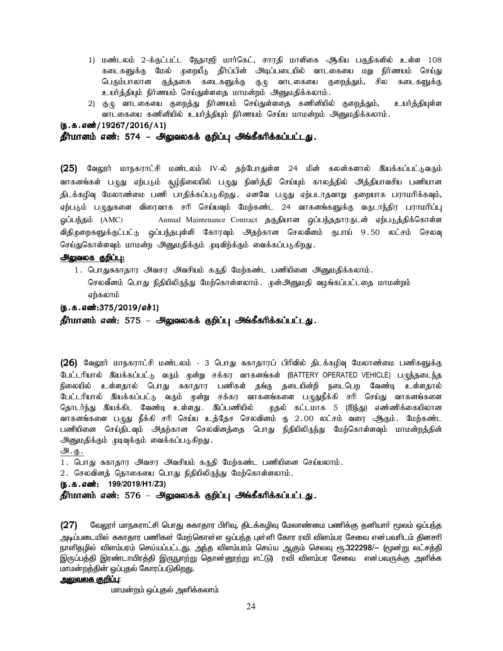- 1) மண்டலம் 2-க்குட்பட்ட நேதாஜி மார்கெட், சாரதி மாளிகை ஆகிய பகுதிகளில் உள்ள 108 கடைகளுக்கு மேல் முறையீடு தீர்ப்பின் அடிப்படையில் வாடகையை மறு நிர்ணயம் செய்து பெரும்பாலான குத்தகை கடைகளுக்கு குழு வாடகையை குறைத்தும், சில கடைகளுக்கு உயர்த்தியும் நிர்ணயம் செய்துள்ளதை மாமன்றம் அனுமதிக்கலாம்.
- 2) குழு வாடகையை குறைத்து நிர்ணயம் செய்துள்ளதை கணினியில் குறைத்தும், உயர்த்தியுள்ள வாடகையை கணினியில் உயர்த்தியும் நிர்ணயம் செய்ய மாமன்றம் அனுமதிக்கலாம்.

```
(ந.க.எண்/19267/2016/A1)
```
#### தீர்மானம் எண்: 574 – அலுவலகக் குறிப்பு அங்கீகரிக்கப்பட்டது.

(25) வேலூர் மாநகராட்சி மண்டலம் IV-ல் தற்போதுள்ள 24 மின் கலன்களால் இயக்கப்பட்டுவரும் வாகனங்கள் பழுது ஏற்படும் சூழ்நிலையில் பழுது நிவர்த்தி செய்யும் காலத்தில் அத்தியாவசிய பணியான திடக்கழிவு மேலாண்மை பணி பாதிக்கப்படுகிறது. எனவே பழுது ஏற்படாதவாறு முறையாக பராமரிக்கவும், ஏற்படும் பழுதுகளை விரைவாக சரி செய்யவும் மேற்கண்ட 24 வாகனங்களுக்கு வருடாந்திர பராமரிப்பு ஓப்பந்தம் (AMC) Annual Maintenance Contract தகுதியான ஒப்பந்ததாரருடன் ஏற்படுத்திக்கொள்ள விதிமுறைகளுக்குட்பட்டு ஒப்பந்தபுள்ளி கோரவும் அதற்கான செலவீனம் ருபாய் 9.50 லட்சம் செலவு செய்துகொள்ளவும் மாமன்ற அனுமதிக்கும் முடிவிற்க்கும் வைக்கப்படுகிறது.

#### அலுவலக குறிப்பு:

1. பொதுசுகாதார அவசர அவசியம் கருதி மேற்கண்ட பணியினை அனுமதிக்கலாம். செலவீனம் பொது நிதியிலிருந்து மேற்கொள்ளலாம். முன்அனுமதி வழங்கப்பட்டதை மாமன்றம் ஏற்கலாம்

#### (ந.க.எண்:375/2019/எச்1)

தீர்மானம் எண்: 575 – அலுவலகக் குறிப்பு அங்கீகரிக்கப்பட்டது.

 $(26)$  வேலூர் மாநகராட்சி மண்டலம் - 3 பொது சுகாதாரப் பிரிவில் திடக்கழிவு மேலாண்மை பணிகளுக்கு பேட்டரியால் இயக்கப்பட்டு வரும் முன்று சக்கர வாகனங்கள் (BATTERY OPERATED VEHICLE) பழுந்தடைந்த நிலையில் உள்ளதால் பொது சுகாதார பணிகள் தங்கு தடையின்றி நடைபெற வேண்டி உள்ளதால் பேட்டரியால் இயக்கப்பட்டு வரும் முன்று சக்கர வாகனங்களை பழுதுநீக்கி சரி செய்து வாகனங்களை தொடர்ந்து இயக்கிட வேண்டி உள்ளது. இப்பணியில் முதல் கட்டமாக 5 (ஐந்து) எண்ணிக்கையிலான வாகனங்களை பழுது நீக்கி சரி செய்ய உத்தேச செலவினம் ரு 2.00 லட்சம் வரை ஆகும். மேற்கண்ட பணியினை செய்திடவும் அதற்கான செலவினத்தை பொது நிதியிலிருந்து மேற்கொள்ளவும் மாமன்றத்தின் அனுமதிக்கும் முடிவுக்கும் வைக்கப்படுகிறது.

#### அ.கு.

1. பொது சுகாதார அவசர அவசியம் கருதி மேற்கண்ட பணியினை செய்யலாம்.

2. செலவினத் தொகையை பொது நிதியிலிருந்து மேற்கொள்ளலாம்.

(e.f.vz;: (e.f.vz;: **199/2019/H1/Z3)** 

தீர்மானம் எண்: 576 – அலுவலகக் குறிப்பு அங்கீகரிக்கப்பட்டது.

( $27$ ) மேலூர் மாநகராட்சி பொது சுகாதார பிரிவு, திடக்கழிவு மேலாண்மை பணிக்கு தனியார் மூலம் ஒப்பந்த அடிப்படையில் சுகாதார பணிகள் மேற்கொள்ள ஒப்பந்த புள்ளி கோர ரவி விளம்பர சேவை என்பவரிடம் தினசரி <u>நாளிதமி</u>ல் விளம்பரம் செய்யப்பட்டது. அந்த விளம்பரம் செய்ய ஆகும் செலவு ரூ.322298/— (மூன்று லட்சத்தி இருப்பத்தி இரண்டாயிரத்தி இருநூற்று தொன்னூற்று எட்டு) ரவி விளம்பர சேவை என்பவருக்கு அளிக்க மாமன்றத்தின் ஓப்புதல் கோரப்படுகிறது.

#### <u>அலுவலக குறிப்பு:</u>

மாமன்றம் ஒப்புதல் அளிக்கலாம்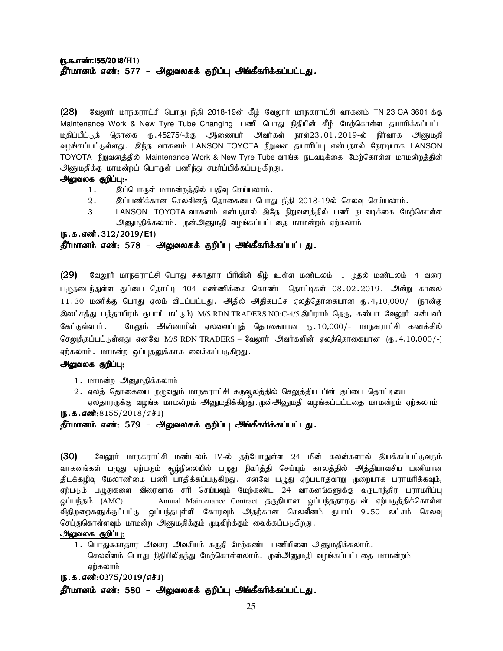#### (ந.**க.எண்:155/2018/H1)** தீர்மானம் எண்: 577 – அலுவலகக் குறிப்பு அங்கீகரிக்கப்பட்டது.

 $(28)$  B்வலூர் மாநகராட்சி பொது நிதி 2018-19ன் கீழ் வேலூர் மாநகராட்சி வாகனம் TN 23 CA 3601 க்கு Maintenance Work & New Tyre Tube Changing பணி பொது நிதியின் கீம் மேற்கொள்ள தயாரிக்கப்பட்ட மதிப்பீட்டுத் தொகை ரு. 45275/-க்கு அணையர் அவர்கள் நாள்23 . 01 . 2019-ல் நிர்வாக அனுமதி வழங்கப்பட்டுள்ளது . இந்த வாகனம் LANSON TOYOTA நிறுவன தயாரிப்பு என்பதால் நேரடியாக LANSON TOYOTA நிறுவனத்தில் Maintenance Work & New Tyre Tube வாங்க நடவடிக்கை மேற்கொள்ள மாமன்றத்தின் அனுமதிக்கு மாமன்றப் பொருள் பணிந்து சமர்ப்பிக்கப்படுகிறது.

#### அலுவலக குறிப்பு:-

- 1. இப்பொருள் மாமன்றத்தில் பதிவு செய்யலாம்.
- $2.$   $\quad$  இப்பணிக்கான செலவினத் தொகையை பொது நிதி 2018-19ல் செலவு செய்யலாம்.
- 3. LANSON TOYOTA வாகனம் என்பதால் இதே நிறுவனத்தில் பணி நடவடிக்கை மேற்கொள்ள அனுமதிக்கலாம். முன்அனுமதி வழங்கப்பட்டதை மாமன்றம் ஏற்கலாம்

#### (ந.க.எண்.312/2019/E1)

#### தீர்மானம் எண்: 578 – அலுவலகக் குறிப்பு அங்கீகரிக்கப்பட்டது.

 $(29)$  வேலூர் மாநகராட்சி பொது சுகாதார பிரிவின் கீழ் உள்ள மண்டலம் -1 முதல் மண்டலம் -4 வரை பழுதடைந்துள்ள குப்பை தொட்டி 404 எண்ணிக்கை கொண்ட தொட்டிகள் 08.02.2019. அன்று காலை 11.30 மணிக்கு பொது ஏலம் விடப்பட்டது. அதில் அதிகபட்ச ஏலத்தொகையான ரு.4,10,000/- (நான்கு இலட்சத்து பத்தாயிரம் ரூபாய் மட்டும்) M/S RDN TRADERS NO:C-4/5 இப்ராம் தெரு, கஸ்பா வேலூர் என்பவர் Bfl;Ls;shh;. BkYk; md;dhhpd; Vyitg;g[j; bjhifahd U}.10,000/- khefuhl;rp fzf;fpy; செலுத்தப்பட்டுள்ளது எனவே M/S RDN TRADERS – வேலூர் அவர்களின் ஏலத்தொகையான (ரு. 4,10,000/-) ஏற்கலாம். மாமன்ற ஒப்புதலுக்காக வைக்கப்படுகிறது.

#### அலுவலக குறிப்பு:

- 1. மாமன்ற அனுமதிக்கலாம்
- 2 . ஏலத் தொகையை முழுவதும் மாநகராட்சி கருவூலத்தில் செலுத்திய பின் குப்பை தொட்டியை ஏலதாரருக்கு வழங்க மாமன்றம் அனுமதிக்கிறது. முன்அனுமதி வழங்கப்பட்டதை மாமன்றம் ஏற்கலாம்

(ந.க.எண்:8155/2018/எச்1)

#### தீர்மானம் எண்: 579 – அலுவலகக் குறிப்பு அங்கீகரிக்கப்பட்டது.

(30) கேலூர் மாநகராட்சி மண்டலம் IV-ல் தற்போதுள்ள 24 மின் கலன்களால் இயக்கப்பட்டுவரும் வாகனங்கள் பழுது ஏற்படும் சூழ்நிலையில் பழுது நிவர்த்தி செய்யும் காலத்தில் அத்தியாவசிய பணியான திடக்கழிவு மேலாண்மை பணி பாதிக்கப்படுகிறது. எனவே பழுது ஏற்படாதவாறு முறையாக பராமரிக்கவும், ஏற்படும் பழுதுகளை விரைவாக சரி செய்யவும் மேற்கண்ட 24 வாகனங்களுக்கு வருடாந்திர பராமரிப்பு ஓப்பந்தம் (AMC) Annual Maintenance Contract தகுதியான ஒப்பந்ததாரருடன் ஏற்படுத்திக்கொள்ள விதிமுறைகளுக்குட்பட்டு ஒப்பந்தபுள்ளி கோரவும் அதற்கான செலவீனம் ருபாய் 9.50 லட்சம் செலவு செய்துகொள்ளவும் மாமன்ற அனுமதிக்கும் முடிவிற்க்கும் வைக்கப்படுகிறது.

#### அலுவலக குறிப்பு:

1. பொதுசுகாதார அவசர அவசியம் கருதி மேற்கண்ட பணியினை அனுமதிக்கலாம். செலவீனம் பொது நிதியிலிருந்து மேற்கொள்ளலாம். முன்அனுமதி வழங்கப்பட்டதை மாமன்றம் ஏற்கலாம்

#### (ந.க.எண்:0375/2019/எச்1)

தீர்மானம் எண்: 580 – அலுவலகக் குறிப்பு அங்கீகரிக்கப்பட்டது.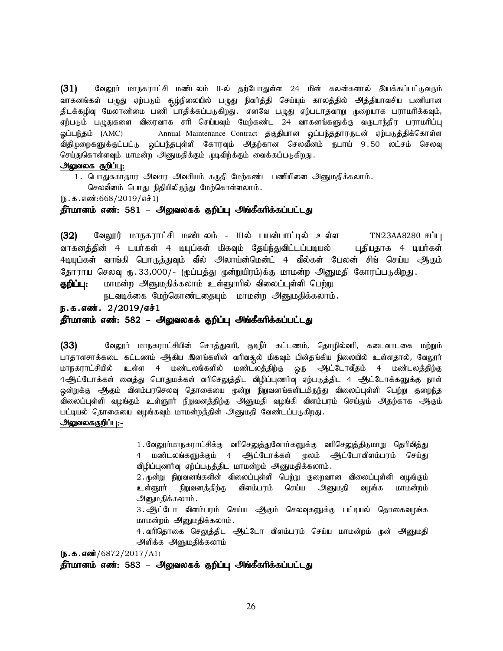(31) வேலூர் மாநகராட்சி மண்டலம் II-ல் தற்போதுள்ள 24 மின் கலன்களால் இயக்கப்பட்டுவரும் வாகனங்கள் பழுது ஏற்படும் சூழ்நிலையில் பழுது நிவர்த்தி செய்யும் காலத்தில் அத்தியாவசிய பணியான .<br>திடக்கழிவு மேலாண்மை பணி பாதிக்கப்படுகிறது. எனவே பழுது ஏற்படாதவாறு முறையாக பராமரிக்கவும், ஏற்படும் பழுதுகளை விரைவாக சரி செய்யவும் மேற்கண்ட 24 வாகனங்களுக்கு வருடாந்திர பராமரிப்பு ஒப்பந்தம் (AMC) Annual Maintenance Contract தகுதியான ஒப்பந்ததாரருடன் ஏற்படுத்திக்கொள்ள விதிமுறைகளுக்குட்பட்டு ஒப்பந்தபுள்ளி கோரவும் அதற்கான செலவீனம் ருபாய் 9.50 லட்சம் செலவு செய்துகொள்ளவும் மாமன்ற அனுமதிக்கும் முடிவிற்க்கும் வைக்கப்படுகிறது.

#### அலுவலக குறிப்பு:

1. பொதுசுகாதார அவசர அவசியம் கருதி மேற்கண்ட பணியினை அனுமதிக்கலாம்.

செலவீனம் பொது நிதியிலிருந்து மேற்கொள்ளலாம்.

 $(5.5.5.5\cdot 668/2019/5.1)$ 

## தீர்மானம் எண்: 581 – அலுவலகக் குறிப்பு அங்கீகரிக்கப்பட்டது

(32) வேலூர் மாநகராட்சி மண்டலம் - IIIல் பயன்பாட்டில் உள்ள TN23AA8280 ஈப்பு வாகனத்தின் 4 டயர்கள் 4 டியுப்கள் மிகவும் தேய்ந்துவிட்டப்படியல் புதியதாக 4 டியர்கள் 4டியுப்கள் வாங்கி பொருத்துவும் வீல் அலாய்ன்மென்ட் 4 வீல்கள் பேலன் சிங் செய்ய ஆகும் தோராய செலவு ரு.33,000/- (மூப்பத்து முன்றுயிரம்)க்கு மாமன்ற அனுமதி கோரப்படுகிறது.

**குறிப்பு:** மாமன்ற அனுமதிக்கலாம் உள்ளுாரில் விலைப்புள்ளி பெற்று

நடவடிக்கை மேற்கொண்டதையும் மாமன்ற அனுமதிக்கலாம்.

## ந.க.எண். 2/2019/எச் $1$

#### தீர்மானம் எண்: 582 – அலுவலகக் குறிப்பு அங்கீகரிக்கப்பட்டது

(33) வேலூர் மாநகராட்சியின் சொத்துவரி, குடிநீர் கட்டணம், தொழில்வரி, கடைவாடகை மற்றும் பாதாளசாக்கடை கட்டணம் ஆகிய இனங்களின் வரிவசூல் மிகவும் பின்தங்கிய நிலையில் உள்ளதால், வேலூர் மாநகராட்சியில் உள்ள 4 மண்டலங்களில் மண்டலத்திற்கு ஒரு ஆட்டோவீதம் 4 மண்டலத்திற்கு 4ஆட்டோக்கள் வைத்து பொதுமக்கள் வரிசெலுத்திட விழிப்புணர்வு ஏற்படுத்திட 4 ஆட்டோக்களுக்கு நாள் .<br>ஒன்றுக்கு ஆகும் விளம்பரசெலவு தொகையை முன்று நிறுவனங்களிடமிருந்து விலைப்புள்ளி பெற்று குறைந்த விலைப்புள்ளி வழங்கும் உள்ளூார் நிறுவனத்திற்கு அனுமதி வழங்கி விளம்பரம் செய்தும் அதற்காக ஆகும் பட்டியல் தொகையை வழங்கவும் மாமன்றத்தின் அனுமதி வேண்டப்படுகிறது.

#### அலுவலககுறிப்பு:-

1. வேலூர்மாநகராட்சிக்கு வரிசெலுக்குவோர்களுக்கு வரிசெலுக்கிடுமாறு தெரிவிக்கு 4 மண்டலங்களுக்கும் 4 ஆட்டோக்கள் மூலம் ஆட்டோவிளம்பரம் செய்து விழிப்புணர்வு ஏற்ப்படுத்திட மாமன்றம் அனுமதிக்கலாம்.

 $2.\phi$ ன்று நிறுவனங்களின் விலைப்புள்ளி பெற்று குறைவான விலைப்புள்ளி வழங்கும் உள்ளூர் நிறுவனத்திற்கு விளம்பரம் செய்ய அனுமதி வழங்க மாமன்றம் அனுமதிக்கலாம்.

3. ஆட்டோ விளம்பரம் செய்ய ஆகும் செலவுகளுக்கு பட்டியல் தொகைவழங்க மாமன்றம் அனுமதிக்கலாம்.

4. வரிதொகை செலுத்திட ஆட்டோ விளம்பரம் செய்ய மாமன்றம் முன் அனுமதி அளிக்க அனுமதிக்கலாம்

 $(S.5.5.00 \times 72/2017/A1)$ 

தீர்மானம் எண்: 583 – அலுவலகக் குறிப்பு அங்கீகரிக்கப்பட்டது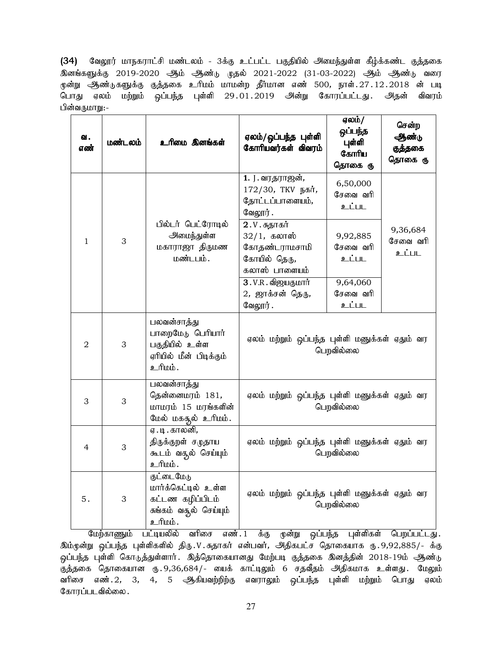(34) வேலூர் மாநகராட்சி மண்டலம் - 3க்கு உட்பட்ட பகுதியில் அமைந்துள்ள கீழ்க்கண்ட குத்தகை <u>இனங்களுக்கு</u> 2019-2020 ஆம் ஆண்<sub>ம் (</sub>ழதல் 2021-2022 (31-03-2022) ஆம் ஆண்<sub>ம்</sub> வரை மூன்று ஆண்டுகளுக்கு குத்தகை உரிமம் மாமன்ற தீர்மான எண் 500, நாள்.27.12.2018 ன் படி பொது ஏலம் மற்றும் ஒப்பந்த புள்ளி 29 $.01.2019$  அன்று கோரப்பட்டது. அதன் விவரம் பின்வருமாறு:-

| வ.<br>எண் | மண்டலம் | உரிமை இனங்கள்                                                                             | ஏலம்/ஒப்பந்த புள்ளி<br>கோரியவர்கள் விவரம்                                        | ஏலம்/<br>ஒப்பந்த<br>புள்ளி<br>கோரிய<br>தொகை ரு | சென்ற<br>ஆண்டு<br>குத்தகை<br>தொகை ரு |
|-----------|---------|-------------------------------------------------------------------------------------------|----------------------------------------------------------------------------------|------------------------------------------------|--------------------------------------|
|           |         |                                                                                           | 1. J. வரதராஜன்,<br>172/30, ТКV நகர்,<br>தோட்டப்பாளையம்,<br>வேலூர்.               | 6,50,000<br>சேவை வரி<br>உட்பட                  |                                      |
| $1\,$     | 3       | பில்டர் பெட்ரோடில்<br>அமைந்துள்ள<br>மகாராஜா திருமண<br>மண்டபம்.                            | 2.V. சுதாகர்<br>$32/1$ , கலாஸ்<br>கோதண்டராமசாமி<br>கோயில் தெரு,<br>கலாஸ் பாளையம் | 9,92,885<br>சேவை வரி<br>உட்பட                  | 9,36,684<br>சேவை வரி<br>உட்பட        |
|           |         |                                                                                           | 3.V.R. விஜயகுமார்<br>2, ஜாக்சன் தெரு,<br>வேலூர்.                                 | 9,64,060<br>சேவை வரி<br>உட்பட                  |                                      |
| 2         | 3       | பலவன்சாத்து<br>பாறைமேடு பெரியார்<br>பகுதியில் உள்ள<br>ஏரியில் மீன் பிடிக்கும்<br>ப்யிட உ  | ஏலம் மற்றும் ஒப்பந்த புள்ளி மனுக்கள் ஏதும் வர                                    | பெறவில்லை                                      |                                      |
| 3         | 3       | பலவன்சாத்து<br>தென்னைமரம் 181,<br>மாமரம் 15 மரங்களின்<br>மேல் மகதூல் உரிமம்.              | ஏலம் மற்றும் ஒப்பந்த புள்ளி மனுக்கள் ஏதும் வர                                    | பெறவில்லை                                      |                                      |
| 4         | 3       | ஏ . டி . காலனி,<br>திருக்குறள் சமுதாய<br>கூடம் வதூல் செய்யும்<br>. ம்யிடீ                 | ஏலம் மற்றும் ஒப்பந்த புள்ளி மனுக்கள் ஏதும் வர                                    | பெறவில்லை                                      |                                      |
| 5.        | 3       | குட்டைமேடு<br>மார்க்கெட்டில் உள்ள<br>கட்டண கழிப்பிடம்<br>சுங்கம் வசூல் செய்யும்<br>ம்பிடீ | ஏலம் மற்றும் ஒப்பந்த புள்ளி மனுக்கள் ஏதும் வர                                    | பெறவில்லை                                      |                                      |

மேற்காணும் பட்டியலில் வரிசை எண்.1 க்கு முன்று ஒப்பந்த புள்ளிகள் பெறப்பட்டது. இம்முன்று ஒப்பந்த புள்ளிகளில் திரு.V.சுதாகர் என்பவர், அதிகபட்ச தொகையாக ரு.9,92,885/- க்கு .<br>ஒப்பந்த புள்ளி கொடுத்துள்ளார் . இத்தொகையானது மேற்படி குத்தகை இனத்தின் 2018-19ம் <del>அ</del>ண்டு ு.<br>குத்தகை தொகையான ரு. 9,36,684/- யைக் காட்டிலும் 6 சதவீதம் அதிகமாக உள்ளது. மேலும் வரிசை எண்.2, 3, 4, 5 ஆகியவற்றிற்கு எவராலும் ஒப்பந்த புள்ளி மற்றும் பொது ஏலம் கோரப்படவில்லை.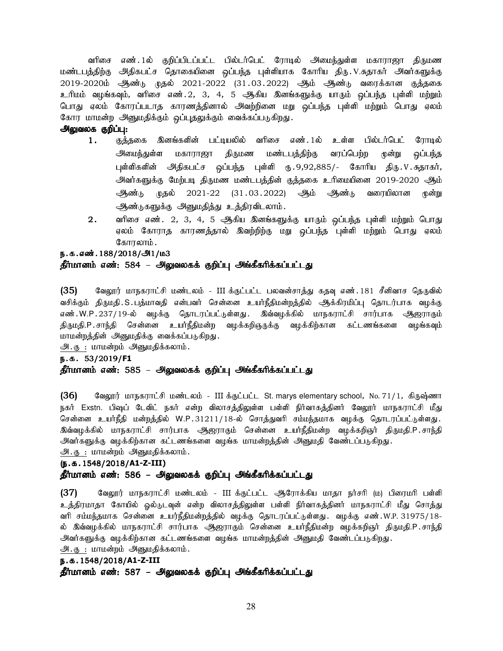வரிசை எண்.1ல் குறிப்பிடப்பட்ட பில்டர்பெட் ரோடில் அமைந்துள்ள மகாராஜா திருமண மண்டபத்திற்கு அதிகபட்ச தொகையினை ஒப்பந்த புள்ளியாக கோரிய திரு.V.சுதாகர் அவர்களுக்கு 2019-2020ம் ஆண்டு முதல் 2021-2022 (31.03.2022) ஆம் ஆண்டு வரைக்கான குத்தகை உரிமம் வழங்கவும், வரிசை எண்.2, 3, 4, 5 ஆகிய இனங்களுக்கு யாரும் ஒப்பந்த புள்ளி மற்றும் பொது ஏலம் கோரப்படாத காரணத்தினால் அவற்றினை மறு ஒப்பந்த புள்ளி மற்றும் பொது ஏலம் கோர மாமன்ற அனுமதிக்கும் ஒப்புதலுக்கும் வைக்கப்படுகிறது.

## அலுவலக குறிப்பு:

- 1. குத்தகை இனங்களின் பட்டியலில் வரிசை எண்.1ல் உள்ள பில்டர்பெட் ரோடில் அமைந்துள்ள மகாராஜா திருமண மண்டபத்திற்கு வரப்பெற்ற முன்று <u>ஒ</u>ப்பந்த புள்ளிகளின் அதிகபட்ச ஒப்பந்த புள்ளி ரு.9,92,885/- கோரிய திரு.V.கதாகர், <u>அவர்களுக்கு</u> மேற்படி திருமண மண்டபத்தின் குத்தகை உரிமையினை 2019-2020 ஆம் ஆண்டு முதல் 2021-22 (31.03.2022) ஆம் ஆண்டு வரையிலான முன்று ஆண்டுகளுக்கு அனுமதித்து உத்திரவிடலாம்.
- $2.$  amm and a soft.  $2, 3, 4, 5$  ஆகிய இனங்களுக்கு யாரும் ஒப்பந்த புள்ளி மற்றும் பொது ஏலம் கோராத காரணத்தால் இவற்றிற்கு மறு ஒப்பந்த புள்ளி மற்றும் பொது ஏலம் கோரலாம்.

#### ந.க.எண்.188/2018/அ1/ம3

#### தீர்மானம் எண்: 584 – அலுவலகக் குறிப்பு அங்கீகரிக்கப்பட்டது

(35) வேலூர் மாநகராட்சி மண்டலம் - III க்குட்பட்ட பலவன்சாத்து கதவு எண். 181 சீனிவாச தெருவில் வசிக்கும் திருமதி.S.பத்மாவதி என்பவர் சென்னை உயர்நீதிமன்றத்தில் ஆக்கிரமிப்பு தொடர்பாக வழக்கு எண்.W.P.237/19-ல் வழக்கு தொடரப்பட்டுள்ளது. இவ்வழக்கில் மாநகராட்சி சார்பாக ஆஜராகும் திருமதி.P. சாந்தி சென்னை உயர்நீதிமன்ற வழக்கறிஞருக்கு வழக்கிற்கான கட்டணங்களை வழங்கவும் மாமன்றத்தின் அனுமதிக்கு வைக்கப்படுகிறது.

 $\underline{\mathcal{P}}\cdot\underline{\mathcal{B}}$  : மாமன்றம்  $\underline{\mathcal{P}}\text{sgn}$ மதிக்கலாம்.

#### e.f. 53 e.f. 53/2019/**F1**

#### தீர்மானம் எண்: 585 – அலுவலகக் குறிப்பு அங்கீகரிக்கப்பட்டது

(36) கேலூர் மாநகராட்சி மண்டலம் - III க்குட்பட்ட St. marys elementary school, No. 71/1, கிருஷ்ணா நகர் Exstn. பிஷப் டேவிட் நகர் என்ற விலாசத்திலுள்ள பள்ளி நிர்வாகத்தினர் வேலூர் மாநகராட்சி மீது சென்னை உயர்நீதி மன்றத்தில் W.P.31211/18-ல் சொத்துவரி சம்மந்தமாக வழக்கு தொடரப்பட்டுள்ளது. இவ்வழக்கில் மாநகராட்சி சார்பாக ஆஜராகும் சென்னை உயர்நீதிமன்ற வழக்கறிஞர் திருமதி.P.சாந்தி அவர்களுக்கு வழக்கிற்கான கட்டணங்களை வழங்க மாமன்றத்தின் அனுமதி வேண்டப்படுகிறது. அ. கு : மாமன்றம் அனுமதிக்கலாம்.

#### (e.f.1548/2018/ (e.f.1548/2018/**A1-Z-III)**

#### தீர்மானம் எண்: 586 – அலுவலகக் குறிப்பு அங்கீகரிக்கப்பட்டது

(37) வேலூர் மாநகராட்சி மண்டலம் - III க்குட்பட்ட ஆரோக்கிய மாதா நர்சரி (ம) பிரைமரி பள்ளி உத்திரமாதா கோயில் ஒல்டுடவுன் என்ற விலாசத்திலுள்ள பள்ளி நிர்வாகத்தினர் மாநகராட்சி மீது சொத்து வரி சம்மந்தமாக சென்னை உயர்நீதிமன்றத்தில் வழக்கு தொடரப்பட்டுள்ளது. வழக்கு எண்.W.P. 31975/18-ல் இவ்வழக்கில் மாநகராட்சி சார்பாக ஆஜராகும் சென்னை உயர்நீதிமன்ற வழக்கறிஞர் திருமதி.P.சாந்தி அவர்களுக்கு வழக்கிற்கான கட்டணங்களை வழங்க மாமன்றத்தின் அனுமதி வேண்டப்படுகிறது. அ. கு : மாமன்றம் அனுமதிக்கலாம்.

#### e.f.1548/2018/**A1-Z-III**

தீர்மானம் எண்: 587 – அலுவலகக் குறிப்பு அங்கீகரிக்கப்பட்டது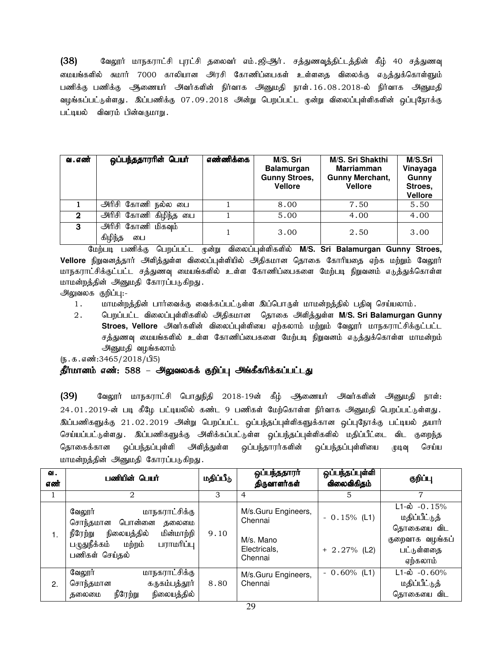$(38)$  B ஷேரா் மாநகராட்சி புரட்சி தலைவர் எம்.ஜிஆர். சத்துணவுத்திட்டத்தின் கீழ் 40 சத்துணவு மையங்களில் சுமார் 7000 காலியான அரசி கோணிப்பைகள் உள்ளதை விலைக்கு எடுத்துக்கொள்ளும் பணிக்கு பணிக்கு ஆணையர் அவர்களின் நிர்வாக அனுமதி நாள்.16.08.2018-ல் நிர்வாக அனுமதி வழங்கப்பட்டுள்ளது . இப்பணிக்கு 07.09.2018 அன்று பெறப்பட்ட முன்று விலைப்புள்ளிகளின் ஒப்புநோக்கு பட்டியல் - விவரம் பின்வருமாறு .

| வ . எண் | ஒப்பந்ததாரரின் பெயர்                | எண்ணிக்கை | M/S. Sri<br><b>Balamurgan</b><br><b>Gunny Stroes,</b><br><b>Vellore</b> | M/S. Sri Shakthi<br><b>Marriamman</b><br><b>Gunny Merchant,</b><br><b>Vellore</b> | M/S.Sri<br>Vinayaga<br>Gunny<br>Stroes,<br><b>Vellore</b> |
|---------|-------------------------------------|-----------|-------------------------------------------------------------------------|-----------------------------------------------------------------------------------|-----------------------------------------------------------|
|         | அரிசி கோணி நல்ல பை                  |           | 8.00                                                                    | 7.50                                                                              | 5.50                                                      |
| 2       | அரிசி கோணி கிழிந்த பை               |           | 5.00                                                                    | 4.00                                                                              | 4.00                                                      |
| 3       | அரிசி கோணி மிகவும்<br>கிழிந்த<br>பை |           | 3.00                                                                    | 2.50                                                                              | 3.00                                                      |

மேற்படி பணிக்கு பெறப்பட்ட மூன்று விலைப்புள்ளிகளில் M/S. Sri Balamurgan Gunny Stroes,  $V$ ellore நிறுவனத்தார் அளித்துள்ள விலைப்புள்ளியில் அதிகமான தொகை கோரியதை ஏற்க மற்றும் வேலூர் மாநகராட்சிக்குட்பட்ட சத்துணவு மையங்களில் உள்ள கோணிப்பைகளை மேற்படி நிறுவனம் எடுத்துக்கொள்ள மாமன்றத்தின் அனுமதி கோரப்படுகிறது.

அலுவலக குறிப்பு:-

- 1. khr மன்றத்தின் பார்வைக்கு வைக்கப்பட்டுள்ள இப்பொருள் மாமன்றத்தில் பதிவு செய்யலாம்.
- 2. பெறப்பட்ட விலைப்புள்ளிகளில் அதிகமான தொகை அளித்துள்ள M/S. Sri Balamurgan Gunny Stroes, Vellore அவர்களின் விலைப்புள்ளியை ஏற்கலாம் மற்றும் வேலூர் மாநகராட்சிக்குட்பட்ட சத்துணவு மையங்களில் உள்ள கோணிப்பைகளை மேற்படி நிறுவனம் எடுத்துக்கொள்ள மாமன்றம் அனுமதி வழங்கலாம்

 $(5.5.5.5313465/2018/\text{d}^5)$ 

## தீர்மானம் எண்: 588 – அலுவலகக் குறிப்பு அங்கீகரிக்கப்பட்டது

(39) வேலூர் மாநகராட்சி பொதுநிதி 2018-19ன் கீழ் ஆணையர் அவர்களின் அனுமதி நாள்: 24.01.2019-ன் படி கீழே பட்டியலில் கண்ட 9 பணிகள் மேற்கொள்ள நிர்வாக அனுமதி பெறப்பட்டுள்ளது. இப்பணிகளுக்கு 21.02.2019 அன்று பெறப்பட்ட ஒப்பந்தப்புள்ளிகளுக்கான ஒப்புநோக்கு பட்டியல் தயார் செய்யப்பட்டுள்ளது . இப்பணிகளுக்கு அளிக்கப்பட்டுள்ள ஒப்பந்தப்புள்ளிகளில் மதிப்பீட்டை விட குறைந்த தொகைக்கான ஒப்பந்தப்புள்ளி அளித்துள்ள ஒப்பந்தாரர்களின் ஒப்பந்தப்புள்ளியை முடிவு செய்ய மாமன்றத்தின் அனுமதி கோரப்படுகிறது.

| வ.<br>எண் | பணியின் பெயர்                                                                                                                                              | மதிப்பீடு | ஒப்பந்ததாரா்<br>திருவாளர்கள்                                           | ஒப்பந்தப்புள்ளி<br>விலைவிகிதம்    | குறிப்பு                                                                                                 |
|-----------|------------------------------------------------------------------------------------------------------------------------------------------------------------|-----------|------------------------------------------------------------------------|-----------------------------------|----------------------------------------------------------------------------------------------------------|
|           | $\mathfrak{D}_{\mathfrak{p}}$                                                                                                                              | 3         | 4                                                                      | 5                                 | 7                                                                                                        |
| 1.        | மாநகராட்சிக்கு<br>வேலூர்<br>பொன்னை<br>சொந்தமான<br>கலைமை<br>நீரேற்று<br>மின்மாற்றி<br>நிலையத்தில்<br>பழுதுநீக்கம்<br>மற்றம்<br>பராமரிப்பு<br>பணிகள் செய்தல் | 9.10      | M/s.Guru Engineers,<br>Chennai<br>M/s. Mano<br>Electricals,<br>Chennai | $-0.15\%$ (L1)<br>$+ 2.27\%$ (L2) | $L1 - \dot{\omega} - 0.15\%$<br>மதிப்பீட்டுத்<br>தொகையை விட<br>குறைவாக வழங்கப்<br>பட்டுள்ளதை<br>ஏற்கலாம் |
| 2.        | மாநகராட்சிக்கு<br>வேலூர்<br>கருகம்பத்தூர்<br>சொந்தமான<br>நீரேற்று<br>நிலையத்தில்<br>குலைமை                                                                 | 8.80      | M/s.Guru Engineers,<br>Chennai                                         | $-0.60\%$ (L1)                    | $L1-\dot{\omega}$ -0.60%<br>மதிப்பீட்டுத்<br>தொகையை விட                                                  |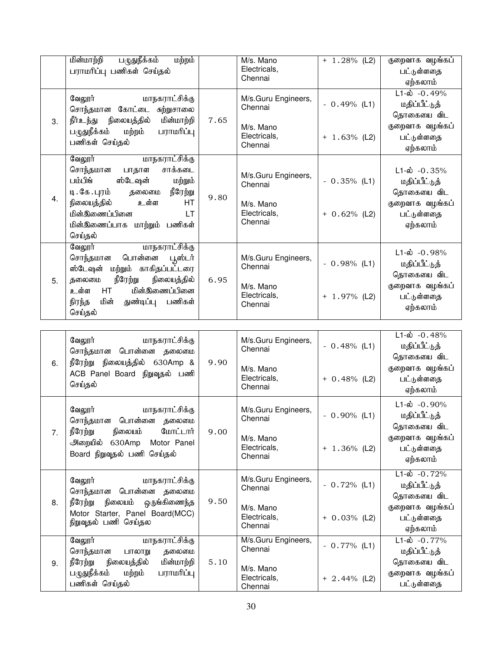| 3. | மின்மாற்றி<br>பழுதுநீக்கம்<br>மற்றம்<br>பராமரிப்பு பணிகள் செய்தல்<br>வேலூர்<br>மாநகராட்சிக்கு<br>சொந்தமான கோட்டை<br>சுற்றுசாலை<br>மின்மாற்றி<br>நீர்உந்து<br>நிலையத்தில்<br>பழுதுநீக்கம்<br>மற்றம்<br>பராமரிப்பு<br>பணிகள் செய்தல்    | 7.65 | M/s. Mano<br>Electricals,<br>Chennai<br>M/s.Guru Engineers,<br>Chennai<br>M/s. Mano<br>Electricals,<br>Chennai | $+ 1.28\%$ (L2)<br>$-0.49%$ (L1)<br>$+ 1.63%$ (L2) | குறைவாக வழங்கப்<br>பட்டுள்ளதை<br>ஏற்கலாம்<br>$L1-\dot{\omega}$ -0.49%<br>மதிப்பீட்டுத்<br>தொகையை விட<br>குறைவாக வழங்கப்<br>பட்டுள்ளதை<br>ஏற்கலாம் |
|----|---------------------------------------------------------------------------------------------------------------------------------------------------------------------------------------------------------------------------------------|------|----------------------------------------------------------------------------------------------------------------|----------------------------------------------------|---------------------------------------------------------------------------------------------------------------------------------------------------|
| 4. | மாநகராட்சிக்கு<br>வேலூர்<br>சாக்கடை<br>சொந்தமான<br>பாதாள<br>பம்பிங்<br>ஸ்டேஷன்<br>மற்றும்<br>டி. கே. புரம்<br>தலைமை<br>நீரேற்று<br>நிலையத்தில்<br>உள்ள<br>HT<br>மின்இணைப்பினை<br><b>LT</b><br>மின்இணைப்பாக மாற்றும் பணிகள்<br>செய்தல் | 9.80 | M/s.Guru Engineers,<br>Chennai<br>M/s. Mano<br>Electricals,<br>Chennai                                         | $-0.35%$ (L1)<br>$+ 0.62%$ (L2)                    | $L1-\dot{\omega}$ -0.35%<br>மதிப்பீட்டுத்<br>தொகையை விட<br>குறைவாக வழங்கப்<br>பட்டுள்ளதை<br>ஏற்கலாம்                                              |
| 5. | வேலூர்<br>மாநகராட்சிக்கு<br>பொன்னை<br>சொந்தமான<br>பூஸ்டர்<br>ஸ்டேஷன் மற்றும் காகிதப்பட்டரை<br>நீரேற்று<br>நிலையத்தில்<br>தலைமை<br>மின்இணைப்பினை<br>HT<br>உள்ள<br>மின்<br>பணிகள்<br>துண்டிப்பு<br>நிரந்த<br>செய்தல்                    | 6.95 | M/s.Guru Engineers,<br>Chennai<br>M/s. Mano<br>Electricals,<br>Chennai                                         | $-0.98%$ (L1)<br>$+ 1.97\%$ (L2)                   | $L1-\dot{\omega}$ -0.98%<br>மதிப்பீட்டுத்<br>தொகையை விட<br>குறைவாக வழங்கப்<br>பட்டுள்ளதை<br>ஏற்கலாம்                                              |
|    |                                                                                                                                                                                                                                       |      |                                                                                                                |                                                    |                                                                                                                                                   |
|    |                                                                                                                                                                                                                                       |      |                                                                                                                |                                                    |                                                                                                                                                   |
| 6. | வேலூர்<br>மாநகராட்சிக்கு<br>சொந்தமான பொன்னை தலைமை<br>நீரேற்று நிலையத்தில் 630Amp &                                                                                                                                                    | 9.90 | M/s.Guru Engineers,<br>Chennai                                                                                 | $-0.48%$ (L1)                                      | $L1-\dot{\omega}$ -0.48%<br>மதிப்பீட்டுத்<br>தொகையை விட                                                                                           |
|    | ACB Panel Board நிறுவுதல் பணி<br>செய்தல்                                                                                                                                                                                              |      | M/s. Mano<br>Electricals,<br>Chennai                                                                           | $+ 0.48\%$ (L2)                                    | குறைவாக வழங்கப்<br>பட்டுள்ளதை<br>ஏற்கலாம்                                                                                                         |
|    | மாநகராட்சிக்கு<br>வேலூர்<br>சொந்தமான பொன்னை தலைமை                                                                                                                                                                                     |      | M/s.Guru Engineers,<br>Chennai                                                                                 | $-0.90\%$ (L1)                                     | $L1-\dot{\omega}$ -0.90%<br>மதிப்பீட்டுத்<br>தொகையை விட                                                                                           |
| 7. | நீரேற்று<br>நிலையம்<br>மோட்டார்<br>அறையில் 630Amp<br>Motor Panel<br>Board நிறுவுதல் பணி செய்தல்                                                                                                                                       | 9.00 | M/s. Mano<br>Electricals,<br>Chennai                                                                           | $+ 1.36\%$ (L2)                                    | குறைவாக வழங்கப்<br>பட்டுள்ளதை<br>ஏற்கலாம்                                                                                                         |
|    | மாநகராட்சிக்கு<br>வேலூர்<br>சொந்தமான பொன்னை தலைமை                                                                                                                                                                                     |      | M/s.Guru Engineers,<br>Chennai                                                                                 | $-0.72%$ (L1)                                      | $L1-\dot{\omega}$ -0.72%<br>மதிப்பீட்டுத்<br>தொகையை விட                                                                                           |
| 8. | நீரேற்று<br>ஒருங்கிணைந்த<br>நிலையம்<br>Motor Starter, Panel Board(MCC)<br>நிறுவுதல் பணி செய்தல                                                                                                                                        | 9.50 | M/s. Mano<br>Electricals,<br>Chennai                                                                           | $+ 0.03\%$ (L2)                                    | குறைவாக வழங்கப்<br>பட்டுள்ளதை<br>ஏற்கலாம்                                                                                                         |
|    | வேலூர்<br>மாநகராட்சிக்கு<br>சொந்தமான<br>பாலாறு<br>தலைமை                                                                                                                                                                               |      | M/s.Guru Engineers,<br>Chennai                                                                                 | $-0.77\%$ (L1)                                     | $L1-\dot{\omega} - 0.77\%$<br>மதிப்பீட்டுத்                                                                                                       |
| 9. | நீரேற்று<br>நிலையத்தில்<br>மின்மாற்றி<br>பழுதுநீக்கம்<br>பராமரிப்பு<br>மற்றம்                                                                                                                                                         | 5.10 | M/s. Mano                                                                                                      |                                                    | தொகையை விட<br>குறைவாக வழங்கப்                                                                                                                     |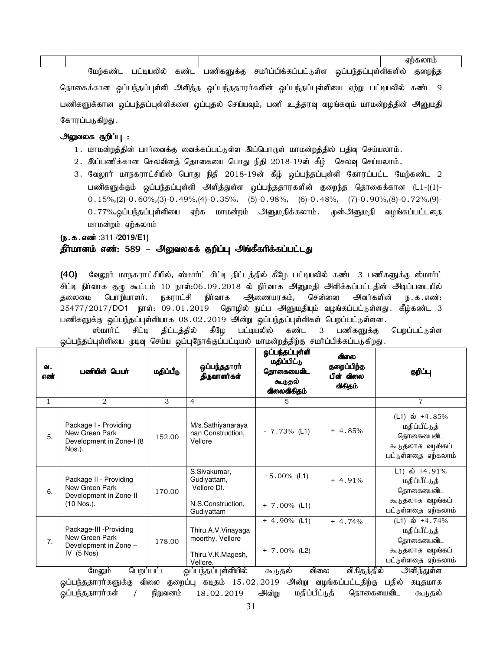|  | னட<br>υц | าเหน<br>ימונ | கண | 6001 | ்ளள | வ<br>JБ<br>ш<br>$\cdots$<br>٠m | <b>ॴ</b> ளி⊕ளவ | ்றைநட<br>უის. |  |
|--|----------|--------------|----|------|-----|--------------------------------|----------------|---------------|--|

தொகைக்கான ஒப்பந்தப்புள்ளி அளித்த ஒப்பந்ததாரர்களின் ஒப்பந்தப்புள்ளியை ஏற்று பட்டியலில் கண்ட 9 பணிகளுக்கான ஒப்பந்தப்புள்ளிகளை ஒப்புதல் செய்யவும், பணி உத்தரவு வழங்கவும் மாமன்றத்தின் அனுமதி கோரப்படுகிறது.

#### அலுவலக குறிப்பு :

- 1. மாமன்றத்தின் பார்வைக்கு வைக்கப்பட்டுள்ள இப்பொருள் மாமன்றத்தில் பதிவு செய்யலாம்.
- $2$ . இப்பணிக்கான செலவினத் தொகையை பொது நிதி 2018-19ன் கீழ் செலவு செய்யலாம்.
- 3. வேலூர் மாநகராட்சியில் பொது நிதி 2018-19ன் கீழ் ஒப்பந்தப்புள்ளி கோரப்பட்ட மேற்கண்ட 2 பணிகளுக்கும் ஒப்பந்தப்புள்ளி அளித்துள்ள ஒப்பந்ததாரகளின் குறைந்த தொகைக்கான (L1-((1)-0.15%,(2)-0.60%,(3)-0.49%,(4)-0.35%, (5)-0.98%, (6)-0.48%, (7)-0.90%,(8)-0.72%,(9)- 0.77%,ஒப்பந்தப்புள்ளியை ஏற்க மாமன்றம் அனுமதிக்கலாம். முன்அனுமதி வழங்கப்பட்டதை மாமன்றம் ஏற்கலாம்

## (**ந.க.எண்** :311 /**2019/E1**)

## தீர்மானம் எண்: 589 – அலுவலகக் குறிப்பு அங்கீகரிக்கப்பட்டது

(40) வேலூர் மாநகராட்சியில், ஸ்மார்ட் சிட்டி திட்டத்தில் கீழே பட்டியலில் கண்ட 3 பணிகளுக்கு ஸ்மார்ட் சிட்டி நிர்வாக கு.டி கூட்டம் 10 நாள்:06.09.2018 ல் நிர்வாக அனுமதி அிளிக்கப்பட்டதின் அடிப்படையில் தலைமை பொறியாளர், நகராட்சி நிர்வாக அிணையரகம், சென்னை அவர்களின் ந.க.எண்: 25477/2017/DO1 நாள்: 09.01.2019 தொழில் நுட்ப அனுமதியும் வழங்கப்பட்டுள்ளது. கீழ்கண்ட 3 பணிகளுக்கு ஒப்பந்தப்புள்ளியாக 08.02.2019 அன்று ஒப்பந்தப்புள்ளிகள் பெறப்பட்டுள்ளன.

ஸ்மார்ட் சிட்டி திட்டத்தில் கீழே பட்டியலில் கண்ட 3 பணிகளுக்கு பெறப்பட்டுள்ள ஒப்பந்தப்புள்ளியை முடிவு செய்ய ஒப்புநோக்குப்பட்டியல் மாமன்றத்திற்கு சமா்ப்பிக்கப்படுகிறது.

| 이.<br>எண்      | பணியின் பெயர்                                                                      | மதிப்பீடு | ஒப்பந்ததாரா்<br>திருவாளர்கள்                                                  | ஒப்பந்தப்புள்ளி<br>மதிப்பிட்டு<br>தொகையைவிட<br>கூடுதல்<br>விலைவிகிதம் | விலை<br>குறைப்பிற்கு<br>பின் விலை<br>விகிதம் | குறிப்பு                                                                                  |
|----------------|------------------------------------------------------------------------------------|-----------|-------------------------------------------------------------------------------|-----------------------------------------------------------------------|----------------------------------------------|-------------------------------------------------------------------------------------------|
| $\mathbf{1}$   | 2                                                                                  | 3         | 4                                                                             | 5                                                                     |                                              | 7                                                                                         |
| 5.             | Package I - Providing<br>New Green Park<br>Development in Zone-I (8<br>Nos.).      | 152.00    | M/s.Sathiyanaraya<br>nan Construction,<br>Vellore                             | $-7.73\%$ (L1)                                                        | $+4.85%$                                     | (L1) ல் +4.85%<br>மதிப்பீட்டுத்<br>தொகையைவிட<br>கூடுதலாக வழங்கப்<br>பட்டுள்ளதை ஏற்கலாம்   |
| 6.             | Package II - Providing<br>New Green Park<br>Development in Zone-II<br>$(10$ Nos.). | 170.00    | S.Sivakumar,<br>Gudivattam,<br>Vellore Dt.<br>N.S.Construction,<br>Gudiyattam | $+5.00\%$ (L1)<br>$+ 7.00\%$ (L1)                                     | $+4.91%$                                     | L1) ல் +4.91%<br>மதிப்பீட்டுத்<br>தொகையைவிட<br>கூடுதலாக வழங்கப்<br>பட்டுள்ளதை ஏற்கலாம்    |
| 7 <sub>1</sub> | Package-III - Providing<br>New Green Park<br>Development in Zone -<br>IV $(5$ Nos) | 178.00    | Thiru.A.V. Vinayaga<br>moorthy, Vellore<br>Thiru.V.K.Magesh,<br>Vellore.      | $+ 4.90\%$ (L1)<br>$+ 7.00\%$ (L2)                                    | $+4.74%$                                     | $(L1)$ ல் +4.74%<br>மதிப்பீட்டுத்<br>கொகையைவிட<br>கூடுதலாக வழங்கப்<br>பட்டுள்ளதை ஏற்கலாம் |
|                | மேலும்<br>பெறப்பட்ட                                                                |           | ஒப்பந்தப்புள்ளியில்                                                           | கூடுதல்                                                               | விலை<br>விகிதத்தில்                          | அளித்துள்ள<br>$\sim$ $\sim$                                                               |

ஒப்பந்ததாரர்களுக்கு விலை குறைப்பு கடிதம் 15.02.2019 அன்று வழங்கப்பட்டதிற்கு பதில் கடிதமாக <mark>ஒப்பந்ததாரர்கள் / நிறுவ</mark>னம் 18.02.2019 அன்று மதிப்பீட்டுத் தொகையைவிட கூடுதல்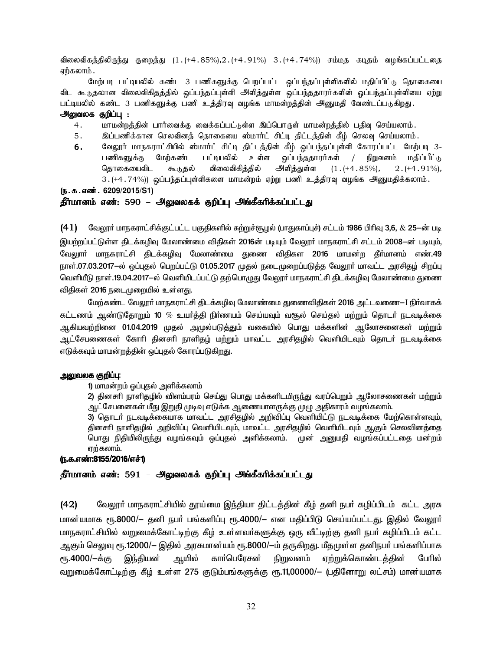விலைவிகக்கிலிருந்து குறைக்து (1.(+4.85%),2.(+4.91%) 3.(+4.74%)) சம்மகு கடிகம் வழங்கப்பட்டதை ஏற்கலாம் .

மேற்படி பட்டியலில் கண்ட 3 பணிகளுக்கு பெறப்பட்ட ஒப்பந்தப்புள்ளிகளில் மதிப்பிட்டு தொகையை விட கூடுதலான விலைவிகிதத்தில் ஒப்பந்தப்புள்ளி அளித்துள்ள ஒப்பந்ததாரர்களின் ஒப்பந்தப்புள்ளியை ஏற்று பட்டியலில் கண்ட 3 பணிகளுக்கு பணி உத்திரவு வழங்க மாமன்றத்தின் அனுமதி வேண்டப்படுகிறது.

#### <u>அலுவலக குறிப்பு :</u>

- 4. மாமன்றத்தின் பார்வைக்கு வைக்கப்பட்டுள்ள இப்பொருள் மாமன்றத்தில் பதிவு செய்யலாம்.
- 5. இப்பணிக்கான செலவினத் தொகையை ஸ்மார்ட் சிட்டி திட்டத்தின் கீழ் செலவு செய்யலாம்.
- 6. மேலூர் மாநகராட்சியில் ஸ்மார்ட் சிட்டி திட்டத்தின் கீழ் ஒப்பந்தப்புள்ளி கோரப்பட்ட மேற்படி 3-பணிகளுக்கு மேற்கண்ட பட்டியலில் உள்ள ஒப்பந்ததாரர்கள் / நிறுவனம் மதிப்பீட்டு தொகையைவிட கூடுதல் விலைவிகித்தில் அளித்துள்ள (1.(+4.85%), 2.(+4.91%), 3. (+4 . 74%)) ஒப்பந்தப்புள்ளிகளை மாமன்றம் ஏற்று பணி உத்திரவு வழங்க அனுமதிக்கலாம்.

(**ந.க.எண். 6209/2015/S1**)

#### தீர்மானம் எண்: 590 – அலுவலகக் குறிப்பு அங்கீகரிக்கப்பட்டது

 $(41)$  மீவலூா் மாநகராட்சிக்குட்பட்ட பகுதிகளில் சுற்றுச்சூழல் (பாதுகாப்புச்) சட்டம் 1986 பிாிவு 3,6,  $\&$  25 $-$ ன் படி இயற்றப்பட்டுள்ள திடக்கழிவு மேலாண்மை விதிகள் 2016ன் படியும் வேலூா் மாநகராட்சி சட்டம் 2008—ன் படியும், வேலுாா் மாநகராட்சி திடக்கழிவு மேலாண்மை துணை விதிகள 2016 மாமன்ற தீா்மானம் எண்.49 நாள்.07.03.2017-ல் ஒப்புதல் பெறப்பட்டு 01.05.2017 முதல் நடைமுறைப்படுத்த வேலூா் மாவட்ட அரசிதழ் சிறப்பு வெளியீடு நாள்.19.04.2017—ல் வெளியிடப்பட்டு தற்பொழுது வேலூா் மாநகராட்சி திடக்கழிவு மேலாண்மை துணை விதிகள் 2016 நடைமுறையில் உள்ளது.

மேற்கண்ட வேலூர் மாநகராட்சி திடக்கழிவு மேலாண்மை துணைவிதிகள் 2016 அட்டவணை—I நிர்வாகக் கட்டணம் ஆண்டுதோறும் 10  $\%$  உயாத்தி நிா்ணயம் செய்யவும் வசூல் செய்தல் மற்றும் தொடா் நடவடிக்கை ஆகியவற்றினை 01.04.2019 முதல் அமுல்படுத்தும் வகையில் பொது மக்களின் ஆலோசனைகள் மற்றும் ஆட்சேபணைகள் கோரி தினசரி நாளிதழ் மற்றும் மாவட்ட அரசிதழில் வெளியிடவும் தொடர் நடவடிக்கை எடுக்கவும் மாமன்றத்தின் ஒப்புதல் கோரப்படுகிறது.

#### <u>அலுவலக குறிப்பு:</u>

#### 1) மாமன்றம் ஒப்புதல் அளிக்கலாம்

2) தினசரி நாளிதழில் விளம்பரம் செய்து பொது மக்களிடமிருந்து வரப்பெறும் ஆலோசணைகள் மற்றும் ஆட்சேபனைகள் மீது இறுதி முடிவு எடுக்க ஆணையாளருக்கு முழு அதிகாரம் வழங்கலாம்.

3) தொடர் நடவடிக்கையாக மாவட்ட அரசிதழில் அறிவிப்பு வெளியிட்டு நடவடிக்கை மேற்கொள்ளவும், தினசாி நாளிதழில் அறிவிப்பு வெளியிடவும், மாவட்ட அரசிதழில் வெளியிடவும் ஆகும் செலவினத்தை பொது நிதியிலிருந்து வழங்கவும் ஒப்புதல் அளிக்கலாம். முன் அனுமதி வழங்கப்பட்டதை மன்றம் ஏற்கலாம்.

#### (ந.க.எண்:8155/2016/எச்1)

#### தீர்மானம் எண்: 591 – அலுவலகக் குறிப்பு அங்கீகரிக்கப்பட்டது

(42) மேலூர் மாநகராட்சியில் தூய்மை இந்தியா திட்டத்தின் கீழ் தனி நபர் கழிப்பிடம் கட்ட அரசு <u>மான்யமாக ரூ.8000/— தனி நபா் பங்களிப்பு ரூ.4000/— என மதிப்பிடு செய்யப்பட்டது. இதில் வேலூா்</u> மாநகராட்சியில் வறுமைக்கோட்டிற்கு கீழ் உள்ளவா்களுக்கு ஒரு வீட்டிற்கு தனி நபா் கழிப்பிடம் கட்ட ஆகும் செலுவு ரூ.12000/— இதில் அரசுமான்யம் ரூ.8000/—ம் தருகிறது. மீதமுள்ள தனிநபா் பங்களிப்பாக ரூ.4000/−க்கு இந்தியன் ஆயில் காா்பெரேசன் நிறுவனம் ஏற்றுக்கொண்டத்தின் போில் வறுமைக்கோட்டிற்கு கீழ் உள்ள 275 குடும்பங்களுக்கு ரூ.11,00000/— (பதினோறு லட்சம்) மான்யமாக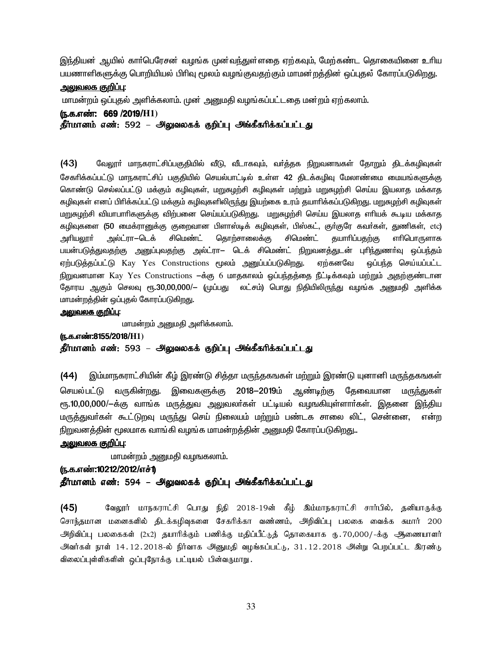இந்தியன் ஆயில் காா்பெரேசன் வழங்க முன்வந்துள்ளதை ஏற்கவும், மேற்கண்ட தொகையினை உாிய பயணாளிகளுக்கு பொறியியல் பிரிவு மூலம் வமங்குவகற்கும் மாமன்றக்கின் ஒப்புகல் கோரப்படுகிறது.

#### <u>அலுவலக குறிப்பு:</u>

மாமன்றம் ஒப்புதல் அளிக்கலாம். முன அனுமதி வழங்கப்பட்டதை மன்றம் ஏற்கலாம்.

#### (ந.க.எண்: 669/2019/H1)

தீர்மானம் எண்: 592 – அலுவலகக் குறிப்பு அங்கீகரிக்கப்பட்டது

 $(43)$ வேலூா் மாநகராட்சிப்பகுதியில் வீடு, வீடாகவும், வா்த்தக நிறுவனஙகள் தோறும் திடக்கழிவுகள் சேகரிக்கப்பட்டு மாநகாாட்சிப் பகுகியில் செயல்பாட்டில் உள்ள 42 கிடக்கமிவ மேலாண்மை மையங்களுக்கு கொண்டு செல்லப்பட்டு மக்கும் கழிவுகள், மறுசுழற்சி கழிவுகள் மற்றும் மறுசுழற்சி செய்ய இயலாத மக்காத கழிவுகள் எனப் பிரிக்கப்பட்டு மக்கும் கழிவுகளிலிருந்து இயற்கை உரம் தயாரிக்கப்படுகிறது. மறுசுழற்சி கழிவுகள் மறுசுழற்சி வியாபாரிகளுக்கு விற்பனை செய்யப்படுகிறது. மறுசுழற்சி செய்ய இயலாத எரியக் கூடிய மக்காத கழிவுகளை (50 மைக்ரானுக்கு குறைவான பிளாஸ்டிக் கழிவுகள், பிஸ்கட், குா்குரே கவா்கள், துணிகள், etc) அல்ட்ரா-டெக் சிமெண்ட் தொற்சாலைக்கு சிமெண்ட் அரியலூா் தயாரிப்பதற்கு எரிபொருளாக பயன்படுத்துவதற்கு அனுப்புவதற்கு அல்ட்ரா— டெக் சிமெண்ட் நிறுவனத்துடன் புரிந்துணா்வு ஒப்பந்தம் ஏற்படுத்தப்பட்டு Kay Yes Constructions மூலம் அனுப்பப்படுகிறது. ஏற்கனவே ஒப்பந்த செய்யப்பட்ட நிறுவனமான Kay Yes Constructions —க்கு 6 மாதகாலம் ஓப்பந்தத்தை நீட்டிக்கவும் மற்றும் அதற்குண்டான தோரய ஆகும் செலவு ரூ.30,00,000/— (முப்பது லட்சம்) பொது நிதியிலிருந்து வழங்க அனுமதி அளிக்க மாமன்றத்தின் ஒப்புதல் கோரப்படுகிறது.

#### <u> அலுவலக குறிப்பு:</u>

மாமன்றம் அனுமதி அளிக்கலாம்.

(ந.க.எண்:8155/2018/H1) தீர்மானம் எண்: 593 – அலுவலகக் குறிப்பு அங்கீகரிக்கப்பட்டது

(44) இம்மாநகராட்சியின் கீழ் இரண்டு சித்தா மருந்தகஙகள் மற்றும் இரண்டு யுனானி மருந்தகஙகள் செயல்பட்டு வருகின்றது. இவைகளுக்கு 2018—2019ம் ஆண்டிற்கு தேவையான மரு<u>ந்</u>துகள் ரூ.10,00,000/-க்கு வாங்க மருத்துவ அலுவலா்கள் பட்டியல் வழஙகியுள்ளாா்கள். இதனை இந்திய மருத்துவா்கள் கூட்டுறவு மருந்து செய் நிலையம் மற்றும் பண்டக சாலை லிட், சென்னை, என்ற நிறுவனத்தின் மூலமாக வாங்கி வழங்க மாமன்றத்தின் அனுமதி கோரப்படுகிறது..

#### <u>அலுவலக குறிப்பு:</u>

மாமன்றம் அனுமதி வழஙகலாம்.

#### (ந.க.எண்:10212/2012/எச்1)

#### தீர்மானம் எண்: 594 – அலுவலகக் குறிப்பு அங்கீகரிக்கப்பட்டது

 $(45)$ வேலூர் மாநகராட்சி பொது நிதி 2018-19ன் கீழ் இம்மாநகராட்சி சார்பில், தனியாருக்கு சொந்தமான மனைகளில் திடக்கழிவுகளை சேகரிக்கா வண்ணம், அறிவிப்பு பலகை வைக்க சுமார் 200 அறிவிப்பு பலகைகள் (2x2) தயாரிக்கும் பணிக்கு மதிப்பீட்டுத் தொகையாக ரு.70,000/-க்கு ஆணையாளர் அிவர்கள் நாள் 14.12.2018-ல் நிர்வாக அனுமதி வழங்கப்பட்டு, 31.12.2018 அன்று பெறப்பட்ட இரண்டு விலைப்புள்ளிகளின் ஒப்புநோக்கு பட்டியல் பின்வருமாறு.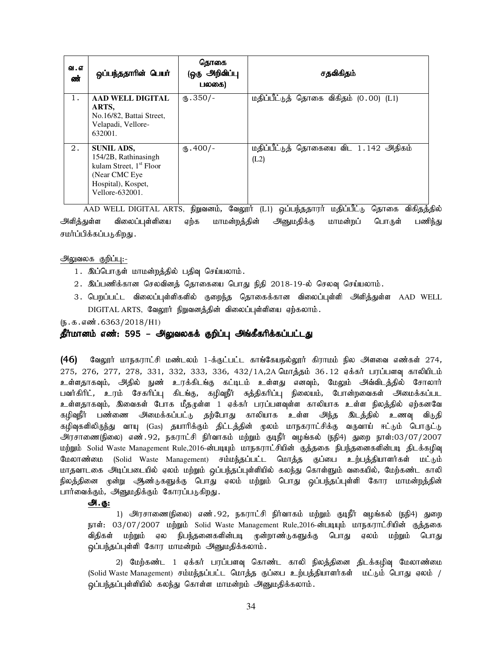| வ. எ<br>ண் | ஒப்பந்ததாரின் பெயர்                                                                                                                         | கொகை<br>(ஒரு அறிவிப்பு<br>பலகை) | சதவிகிதம்                                     |
|------------|---------------------------------------------------------------------------------------------------------------------------------------------|---------------------------------|-----------------------------------------------|
| 1.         | AAD WELL DIGITAL<br>ARTS.<br>No.16/82, Battai Street,<br>Velapadi, Vellore-<br>632001.                                                      | $(B.350/-$                      | மதிப்பீட்டுத் தொகை விகிதம் (0.00) (L1)        |
| 2.         | <b>SUNIL ADS,</b><br>154/2B, Rathinasingh<br>kulam Street, 1 <sup>st</sup> Floor<br>(Near CMC Eye)<br>Hospital), Kospet,<br>Vellore-632001. | $(D.400/-$                      | மதிப்பீட்டுத் தொகையை விட 1.142 அதிகம்<br>(L2) |

AAD WELL DIGITAL ARTS, நிறுவனம், வேலூர் (L1) ஒப்பந்ததாரர் மதிப்பீட்டு தொகை விகிதத்தில் அளித்துள்ள விலைப்புள்ளியை ஏற்க மாமன்றத்தின் அனுமதிக்கு மாமன்றப் பொருள் பணிந்து சமர்ப்பிக்கப்படுகிறது .

அலுவலக குறிப்பு:-

- 1. இப்பொருள் மாமன்றத்தில் பதிவு செய்யலாம்.
- $2.$  இப்பணிக்கான செலவினத் தொகையை பொது நிதி  $2018$ -19-ல் செலவு செய்யலாம்.
- 3. பெறப்பட்ட விலைப்புள்ளிகளில் குறைந்த தொகைக்கான விலைப்புள்ளி அிளித்துள்ள AAD WELL  $DIGITAL$  ARTS, வேலூர் நிறுவனத்தின் விலைப்புள்ளியை ஏற்கலாம்.

 $(5.5.5.5\frac{1}{2}6363/2018/H1)$ 

#### தீர்மானம் எண்: 595 – அலுவலகக் குறிப்பு அங்கீகரிக்கப்பட்டது

 $(46)$  தேலூர் மாநகராட்சி மண்டலம் 1-க்குட்பட்ட காங்கேயநல்லூர் கிராமம் நில அளவை எண்கள் 274, 275, 276, 277, 278, 331, 332, 333, 336, 432/1A,2A மொத்தம் 36.12 ஏக்கர் பரப்பளவு காலியிடம் உள்ளதாகவும், அதில் நுண் உரக்கிடங்கு கட்டிடம் உள்ளது எனவும், மேலும் அவ்விடத்தில் சோலார் பவர்கிரிட், உரம் சேகரிப்பு கிடங்கு, கழிவுநீர் சுத்திகரிப்பு நிலையம், போன்றவைகள் அமைக்கப்பட உள்ளதாகவும், இவைகள் போக மீதருள்ள 1 ஏக்கர் பரப்பளவுள்ள காலியாக உள்ள நிலத்தில் ஏற்கனவே கழிவுநீர் பண்ணை அமைக்கப்பட்டு தற்போது காலியாக உள்ள அந்த இடத்தில் உணவு விடுதி கழிவுகளிலிருந்து வாயு (Gas) தயாரிக்கும் திட்டத்தின் முலம் மாநகராட்சிக்கு வருவாய் ஈட்டும் பொருட்டு அரசாணை(நிலை) எண். 92, நகராட்சி நிர்வாகம் மற்றும் குடிநீர் வழங்கல் (நநி4) துறை நாள்:03/07/2007 மற்றும் Solid Waste Management Rule,2016-ன்படியும் மாநகராட்சியின் குத்தகை நிபந்தனைகளின்படி திடக்கழிவு மேலாண்மை (Solid Waste Management) சம்மந்தப்பட்ட மொத்த குப்பை உற்பத்தியாளர்கள் மட்டும் மாதவாடகை அடிப்படையில் ஏலம் மற்றும் ஒப்பந்தப்புள்ளியில் கலந்து கொள்ளும் வகையில், மேற்கண்ட காலி .<br>நிலத்தினை மூன்று ஆண்டுகளுக்கு பொது ஏலம் மற்றும் பொது ஒப்பந்தப்புள்ளி கோர மாமன்றத்தின் பார்வைக்கும், அனுமதிக்கும் கோரப்படுகிறது.

#### அ.கு:

1) அரசாணை(நிலை) எண்.92, நகராட்சி நிர்வாகம் மற்றும் குடிநீர் வழங்கல் (நநி4) துறை நாள்: 03/07/2007 மற்றும் Solid Waste Management Rule,2016-ன்படியும் மாநகராட்சியின் குத்தகை விதிகள் மற்றும் ஏல நிபந்தனைகளின்படி முன்றாண்டுகளுக்கு பொது ஏலம் மற்றும் பொது ஒப்பந்தப்புள்ளி கோர மாமன்றம் அனுமதிக்கலாம்.

2) மேற்கண்ட 1 ஏக்கர் பரப்பளவு கொண்ட காலி நிலத்தினை திடக்கழிவு மேலாண்மை (Solid Waste Management) சம்மந்தப்பட்ட மொத்த குப்பை உற்பத்தியாளர்கள் மட்டும் பொது ஏலம் / ஒப்பந்தப்புள்ளியில் கலந்து கொள்ள மாமன்றம் அனுமதிக்கலாம்.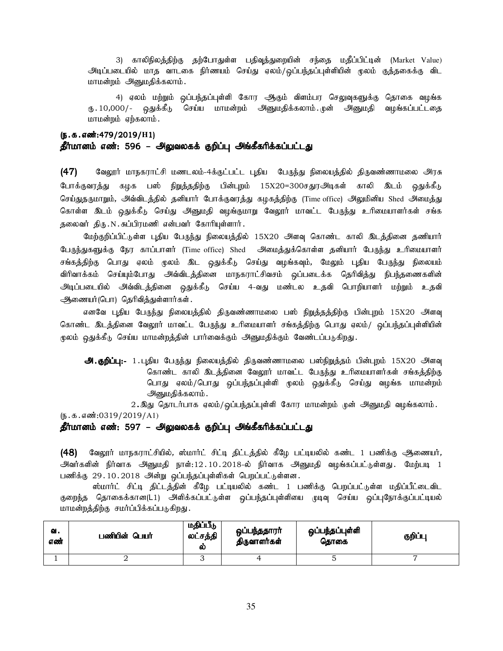3) காலிநிலத்திற்கு தற்போதுள்ள பதிவுத்துறையின் சந்தை மதீப்பிட்டின் (Market Value) <u>அடிப்படையில் மாத வாடகை நிர்ணயம் செய்து ஏலம்/ஒப்பந்தப்புள்ளியின் மூலம் குத்தகைக்கு விட</u> மாமன்றம் அனுமதிக்கலாம்.

4) ஏலம் மற்றும் ஒப்பந்தப்புள்ளி கோர ஆகும் விளம்பர செலுவுகளுக்கு தொகை வழங்க ரு.10,000/- ஒதுக்கீடு செய்ய மாமன்றம் அனுமதிக்கலாம்..முன் அனுமதி வழங்கப்பட்டதை மாமன்றம் ஏற்கலாம்.

## (ந.க.எண்:479/2019/H1) தீர்மானம் எண்: 596 – அலுவலகக் குறிப்பு அங்கீகரிக்கப்பட்டது

(47) கேலூர் மாநகராட்சி மணடலம்-4க்குட்பட்ட புதிய பேருந்து நிலையத்தில் திருவண்ணாமலை அரசு போக்குவரத்து கழக பஸ் நிறுத்ததிற்கு பின்புறம் 15X20=300சதுரஅடிகள் காலி இடம் ஒதுக்கீடு செய்துதருமாறும், அவ்விடத்தில் தனியார் போக்குவரத்து கழகத்திற்கு (Time office) அலுமினிய Shed அமைத்து கொள்ள இடம் ஒதுக்கீடு செய்து அனுமதி வழங்குமாறு வேலூர் மாவட்ட பேருந்து உரிமையாளர்கள் சங்க தலைவர் திரு.N.சுப்பிரமணி என்பவர் கோரியுள்ளார்.

மேற்குறிப்பிட்டுள்ள புதிய பேருந்து நிலையத்தில் 15X20 அளவு கொண்ட காலி இடத்தினை தணியார் பேருந்துகளுக்கு நேர காப்பாளர் (Time office) Shed அமைத்துக்கொள்ள தனியார் பேருந்து உரிமையாளர் சங்கத்திற்கு பொது ஏலம் முலம் இட ஒதுக்கீடு செய்து வழங்கவும், மேலும் புதிய பேருந்து நிலையம் விரிவாக்கம் செய்யும்போது அவ்விடத்தினை மாநகராட்சிவசம் ஒப்படைக்க தெரிவித்து நிபந்தணைகளின் அடிப்படையில் அவ்விடத்தினை ஒதுக்கீடு செய்ய 4-வது மண்டல உதவி பொறியாளர் மற்றும் உதவி ஆணையர்(பொ) தெரிவித்துள்ளார்கள்.

எனவே புதிய பேருந்து நிலையத்தில் திருவண்ணாமலை பஸ் நிறுத்தத்திற்கு பின்புறம் 15X20 அளவு கொண்ட இடத்தினை வேலூர் மாவட்ட பேருந்து உரிமையாளர் சங்கத்திற்கு பொது ஏலம்/ ஒப்பந்தப்புள்ளியின் மூலம் ஒதுக்கீடு செய்ய மாமன்றத்தின் பார்வைக்கும் அனுமதிக்கும் வேண்டப்படுகிறது.

**அ.குறிப்பு:-** 1.புதிய பேருந்து நிலையத்தில் திருவண்ணாமலை பஸ்நிறுத்தம் பின்புறம் 15X20 அளவு கொண்ட காலி இடத்தினை வேலூர் மாவட்ட பேருந்து உரிமையாளர்கள் சங்கத்திற்கு பொது ஏலம்/பொது ஒப்பந்தப்புள்ளி முலம் ஒதுக்கீடு செய்து வழங்க மாமன்றம் அனுமதிக்கலாம்.

2. இது தொடர்பாக ஏலம்/ஒப்பந்தப்புள்ளி கோர மாமன்றம் முன் அனுமதி வழங்கலாம்.

 $(\mathbf{b}.\mathbf{a}.\mathbf{a} \cdot \mathbf{w}$ :0319/2019/A1)

#### தீர்மானம் எண்: 597 – அலுவலகக் குறிப்பு அங்கீகரிக்கப்பட்டது

(48) மேலூர் மாநகராட்சியில், ஸ்மார்ட் சிட்டி திட்டத்தில் கீழே பட்டியலில் கண்ட 1 பணிக்கு ஆணையர், அவர்களின் நிர்வாக அனுமதி நாள்:12 .10 .2018-ல் நிர்வாக அனுமதி வழங்கப்பட்டுள்ளது .மேற்படி 1 பணிக்கு  $29.10.2018$  அன்று ஒப்பந்தப்புள்ளிகள் பெறப்பட்டுள்ளன.

ஸ்மார்ட் சிட்டி திட்டத்தின் கீழே பட்டியலில் கண்ட 1 பணிக்கு பெறப்பட்டுள்ள மதிப்பீட்டைவிட குறைந்த தொகைக்கான(L1) அளிக்கப்பட்டுள்ள <u>ஒ</u>ப்பந்தப்புள்ளியை முடிவு செய்ய ஒப்புநோக்குப்பட்டியல் மாமன்றத்திற்கு சமர்ப்பிக்கப்படுகிறது.

| வ.<br>எண் | பணியின் பெயர் | மதிப்பீடு<br>லட்சத்தி<br>ல் | ஒப்பந்ததாரா்<br>திருவாளர்கள் | ஒப்பந்தப்புள்ளி<br>தொகை | குறிப்பு |
|-----------|---------------|-----------------------------|------------------------------|-------------------------|----------|
|           |               | ີ                           |                              |                         |          |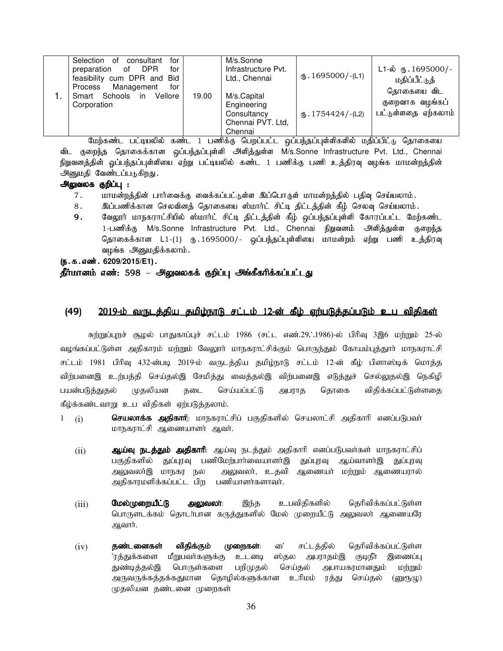| for<br>Selection<br>consultant<br>of<br><b>DPR</b><br>for<br>preparation<br>of<br>feasibility cum DPR and Bid<br>Management<br>Process<br>for |       | M/s.Sonne<br>Infrastructure Pvt.<br>Ltd., Chennai                         | $\text{I}$ . 1695000/-(L1) | $L1-\dot{\omega}$ ரு. 1695000/-<br>மதிப்பீட்டுத்<br>தொகையை விட |
|-----------------------------------------------------------------------------------------------------------------------------------------------|-------|---------------------------------------------------------------------------|----------------------------|----------------------------------------------------------------|
| Smart Schools in<br>Vellore<br>Corporation                                                                                                    | 19.00 | M/s.Capital<br>Engineering<br>Consultancy<br>Chennai PVT. Ltd,<br>Chennai | $(B.1754424/-(L2))$        | குறைவாக வழங்கப்<br>பட்டுள்ளதை ஏற்கலாம்                         |

மேற்கண்ட பட்டியலில் கண்ட 1 பணிக்கு பெறப்பட்ட ஒப்பந்தப்புள்ளிகளில் மதிப்பிட்டு தொகையை விட குறைந்த தொகைக்கான ஒப்பந்தப்புள்ளி அளித்துள்ள M/s.Sonne Infrastructure Pvt. Ltd., Chennai நிறுவனத்தின் ஒப்பந்தப்புள்ளியை ஏற்று பட்டியலில் கண்ட 1 பணிக்கு பணி உத்திரவு வழங்க மாமன்றத்தின் அனுமதி வேண்டப்படுகிறது.

#### அலுவலக குறிப்பு :

- 7. khkd;wj;jpd; ghh;itf;F itf;fg;gl;Ls;s ng;bghUs; khkd;wj;jpy; gjpt[ bra;ayhk;.
- 8. இப்பணிக்கான செலவினத் தொகையை ஸ்மார்ட் சிட்டி திட்டத்தின் கீழ் செலவு செய்யலாம்.
- 9. வேலூர் மாநகராட்சியில் ஸ்மார்ட் சிட்டி திட்டத்தின் கீழ் ஒப்பந்தப்புள்ளி கோரப்பட்ட மேற்கண்ட 1-பணிக்கு M/s.Sonne Infrastructure Pvt. Ltd., Chennai நிறுவனம் அளித்துள்ள குறைந்த தொகைக்கான L1-(1) ரு.1695000/- ஒப்பந்தப்புள்ளியை மாமன்றம் ஏற்று பணி உத்திரவு வழங்க அனுமதிக்கலாம்.

(ந.க.எண். 6209/2015/E1).

#### தீர்மானம் எண்: 598 – அலுவலகக் குறிப்பு அங்கீகரிக்கப்பட்டது

#### (49) 2019-ம் வருடத்திய தமிழ்நாடு சட்டம் 12-ன் கீழ் ஏற்படுத்தப்படும் உப விதிகள்

சுற்றுப்புறச் சூழல் பாதுகாப்புச் சட்டம் 1986 (சட்ட எண்.29. 1986)-ல் பிரிவு 3இ6 மற்றும் 25-ல் வழங்கப்பட்டுள்ள அதிகாரம் மற்றும் வேலூா் மாநகராட்சிக்கும் பொருந்தும் கோயம்புத்துாா் மாநகராட்சி சட்டம் 1981 பிரிவு 432-ன்படி 2019-ம் வருடத்திய தமிழ்நாடு சட்டம் 12-ன் கீழ் பிளாஸ்டிக் மொத்த விற்பனைஇ உற்பத்தி செய்தல்இ சேமித்து வைத்தல்இ விற்பனைஇ எடுத்துச் செல்லுதல்இ நெகிழி பயன்படுத்துதல் முதலியன தடை செய்யப்பட்டு அபராத தொகை விதிக்கப்பட்டுள்ளதை கீழ்க்கண்டவாறு உப விதிகள் ஏற்படுத்தலாம்.

- 1 (i) **மெயலாக்க அதிகாாி**: மாநகராட்சிப் பகுதிகளில் செயலாட்சி அதிகாாி எனப்படுபவா் மாநகராட்சி ஆணையாளர் ஆவர்.
	- (ii) வெர்**வர் நடத்தும் அதிகாாி**: ஆய்வு நடத்தும் அதிகாாி எனப்படுபவா்கள் மாநகராட்சிப் பகுதிகளில் துப்புரவு பணிமேற்பார்வையாளர்இ துப்புரவு ஆய்வாளர்இ துப்புரவு அலுவலா்இ மாநகர நல அலுவலா், உதவி அணையா் மா்்றும் அணையரால் அதிகாரமளிக்கப்பட்ட பிற பணியாளர்களாவர்.
	- (iii) மேல்முறையீட்டு அலுவலா்: இந்த உபவிதிகளில் தெரிவிக்கப்பட்டுள்ள பொருளடக்கம் தொடா்பான கருத்துகளில் மேல் முறையீட்டு அலுவலா் ஆணையரே அவார்.
	- (iv) **தண்டனைகள் விதிக்கும் முறைகள்**: ை' சட்டத்தில் தெரிவிக்கப்பட்டுள்ள<br>'ரத்துக்களை மீறுபவர்களுக்கு உடனடி ஸ்தல அபராதம்இ குடிநீர் இணைப்பு ்ரத்துக்களை மீறுபவா்களுக்கு உடனடி ஸ்தல அபராதம்இ துண்டித்தல்இ பொருள்களை பறிமுதல் செய்தல் அபாயகரமானதும் மற்றும் அருவருக்கத்தக்கதுமான தொழில்களுக்கான உரிமம் ரத்து செய்தல் (னுரூழு) முதலியன தண்டனை முறைகள்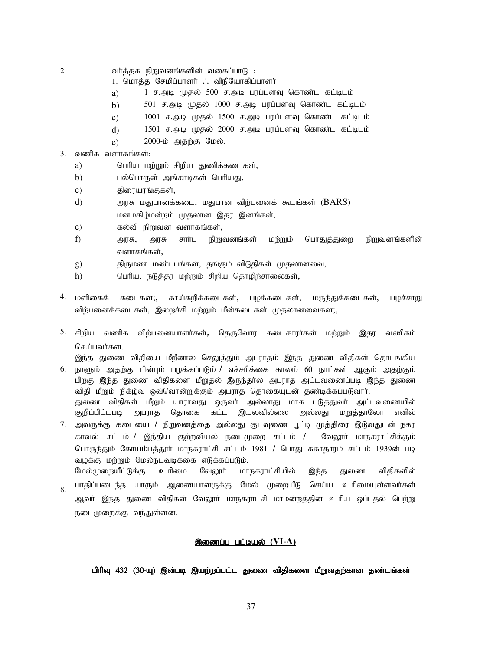- $2$  வர்த்தக நிறுவனங்களின் வகைப்பாடு :
	- 1. மொத்த சேமிப்பாளர் . விநியோகிப்பாளர்
	- a) 1 ச.அடி முதல் 500 ச.அடி பரப்பளவு கொண்ட கட்டிடம்
	- b) 501 ச.அடி முதல் 1000 ச.அடி பரப்பளவு கொண்ட கட்டிடம்
	- $c)$  1001 ச.அடி முதல் 1500 ச.அடி பரப்பளவு கொண்ட கட்டிடம்
	- $d$ ) 1501 ச.அடி முதல் 2000 ச.அடி பரப்பளவு கொண்ட கட்டிடம்
	- $e)$  2000-ம் அதற்கு மேல்.
- $3.$  வணிக வளாகங்கள்:
	- a) வரிய மற்றும் சிறிய துணிக்கடைகள்,
	- b) பல்பொருள் அங்காடிகள் பெரியது,
	- c) திரையரங்குகள்,
	- d) அரசு மதுபானக்கடை, மதுபான விற்பனைக் கூடங்கள்  $(BARS)$ மனமகிழ்மன்றம் முதலான இதர இனங்கள்,
	- $e$ )  $e$  as  $\delta$ வி நிறுவன வளாகங்கள்,
	- f) muR, muR rhh;G epWtdq;fs; kw;Wk; nghJj;Jiw epWtdq;fspd; வளாகங்கள்,
	- g) திருமண மண்டபங்கள், தங்கும் விடுதிகள் முதலானவை,
	- h)  $\qquad$  பெரிய, நடுத்தர மற்றும் சிறிய தொழிற்சாலைகள்,
- 4. மளிகைக் கடைகள;, காய்கரிக்கடைகள், பழக்கடைகள், மருந்துக்கடைகள், பழச்சாறு விர்பனைக்கடைகள், இளைச்சி மற்றும் மீன்கடைகள் முதலானவைகள;,
- 5. சிறிய வணிக விற்பனையாளர்கள், தெருவோர கடைகாரர்கள் மற்றும் இதர வணிகம் செய்பவர்கள.

6. நாளும் அதற்கு பின்பும் பழக்கப்படும் / எச்சரிக்கை காலம் 60 நாட்கள் ஆகும் அதற்கும் இந்த துணை விதியை மீறீனா்ல செலுத்தும் அபராதம் இந்த துணை விதிகள் தொடஙகிய பிறகு இந்த துணை விதிகளை மீறுதல் இருந்தால அபராத அட்டவணைப்படி இந்த துணை விதி மீறும் நிக்ழ்வு ஒவ்வொன்றுக்கும் அபராத தொகையுடன் தண்டிக்கப்படுவார். துணை விதிகள் மீறும் யாராவது ஒருவா் அல்லாது மாசு படுததுவா் அட்டவணையில் குறிப்பிட்டபடி அபராக கொகை கட்ட இயலவில்லை அல்லது மறுக்காலோ எனில்

- 7. அவருக்கு கடையை / நிறுவனத்தை அல்லது குடவுணை பூட்டி முத்திரை இடுவதுடன் நகர காவல் சட்டம் / இந்திய குற்றவியல் நடைமுறை சட்டம் / வேலூா் மாநகராட்சிக்கும் பொருந்தும் கோயம்பத்தூர் மாநகராட்சி சட்டம் 1981 / பொது சுகாதாரம் சட்டம் 1939ன் படி வழக்கு மற்றும் மேல்நடவடிக்கை எடுக்கப்படும்.
- 8. மேல்முறையீட்டுக்கு உரிமை வேலூர் மாநகராட்சியில் இந்த துணை விதிகளில் பாதிப்படைந்த யாரும் ஆணையாளருக்கு மேல் முறையீடு செய்ய உரிமையுள்ளவர்கள் ஆவா் இந்த துணை விதிகள் வேலாா் மாநகராட்சி மாமன்றத்தின் உரிய ஒப்புதல் பெற்று நடைமுறைக்கு வந்துள்ளன.

#### இணைப்பு பட்டியல் (VI-A)

பிரிவு 432 (30-யு) இன்படி இயற்றப்பட்ட துணை விதிகளை மீறுவதற்கான தண்டங்கள்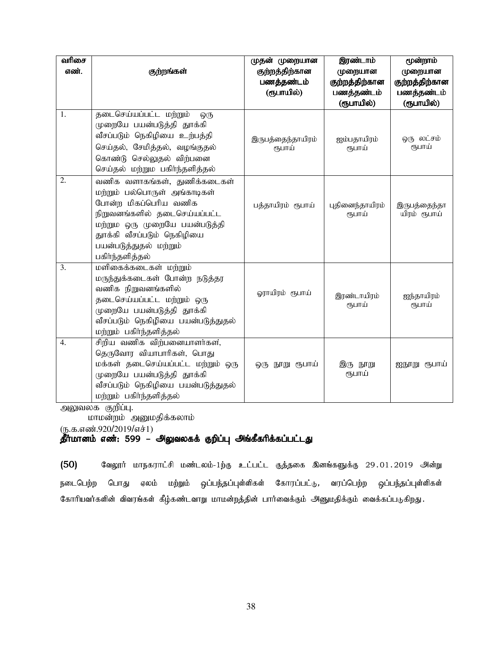| வரிசை<br>எண். | குற்றங்கள்                                                                                                                                                                                                                         | முதன் முறையான<br>குற்றத்திற்கான<br>பணத்தண்டம்<br>(ரூபாயில்) | இரண்டாம்<br>முறையான<br>குற்றத்திற்கான<br>பணத்தண்டம் | மூன்றாம்<br>முறையான<br>குற்றத்திற்கான<br>பணத்தண்டம் |
|---------------|------------------------------------------------------------------------------------------------------------------------------------------------------------------------------------------------------------------------------------|-------------------------------------------------------------|-----------------------------------------------------|-----------------------------------------------------|
| 1.            | தடைசெய்யப்பட்ட மற்றும்<br>ஒரு<br>முறையே பயன்படுத்தி தூக்கி<br>வீசப்படும் நெகிழியை உற்பத்தி<br>செய்தல், சேமித்தல், வழங்குதல்<br>கொண்டு செல்லுதல் விற்பனை<br>செய்தல் மற்றும பகிர்ந்தளித்தல்                                          | இருபத்தைந்தாயிரம்<br>ரூபாய்                                 | (ரூபாயில்)<br>ஐம்பதாயிரம்<br>ரூபாய்                 | (ரூபாயில்)<br>ஒரு லட்சம்<br>ரூபாய்                  |
| 2.            | வணிக வளாகங்கள், துணிக்கடைகள்<br>மற்றும் பல்பொருள் அங்காடிகள்<br>போன்ற மிகப்பெரிய வணிக<br>நிறுவனங்களில் தடைசெய்யப்பட்ட<br>மற்றும ஒரு முறையே பயன்படுத்தி<br>துாக்கி வீசப்படும் நெகிழியை<br>பயன்படுத்துதல் மற்றும்<br>பகிர்ந்தளித்தல் | பத்தாயிரம் ரூபாய்                                           | புதினைந்தாயிரம்<br>ரூபாய்                           | இருபத்தைந்தா<br>யிரம் ரூபாய்                        |
| 3.            | மளிகைக்கடைகள் மற்றும்<br>மருந்துக்கடைகள் போன்ற நடுத்தர<br>வணிக நிறுவனங்களில்<br>தடைசெய்யப்பட்ட மற்றும் ஒரு<br>முறையே பயன்படுத்தி தூக்கி<br>வீசப்படும் நெகிழியை பயன்படுத்துதல்<br>மற்றும் பகிர்ந்தளித்தல்                           | ஓராயிரம் ரூபாய்                                             | இரண்டாயிரம்<br>ரூபாய்                               | ஐந்தாயிரம்<br>ரூபாய்                                |
| 4.            | சிறிய வணிக விற்பனையாளர்கள்,<br>தெருவோர வியாபாரிகள், பொது<br>மக்கள் தடைசெய்யப்பட்ட மற்றும் ஒரு<br>முறையே பயன்படுத்தி தூக்கி<br>வீசப்படும் நெகிழியை பயன்படுத்துதல்<br>மற்றும் பகிர்ந்தளித்தல்                                        | ஒரு நூறு ரூபாய்                                             | இரு நூறு<br>ரூபாய்                                  | ஐநூறு ரூபாய்                                        |

அலுவலக குறிப்பு.

மாமன்றம் அனுமதிக்கலாம்

 $(D.5.5.5)$ ண்.920/2019/எச்1)

## தீர்மானம் எண்: 599 – அலுவலகக் குறிப்பு அங்கீகரிக்கப்பட்டது

 $(50)$  கேலூர் மாநகராட்சி மண்டலம்-1ற்கு உட்பட்ட குத்தகை இனங்களுக்கு 29.01.2019 அன்று நடைபெற்ற பொது ஏலம் மற்றும் ஒப்பந்தப்புள்ளிகள் கோரப்பட்டு, வரப்பெற்ற ஒப்பந்தப்புள்ளிகள் கோரியவர்களின் விவரங்கள் கீழ்கண்டவாறு மாமன்றத்தின் பார்வைக்கும் அனுமதிக்கும் வைக்கப்படுகிறது.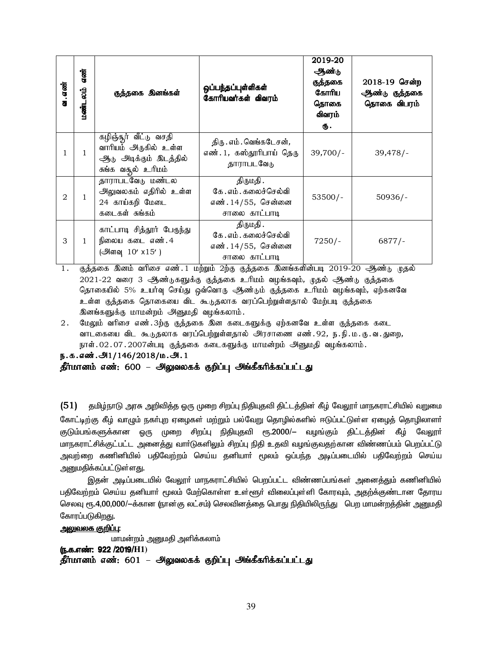| வ. எண்         | எண்<br>மண்டலம் | குத்தகை இனங்கள்                                                                                                   | ஒப்பந்தப்புள்ளிகள்<br>கோரியவர்கள் விவரம்                                  | 2019-20<br>ஆண்டு<br>குத்தகை<br>கோரிய<br>தொகை<br>விவரம்<br>ரு. | 2018-19 சென்ற<br>ஆண்டு குத்தகை<br>தொகை விபரம் |
|----------------|----------------|-------------------------------------------------------------------------------------------------------------------|---------------------------------------------------------------------------|---------------------------------------------------------------|-----------------------------------------------|
| 1              |                | கழிஞ் <u>சூ</u> ர் வீட்டு வசதி<br>வாரியம் அருகில் உள்ள<br>ஆ <sub>ம்</sub> அடிக்கும் இடத்தில்<br>சுங்க வதல் உரிமம் | திரு . எம் . வெங்கடேசன்,<br>எண். 1, கஸ்தூரிபாய் தெரு<br>தாராபடவேடு        | $39,700/-$                                                    | 39,478/                                       |
| $\mathfrak{D}$ | 1              | தாராபடவேடு மண்டல<br>அலுவலகம் எதிரில் உள்ள<br>24 காய்கறி மேடை<br>கடைகள் சுங்கம்                                    | திருமதி.<br>கே . எம் . கலைச்செல்வி<br>எண். 14/55, சென்னை<br>சாலை காட்பாடி | $53500/-$                                                     | $50936/-$                                     |
| 3              |                | காட்பாடி சித்தூர் பேருந்து<br>நிலைய கடை எண். 4<br>$($ அளவு 10' x15')                                              | திருமதி.<br>கே . எம் . கலைச்செல்வி<br>எண். 14/55, சென்னை<br>சாலை காட்பாடி | $7250/-$                                                      | $6877/-$                                      |

- 1. குத்தகை இனம் வரிசை எண். 1 மற்றும் 2ற்கு குத்தகை இனங்களின்படி 2019-20 ஆண்டு முதல் 2021-22 வரை 3 ஆண்டுகளுக்கு குத்தகை உரிமம் வழங்கவும், முதல் ஆண்டு குத்தகை தொகையில் 5% உயர்வு செய்து ஒவ்வொரு ஆண்டும் குத்தகை உரிமம் வழங்கவும், ஏற்கனவே உள்ள குத்தகை தொகையை விட கூடுதலாக வரப்பெற்றுள்ளதால் மேற்படி குத்தகை இனங்களுக்கு மாமன்றம் அனுமதி வழங்கலாம்.
- 2. மேலும் வரிசை எண்.3ற்கு குத்தகை இன கடைகளுக்கு ஏற்கனவே உள்ள குத்தகை கடை வாடகையை விட கூடுதலாக வரப்பெற்றுள்ளதால் அரசாணை எண். 92, ந.நி.ம.கு.வ.துறை, நாள்.02.07.2007ன்படி குத்தகை கடைகளுக்கு மாமன்றம் அனுமதி வழங்கலாம்.

ந.க.எண்.அ1/146/2018/ம.அ.1

#### தீர்மானம் எண்: 600 – அலுவலகக் குறிப்பு அங்கீகரிக்கப்பட்டது

 $(51)$  தமிழ்நாடு அரசு அறிவித்த ஒரு முறை சிறப்பு நிதியுதவி திட்டத்தின் கீழ் வேலூர் மாநகராட்சியில் வறுமை கோட்டிற்கு கீழ் வாழும் நகா்புற ஏழைகள் மற்றும் பல்வேறு தொழில்களில் ஈடுப்பட்டுள்ள ஏழைத் தொழிலாளா் குடும்பங்களுக்கான ஒரு முறை சிறப்பு நிதியுதவி ரூ.2000/— வழங்கும் திட்டத்தின் கீழ் வேலூா் மாநகராட்சிக்குட்பட்ட அனைத்து வார்டுகளிலும் சிறப்பு நிதி உதவி வழங்குவதற்கான விண்ணப்பம் பெறப்பட்டு அவற்றை கணினியில் பதிவேற்றம் செய்ய தனியாா் மூலம் ஒப்பந்த அடிப்படையில் பதிவேற்றம் செய்ய <u>அனுமதிக்கப்பட்டுள்ளது.</u>

இதன் அடிப்படையில் வேலூா் மாநகராட்சியில் பெறப்பட்ட விண்ணப்பங்கள் அனைத்தும் கணினியில் பதிவேற்றம் செய்ய தனியாா் மூலம் மேற்கொள்ள உள்ளூா் விலைப்புள்ளி கோரவும், அதற்க்குண்டான தோரய செலவு ரூ.4,00,000/-க்கான (நான்கு லட்சம்) செலவினத்தை பொது நிதியிலிருந்து பெற மாமன்றத்தின் அனுமதி கோரப்படுகி<u>றத</u>ு.

<u>அலுவலக குறிப்பு:</u> மாமன்றம் அனுமதி அளிக்கலாம் (ந.க.எண்: 922 /2019/**H1**) தீர்மானம் எண்: 601 – அலுவலகக் குறிப்பு அங்கீகரிக்கப்பட்டது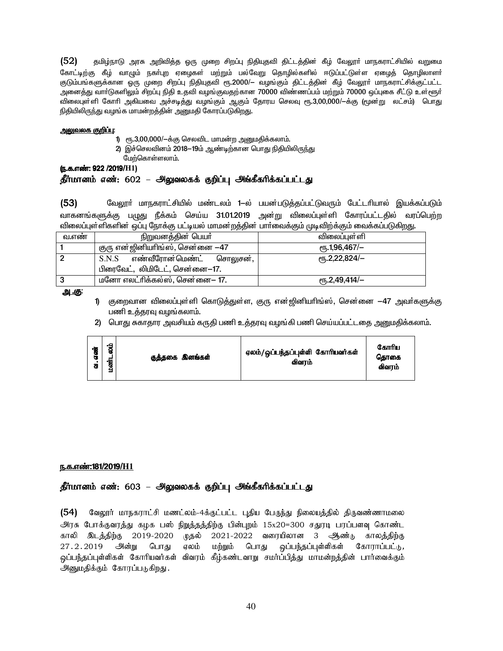$(52)$ தமிழ்நாடு அரசு அறிவித்த ஒரு முறை சிறப்பு நிதியுதவி திட்டத்தின் கீழ் வேலூா் மாநகராட்சியில் வறுமை கோட்டிற்கு கீழ் வாழும் நகா்புற ஏழைகள் மற்றும் பல்வேறு தொழில்களில் ஈடுப்பட்டுள்ள ஏழைத் தொழிலாளா் .<br>குடும்பங்களுக்கான ஒரு முறை சிறப்பு நிதியுதவி ரூ.2000/— வழங்கும் திட்டத்தின் கீழ் வேலூா் மாநகராட்சிக்குட்பட்ட அனைத்து வாா்டுகளிலும் சிறப்பு நிதி உதவி வழங்குவதற்கான 70000 விண்ணப்பம் மற்றும் 70000 ஒப்புகை சீட்டு உள்ளூா் விலைபுள்ளி கோரி அகியவை அச்சடித்து வழங்கும் ஆகும் தோரய செலவு ரூ.3,00,000/—க்கு (மூன்று லட்சம்) பொது நிதியிலிருந்து வழங்க மாமன்றத்தின் அனுமதி கோரப்படுகிறது.

#### <u>அலுவலக குறிப்பு:</u>

1) ரூ.3,00,000/-க்கு செலவிட மாமன்ற அனுமதிக்கலாம்.

2) இச்செலவினம் 2018–19ம் ஆண்டிற்கான பொது நிதியிலிருந்து

மேற்கொள்ளலாம்.

(ந.க.எண்: 922 /2019/H1)

## தீர்மானம் எண்: 602 – அலுவலகக் குறிப்பு அங்கீகரிக்கப்பட்டது

 $(53)$ வேலூா் மாநகராட்சியில் மண்டலம் 1—ல் பயன்படுத்தப்பட்டுவரும் பேட்டாியால் இயக்கப்படும் வாகனங்களுக்கு பழுது நீக்கம் செய்ய 31.01.2019 அன்று விலைப்புள்ளி கோரப்பட்டதில் வரப்பெற்ற விலைப்புள்ளிகளின் ஒப்பு நோக்கு பட்டியல் மாமன்றத்தின் பாா்வைக்கும் முடிவிற்க்கும் வைக்கப்படுகிறது.

| வ.எண | நிறுவனத்தின் பெயர்               | விலைப்புள்ளி                                     |
|------|----------------------------------|--------------------------------------------------|
|      |                                  |                                                  |
|      | குரு என்ஜினியாிங்ஸ், சென்னை —47  | <sub>(</sub> դ.1,96,467/–                        |
|      | $S.N.S$ எண்வீரோன்மெண்ட் சொலுசன், | $\epsilon$ <sup>T</sup> <sub>0</sub> .2,22,824/- |
|      | பிரைவேட், லிமிடேட், சென்னை—17.   |                                                  |
|      | மனோ எலட்ரிக்கல்ஸ், சென்னை— 17.   | $e$ rī, 2,49,414/ $-$                            |

<u>அ.கு</u>

- குறைவான விலைப்புள்ளி கொடுக்குள்ள. குரு என்றினியரிங்ஸ், சென்னை —47 அவர்களுக்கு பணி உத்தரவு வழங்கலாம்.
- 2) பொது சுகாதார அவசியம் கருதி பணி உத்தரவு வழங்கி பணி செய்யப்பட்டதை அனுமதிக்கலாம்.

| எண்<br>٠.<br>$\overline{a}$ | •្ក<br>œ<br>-<br>.<br>ब्र | குத்தகை இனங்கள் | ஏலம்/ஒப்பந்தப்புள்ளி கோரியவர்கள்<br>விவாம் | கோரிய<br>கொகை<br>விவாம் |
|-----------------------------|---------------------------|-----------------|--------------------------------------------|-------------------------|
|-----------------------------|---------------------------|-----------------|--------------------------------------------|-------------------------|

#### ந.க.எண்:181/2019/H1

#### தீர்மானம் எண்: 603 – அலுவலகக் குறிப்பு அங்கீகரிக்கப்பட்டது

(54) வேலூர் மாநகராட்சி மணட்லம்-4க்குட்பட்ட புதிய பேருந்து நிலையத்தில் திருவண்ணாமலை அரசு போக்குவரத்து கழக பஸ் நிறுத்தத்திற்கு பின்புறம் 15x20=300 சதுரடி பரப்பளவு கொண்ட காலி இடத்திற்கு 2019-2020 முதல் 2021-2022 வரையிலான 3 ஆண்டு காலத்திற்கு 27.2.2019 அன்று பொது ஏலம் மற்றும் பொது ஒப்பந்தப்புள்ளிகள் கோராப்பட்டு, லப்பந்தப்புள்ளிகள் கோரியவர்கள் விவரம் கீம்கண்டவாறு சமர்ப்பிக்கு மாமன்றக்கின் பார்வைக்கும் அனுமதிக்கும் கோரப்படுகிறது.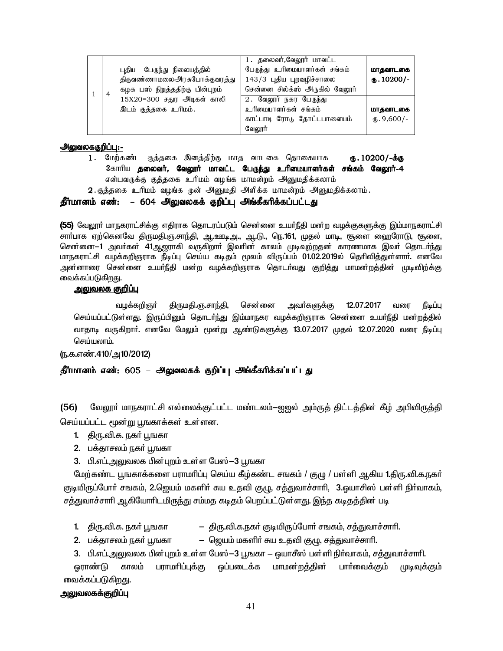|  | புதிய பேருந்து நிலையத்தில்<br>திருவண்ணாமலைஅரசுபோக்குவரத்து<br>கழக பஸ் நிறத்ததிற்கு பின்புறம் | 1. தலைவர்,வேலூர் மாவட்ட<br>பேருந்து உரிமையாளர்கள் சங்கம்<br>143/3 புதிய புறவழிச்சாலை<br>சென்னை சில்க்ஸ் அருகில் வேலூர் | மாதவாடகை<br>$\omega$ . 10200/- |
|--|----------------------------------------------------------------------------------------------|------------------------------------------------------------------------------------------------------------------------|--------------------------------|
|  | 15X20=300 சதுர அடிகள் காலி                                                                   | 2. வேலூர் நகர பேருந்து                                                                                                 |                                |
|  | இடம் குத்தகை உரிமம்.                                                                         | உரிமையாளர்கள் சங்கம்                                                                                                   | மாதவாடகை                       |
|  |                                                                                              | காட்பாடி ரோடு தோட்டபாளையம்                                                                                             | $(D.9,600)$ -                  |
|  |                                                                                              | வேலூர்                                                                                                                 |                                |

#### <u> அலுவலககுறிப்பு:-</u>

1. மேற்கண்ட குத்தகை இனத்திற்கு மாத வாடகை தொகையாக ரு. 10200/-க்கு கோரிய தலைவர், வேலூர் மாவட்ட பேருந்து உரிமையாளர்கள் சங்கம் வேலூர்-4 என்பவருக்கு குத்தகை உரிமம் வழங்க மாமன்றம் அனுமதிக்கலாம் 2. குத்தகை உரிமம் வழங்க முன் அனுமதி அளிக்க மாமன்றம் அனுமதிக்கலாம்.

#### தீர்மானம் எண்: – 604 அலுவலகக் குறிப்பு அங்கீகரிக்கப்பட்டது

(55) வேலூா் மாநகராட்சிக்கு எதிராக தொடரப்படும் சென்னை உயா்நீதி மன்ற வழக்குகளுக்கு இம்மாநகராட்சி சாா்பாக ஏற்கெனவே திருமதி.ஞ.சாந்தி, ஆ.ஊடிஅ., ஆ.டு., நெ.161, முதல் மாடி, சூளை ஹைரோடு, சூளை, சென்னை—1 அவர்கள் 41ஆஜராகி வருகிறார் இவரின் காலம் முடிவுற்றதன் காரணமாக இவர் தொடர்ந்து மாநகராட்சி வழக்கறிஞராக நீடிப்பு செய்ய கடிதம் மூலம் விருப்பம் 01.02.2019ல் தெரிவித்துள்ளாா். எனவே அன்னாரை சென்னை உயர்நீதி மன்ற வழக்கறிஞராக தொடர்வது குறித்து மாமன்றத்தின் முடிவிற்க்கு வைக்கப்படுகிறது.

## <u> அலுவலக குறிப்ப</u>

வழக்கறிஞா் திருமதி.ஞ.சாந்தி, சென்னை அவா்களுக்கு 12.07.2017 வரை நீடிப்பு செய்யப்பட்டுள்ளது. இருப்பினும் தொடர்ந்து இம்மாநகர வழக்கறிஞராக சென்னை உயர்நீதி மன்றத்தில் வாதாடி வருகிறாா். எனவே மேலும் மூன்று ஆண்டுகளுக்கு 13.07.2017 முதல் 12.07.2020 வரை நீடிப்பு செய்யலாம்.

(ந.க.எண்.410/அ10/2012)

## தீர்மானம் எண்: 605 – அலுவலகக் குறிப்பு அங்கீகரிக்கப்பட்டது

 $(56)$ வேலூா் மாநகராட்சி எல்லைக்குட்பட்ட மண்டலம்—ஐஐல் அம்ருத் திட்டத்தின் கீழ் அபிவிருத்தி செய்யப்பட்ட மூன்று பூஙகாக்கள் உள்ளன.

- 1. திரு.வி.க. நகர் பூஙகா
- 2. பக்தாசலம் நகர் பூஙகா
- 3. பி.எப்.அலுவலக பின்புறம் உள்ள பேஸ் –3 பூஙகா

மேற்கண்ட பூஙகாக்களை பராமரிப்பு செய்ய கீழ்கண்ட சஙகம் / குழு / பள்ளி ஆகிய 1.திரு.வி.க.நகர் குடியிருப்போர் சஙகம், 2.ஜெயம் மகளிர் சுய உதவி குழு, சத்துவாச்சாரி, 3.ஓயாசிஸ் பள்ளி நிர்வாகம், சத்துவாச்சாரி ஆகியோரிடமிருந்து சம்மத கடிதம் பெறப்பட்டுள்ளது. இந்த கடிதத்தின் படி

- திரு.வி.க.நகர் குடியிருப்போர் சஙகம், சத்துவாச்சாரி. 1. திரு.வி.க. நகர் பூஙகா
- ஜெயம் மகளிா் சுய உதவி குழு, சத்துவாச்சாாி. 2. பக்தாசலம் நகர் பூஙகா

3. பி.எப்.அலுவலக பின்புறம் உள்ள பேஸ்–3 பூஙகா – ஒயாசீஸ் பள்ளி நிர்வாகம், சத்துவாச்சாரி.

<u>னாண்டு</u> காலம் பராமாிப்புக்கு ஒப்படைக்க மாமன்றத்தின் பார்வைக்கும் முடிவுக்கும் வைக்கப்படுகிறது.

## <u>அலுவலகக்குறிப்பு</u>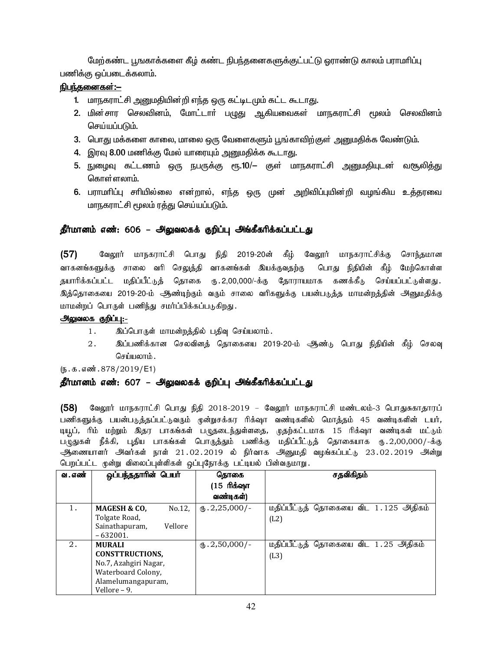மேற்கண்ட பூஙகாக்களை கீழ் கண்ட நிபந்தனைகளுக்குட்பட்டு வாாண்டு காலம் பராமரிப்பு பணிக்கு ஒப்படைக்கலாம்.

## நிபந்தனைகள்:—

- 1. மாநகராட்சி அனுமதியின்றி எந்த ஒரு கட்டிடமும் கட்ட கூடாது.
- 2. மின்சார செலவினம், மோட்டாா் பழுது ஆகியவைகள் மாநகராட்சி மூலம் செலவினம் செய்யப்படும்.
- 3. பொது மக்களை காலை, மாலை ஒரு வேளைகளும் பூங்காவிற்குள் அனுமதிக்க வேண்டும்.
- 4. இரவு 8.00 மணிக்கு மேல் யாரையும் அனுமதிக்க கூடாது.
- 5. நுழைவு கட்டணம் ஒரு நபருக்கு ரூ.10/— குள் மாநகராட்சி அனுமதியுடன் வசூலித்து கொள்ளலாம்.
- 6. பராமரிப்பு சரியில்லை என்றால், எந்த ஒரு முன் அறிவிப்புயின்றி வழங்கிய உத்தரவை மாநகராட்சி மூலம் ரக்கு செய்யப்படும்.

## தீர்மானம் எண்: 606 – அலுவலகக் குறிப்பு அங்கீகரிக்கப்பட்டது

 $(57)$ வேலூர் மாநகராட்சி பொது நிதி 2019-20ன் கீழ் வேலூர் மாநகராட்சிக்கு சொந்தமான வாகனங்களுக்கு சாலை வரி செலுத்தி வாகனங்கள் இயக்குவதற்கு பொது நிதியின் கீழ் மேற்கொள்ள தயாரிக்கப்பட்ட மதிப்பீட்டுத் தொகை ரு.2,00,000/-க்கு தோராயமாக கணக்கீடு செய்யப்பட்டுள்ளது. இத்தொகையை 2019-20-ம் ஆண்டிற்கும் வரும் சாலை வரிகளுக்கு பயன்படுத்த மாமன்றத்தின் அனுமதிக்கு மாமன்றப் பொருள் பணிந்து சமர்ப்பிக்கப்படுகிறது.

#### அலுவலக குறிப்பு:-

- இப்பொருள் மாமன்றத்தில் பதிவு செய்யலாம்.  $1.$
- $2.$ இப்பணிக்கான செலவினத் தொகையை 2019-20-ம் ஆண்டு பொது நிதியின் கீழ் செலவு செய்யலாம்.

 $(5.5.5.5\,\text{m}^3.878/2019/\text{E}1)$ 

#### தீர்மானம் எண்: 607 – அலுவலகக் குறிப்பு அங்கீகரிக்கப்பட்டது

(58) வேலூர் மாநகராட்சி பொது நிதி 2018-2019 – வேலூர் மாநகராட்சி மண்டலம்-3 பொதுசுகாதாரப் பணிகளுக்கு பயன்படுத்தப்பட்டுவரும் முன்றுசக்கர ரிக்ஷா வண்டிகளில் மொத்தம் 45 வண்டிகளின் டயர், டியூப், ரிம் மற்றும் இதர பாகங்கள் பழுதடைந்துள்ளதை, முதற்கட்டமாக 15 ரிக்ஷா வண்டிகள் மட்டும் பழுதுகள் நீக்கி, புதிய பாகங்கள் பொருத்தும் பணிக்கு மதிப்பீட்டுத் தொகையாக ரு.2,00,000/-க்கு .<br>ஆணையாளர் அவர்கள் நாள் 21.02.2019 ல் நிர்வாக அனுமதி வழங்கப்பட்டு 23.02.2019 அன்று பெறப்பட்ட முன்று விலைப்புள்ளிகள் ஒப்புநோக்கு பட்டியல் பின்வருமாறு.

| வ . எண் | ஒப்பந்ததாரின் பெயர்               | தொகை                      | சதவிகிதம்                             |
|---------|-----------------------------------|---------------------------|---------------------------------------|
|         |                                   | (15 ரிக்ஷா                |                                       |
|         |                                   | வண்டிகள்)                 |                                       |
|         | No.12.<br><b>MAGESH &amp; CO.</b> | $\text{I}$ . 2,25,000/-   | மதிப்பீட்டுத் தொகையை விட 1.125 அதிகம் |
|         | Tolgate Road,                     |                           | (L2)                                  |
|         | Vellore<br>Sainathapuram,         |                           |                                       |
|         | $-632001.$                        |                           |                                       |
| 2.      | <b>MURALI</b>                     | $\mathbf{t}$ . 2,50,000/- | மதிப்பீட்டுத் தொகையை விட 1.25 அதிகம்  |
|         | <b>CONSTTRUCTIONS.</b>            |                           | (L3)                                  |
|         | No.7, Azahgiri Nagar,             |                           |                                       |
|         | Waterboard Colony,                |                           |                                       |
|         | Alamelumangapuram,                |                           |                                       |
|         | Vellore - 9.                      |                           |                                       |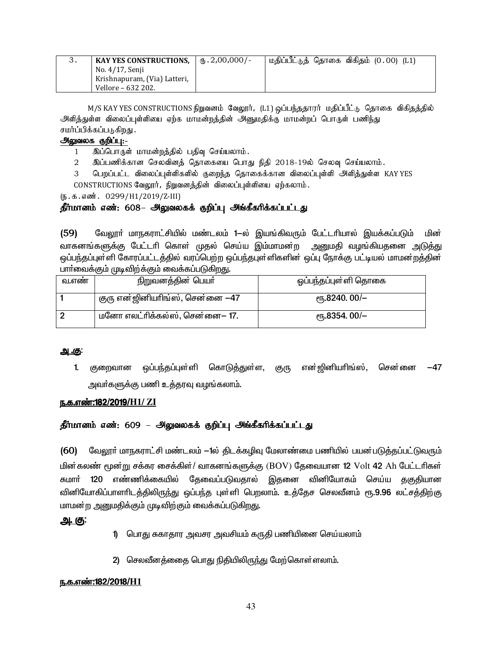| KAY YES CONSTRUCTIONS,       | $\frac{1}{10}$ , 2,00,000/- | மதிப்பீட்டுத் தொகை விகிதம் (0.00) (L1) |
|------------------------------|-----------------------------|----------------------------------------|
| No. 4/17, Senji              |                             |                                        |
| Krishnapuram, (Via) Latteri, |                             |                                        |
| Vellore – 632 202.           |                             |                                        |

M/S KAY YES CONSTRUCTIONS நிறுவனம் வேலூர், (L1) ஒப்பந்ததாரர் மதிப்பீட்டு தொகை விகிதத்தில் .<br>அளித்துள்ள விலைப்புள்ளியை ஏற்க மாமன்றத்தின் அனுமதிக்கு மாமன்றப் பொருள் பணிந்<u>து</u> சமர்ப்பிக்கப்படுகிறது .

## அலுவலக குறிப்பு:-

1 இப்பொருள் மாமன்றத்தில் பதிவு செய்யலாம்.

2 இப்பணிக்கான செலவினத் தொகையை பொது நிதி 2018-19ல் செலவு செய்யலாம்.

3 பெறப்பட்ட விலைப்புள்ளிகளில் குறைந்த தொகைக்கான விலைப்புள்ளி அளித்துள்ள KAY YES  $CONSTRUCTIONS$  கேலூர், நிறுவனத்தின் விலைப்புள்ளியை ஏற்கலாம்.

(ந.க.எண். 0299/H1/2019/Z-III)

## தீர்மானம் எண்: 608– அலுவலகக் குறிப்பு அங்கீகரிக்கப்பட்டது

(59) வேலூா் மாநகராட்சியில் மண்டலம் 1—ல் இயங்கிவரும் பேட்டாியால் இயக்கப்படும் மின் வாகனங்களுக்கு பேட்டரி கொள் முதல் செய்ய இம்மாமன்ற அனுமதி வழங்கியதனை அடுத்து <u>ஒ</u>ப்பந்தப்புள்ளி கோரப்பட்டத்தில் வரப்பெற்ற ஒப்பந்தபுள்ளிகளின் ஒப்பு நோக்கு பட்டியல் மாமன்றத்தின் பார்வைக்கும் முடிவிற்க்கும் வைக்கப்படுகிறது.

| வ.எண | நிறுவனத்தின் பெயர்                | ஒப்பந்தப்புள்ளி தொகை                            |
|------|-----------------------------------|-------------------------------------------------|
|      | குரு என்ஜினியாிங்ஸ், சென்னை $-47$ | $\epsilon$ <sup>T</sup> <sub>0</sub> .8240.00/- |
|      | மனோ எலட்ரிக்கல்ஸ், சென்னை— 17.    | $\epsilon$ гђ.8354.00/-                         |

## <u>அ.கு:</u>

1. குறைவான ஒப்பந்தப்புள்ளி கொடுத்துள்ள, குரு என்ஜினியாிங்ஸ், சென்னை −47 அவா்களுக்கு பணி உத்தரவு வழங்கலாம்.

## <u>ந.க.எண்:182/2019/H1/ ZI</u>

## தீர்மானம் எண்: 609 – அலுவலகக் குறிப்பு அங்கீகரிக்கப்பட்டது

(60) மேலூர் மாநகராட்சி மண்டலம் —1ல் திடக்கழிவு மேலாண்மை பணியில் பயன்படுத்தப்பட்டுவரும் மின்கலண் மூன்று சக்கர சைக்கிள்/ வாகனங்களுக்கு (BOV) தேவையான 12 Volt 42 Ah பேட்டரிகள் சுமா<mark>ர் 120</mark> எண்ணிக்கையில் தேவைப்படுவதால் இதனை வினியோகம் செய்ய தகுதியான வினியோகிப்பாளாிடத்திலிருந்து ஒப்பந்த புள்ளி பெறலாம். உத்தேச செலவீனம் ரூ.9.96 லட்சத்திற்கு மாமன்ற அனுமதிக்கும் முடிவிற்கும் வைக்கப்படுகிறது.

## <u>அ. கு:</u>

- 1) பொது சுகாதார அவசர அவசியம் கருதி பணியினை செய்யலாம்
- 2) செலவீனத்னைத பொது நிதியிலிருந்து மேற்கொள்ளலாம்.

## <u>ந.க.எண்:182/2018/H1</u>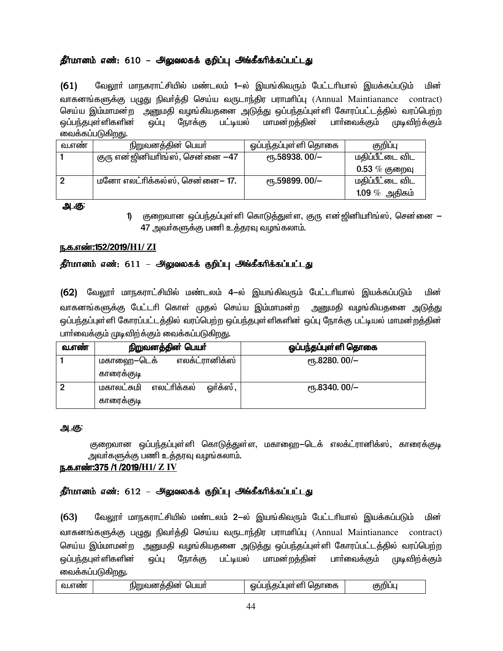## தீர்மானம் எண்: 610 – அலுவலகக் குறிப்பு அங்கீகரிக்கப்பட்டது

 $(61)$ வேலூா் மாநகராட்சியில் மண்டலம் 1—ல் இயங்கிவரும் பேட்டாியால் இயக்கப்படும் மின் வாகனங்களுக்கு பழுது நிவர்த்தி செய்ய வருடாந்திர பராமரிப்பு (Annual Maintianance contract) செய்ய இம்மாமன்ற அனுமதி வழங்கியதனை அடுத்து ஒப்பந்தப்புள்ளி கோரப்பட்டத்தில் வரப்பெற்ற ஒப்பந்தபுள்ளிகளின் ஒப்பு நோக்கு பட்டியல் மாமன்றத்தின் பாா்வைக்கும் முடிவிற்க்கும் வைக்கப்படுகிறது.

| வ.எண | <u>நிறுவனத்தின் பெயர்</u>       | ஒப்பந்தப்புள்ளி தொகை     | குறிப்பு          |
|------|---------------------------------|--------------------------|-------------------|
|      | குரு என்ஜினியரிங்ஸ், சென்னை —47 | $\epsilon$ гђ.58938.00/- | மதிப்பீட்டை விட   |
|      |                                 |                          | $0.53\ \%$ குறைவு |
|      | மனோ எலட்ரிக்கல்ஸ், சென்னை— 17.  | $\epsilon$ гђ.59899.00/- | மதிப்பீட்டை விட   |
|      |                                 |                          | 1.09 $%$ அதிகம்   |

<u>அ.கு:</u>

1) குறைவான ஒப்பந்தப்புள்ளி கொடுத்துள்ள, குரு என்ஜினியாிங்ஸ், சென்னை — 47 அவர்களுக்கு பணி உத்தரவு வழங்கலாம்.

## ந.க.எண்:152/2019/H1/ ZI

## தீர்மானம் எண்: 611 – அலுவலகக் குறிப்பு அங்கீகரிக்கப்பட்டது

(62) வேலூா் மாநகராட்சியில் மண்டலம் 4-ல் இயங்கிவரும் பேட்டாியால் இயக்கப்படும் மின் வாகனங்களுக்கு பேட்டாி கொள் முதல் செய்ய இம்மாமன்ற அனுமதி வழங்கியதனை அடுத்து ஒப்பந்தப்புள்ளி கோரப்பட்டத்தில் வரப்பெற்ற ஒப்பந்தபுள்ளிகளின் ஒப்பு நோக்கு பட்டியல் மாமன்றத்தின் பார்வைக்கும் முடிவிற்க்கும் வைக்கப்படுகிறது.

| வ.எண | நிறுவனத்தின் பெயர்                                   | ஓப்பந்தப்புள்ளி தொகை    |
|------|------------------------------------------------------|-------------------------|
|      | எலக்ட்ரானிக்ஸ்<br>மகாஹை–டெக்                         | $\epsilon$ гђ.8280.00/- |
|      | காரைக்குடி                                           |                         |
|      | ஒர்க்ஸ் ,<br>எலட்ரிக்கல்<br>மகாலட்சுமி<br>காரைக்குடி | $\epsilon$ гђ.8340.00/- |

## <u>அ.கு:</u>

குறைவான ஒப்பந்தப்புள்ளி கொடுத்துள்ள, மகாஹை—டெக் எலக்ட்ரானிக்ஸ், காரைக்குடி அவா்களுக்கு பணி உத்தரவு வழங்கலாம்.

## <u>ந.க.எண்:375 /1 /2019/H1/ Z IV</u>

## தீர்மானம் எண்: 612 – அலுவலகக் குறிப்பு அங்கீகரிக்கப்பட்டது

வேலூா் மாநகராட்சியில் மண்டலம் 2—ல் இயங்கிவரும் பேட்டாியால் இயக்கப்படும்  $(63)$ மின் வாகனங்களுக்கு பழுது நிவா்த்தி செய்ய வருடாந்திர பராமாிப்பு (Annual Maintianance contract) செய்ய இம்மாமன்ற அனுமதி வழங்கியதனை அடுத்து ஒப்பந்தப்புள்ளி கோரப்பட்டத்தில் வரப்பெற்ற ஒப்பந்தபுள்ளிகளின<mark>்</mark> மாமன்றத்தின் பாா்வைக்கும் ஒப்பு நோக்கு பட்டியல் முடிவிற்க்கும் வைக்கப்படுகிறது.

| nuu | ШΠ<br>ωıι<br>hihn<br>. . | --- -<br>- 11 h<br>160) c<br>hl<br>∵ \olchli .<br>ി ര<br>m | . |
|-----|--------------------------|------------------------------------------------------------|---|
|-----|--------------------------|------------------------------------------------------------|---|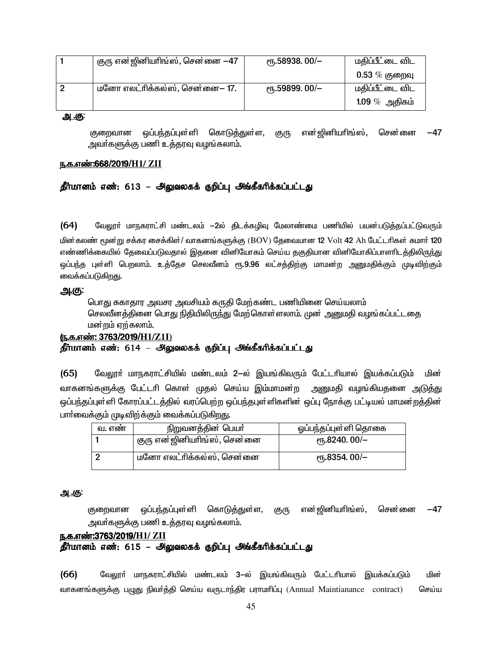| குரு என்ஜினியாிங்ஸ், சென்னை $-47$ | $\epsilon$ гђ.58938.00/- | மதிப்பீட்டை விட   |
|-----------------------------------|--------------------------|-------------------|
|                                   |                          | $0.53\ \%$ குறைவு |
| மனோ எலட்ரிக்கல்ஸ், சென்னை— 17.    | $\epsilon$ гђ.59899.00/- | மதிப்பீட்டை விட   |
|                                   |                          | 1.09 $\%$ அதிகம்  |

<u>அ.கு:</u>

ஒப்பந்தப்புள்ளி கொடுத்துள்ள, என் ஜினியரிங்ஸ், சென்னை குறைவான குரு -47 அவா்களுக்கு பணி உத்தரவு வழங்கலாம்.

#### <u>ந.க.எண்:668/2019/H1/ ZII</u>

## தீர்மானம் எண்: 613 – அலுவலகக் குறிப்பு அங்கீகரிக்கப்பட்டது

 $(64)$ வேலூா் மாநகராட்சி மண்டலம் —2ல் திடக்கழிவு மேலாண்மை பணியில் பயன்படுத்தப்பட்டுவரும் மின்கலண் மூன்று சக்கர சைக்கிள்/ வாகனங்களுக்கு (BOV) தேவையான 12 Volt 42 Ah பேட்டரிகள் சுமார் 120 எண்ணிக்கையில் தேவைப்படுவதால் இதனை வினியோகம் செய்ய தகுதியான வினியோகிப்பாளாிடத்திலிருந்து ஒப்பந்த புள்ளி பெறலாம். உத்தேச செலவீனம் ரூ.9.96 லட்சத்திற்கு மாமன்ற அனுமதிக்கும் முடிவிற்கும் வைக்கப்படுகிறது.

#### <u>அ.கு:</u>

பொது சுகாதார அவசர அவசியம் கருதி மேற்கண்ட பணியினை செய்யலாம் செலவீனத்தினை பொது நிதியிலிருந்து மேற்கொள்ளலாம். முன் அனுமதி வழங்கப்பட்டதை மன்றம் ஏற்கலாம்.

#### <u>(ந.க.எண்: 3763/2019/H1/Z1I)</u>

## .<br>தீர்மானம் எண்: 614 – அலுவலகக் குறிப்பு அங்கீகரிக்கப்பட்டது

வேலூா் மாநகராட்சியில் மண்டலம் 2—ல் இயங்கிவரும் பேட்டாியால் இயக்கப்படும்  $(65)$ மின் வாகனங்களுக்கு பேட்டாி கொள் முதல் செய்ய இம்மாமன்ற அனுமதி வழங்கியதனை அடுத்து ஒப்பந்தப்புள்ளி கோரப்பட்டத்தில் வரப்பெற்ற ஒப்பந்தபுள்ளிகளின் ஒப்பு நோக்கு பட்டியல் மாமன்றத்தின் பார்வைக்கும் முடிவிற்க்கும் வைக்கப்படுகிறது.

| வ. எண | நிறுவனத்தின் பெயர்          | ஓப்பந்தப்புள்ளி தொகை      |  |
|-------|-----------------------------|---------------------------|--|
|       | குரு என்ஜினியாிங்ஸ், சென்னை | <sub>(</sub> դ.8240.00/–  |  |
|       | மனோ எலட்ரிக்கல்ஸ், சென்னை   | <sub>(</sub> դ.8354. 00/– |  |

#### <u>அ.கு:</u>

என்ஜினியரிங்ஸ், கொடுத்துள்ள, குறைவான ஒப்பந்தப்புள்ளி குரு சென்னை  $-47$ அவா்களுக்கு பணி உத்தரவு வழங்கலாம்.

#### ந.க.எண்:3763/2019/H1/ ZII

## தீர்மானம் எண்: 615 – அலுவலகக் குறிப்பு அங்கீகரிக்கப்பட்டது

வேலூா் மாநகராட்சியில் மண்டலம் 3—ல் இயங்கிவரும் பேட்டாியால் இயக்கப்படும்  $(66)$ மின் வாகனங்களுக்கு பழுது நிவர்த்தி செய்ய வருடாந்திர பராமரிப்பு (Annual Maintianance contract) செய்ய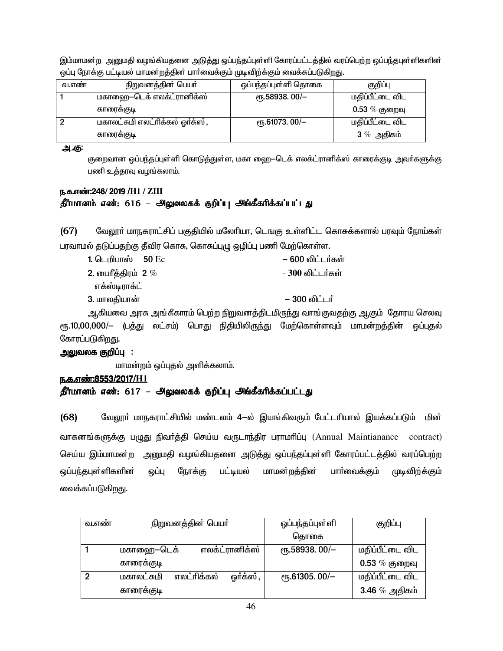இம்மாமன்ற அனுமதி வழங்கியதனை அடுத்து ஒப்பந்தப்புள்ளி கோரப்பட்டத்தில் வரப்பெற்ற ஒப்பந்தபுள்ளிகளின் ஒப்பு நோக்கு பட்டியல் மாமன்றத்தின் பார்வைக்கும் முடிவிற்க்கும் வைக்கப்படுகிறது.

| வ.எண் | நிறுவனத்தின் பெயர்               | ஓப்பந்தப்புள்ளி தொகை     | குறிப்பு         |
|-------|----------------------------------|--------------------------|------------------|
|       | மகாஹை—டெக் எலக்ட்ரானிக்ஸ்        | ет. 58938. 00/-          | மதிப்பீட்டை விட  |
|       | காரைக்குடி                       |                          | $0.53~\%$ குறைவு |
|       | மகாலட்சுமி எலட்ரிக்கல் ஓர்க்ஸ் , | $\epsilon$ гђ.61073.00/- | மதிப்பீட்டை விட  |
|       | காரைக்குடி                       |                          | 3 $%$ அதிகம்     |

அ.கு:

குறைவான ஒப்பந்தப்புள்ளி கொடுத்துள்ள, மகா ஹை—டெக் எலக்ட்ரானிக்ஸ் காரைக்குடி அவர்களுக்கு பணி உத்தரவு வழங்கலாம்.

## ந.க.எண்:246/2019 /H1 / ZIII

## தீர்மானம் எண்: 616 – அலுவலகக் குறிப்பு அங்கீகரிக்கப்பட்டது

 $(67)$ வேலூா் மாநகராட்சிப் பகுதியில் மலோியா, டெஙகு உள்ளிட்ட கொசுக்களால் பரவும் நோய்கள் பரவாமல் தடுப்பதற்கு தீவிர கொசு, கொசுப்புழு ஒழிப்பு பணி மேற்கொள்ள.

| 1. டெமிபாஸ் <b>50</b> Ec | – 600 லிட்டர்கள் |
|--------------------------|------------------|
| 2. பைரீத்திரம் $2\ \%$   | - 300 லிட்டர்கள் |
| எக்ஸ்டிராக்ட்            |                  |
| 3. மாலதியான்             | – 300 லிட்டர்    |
|                          |                  |

ஆகியவை அரசு அங்கீகாரம் பெற்ற நிறுவனத்திடமிருந்து வாங்குவதற்கு ஆகும் தோரய செலவு ரூ.10,00,000/— (பத்து லட்சம்) பொது நிதியிலிருந்து மேற்கொள்ளவும் மாமன்றத்தின் ஒப்புதல் கோரப்படுகிறது.

#### <u> அலுவலக குறிப்பு</u> :

மாமன்றம் ஒப்புதல் அளிக்கலாம்.

## <u>ந.க.எண்:8553/2017/H1</u>

## தீர்மானம் எண்: 617 – அலுவலகக் குறிப்பு அங்கீகரிக்கப்பட்டது

 $(68)$ வேலூா் மாநகராட்சியில் மண்டலம் 4-ல் இயங்கிவரும் பேட்டாியால் இயக்கப்படும் மின் வாகனங்களுக்கு பழுது நிவர்த்தி செய்ய வருடாந்திர பராமரிப்பு (Annual Maintianance contract) செய்ய இம்மாமன்ற அனுமதி வழங்கியதனை அடுத்து ஒப்பந்தப்புள்ளி கோரப்பட்டத்தில் வரப்பெற்ற ஒப்பந்தபுள்ளிகளின் மாமன்றத்தின் பாா்வைக்கும் ஒப்பு நோக்கு பட்டியல் முடிவிற்க்கும் வைக்கப்படுகிறது.

| வ.எண் | நிறுவனத்தின் பெயர்                     | ஓப்பந்தப்புள்ளி          | குறிப்பு          |
|-------|----------------------------------------|--------------------------|-------------------|
|       |                                        | தொகை                     |                   |
|       | எலக்ட்ரானிக்ஸ்<br>மகாஹை–டெக்           | ет.58938.00/-            | மதிப்பீட்டை விட   |
|       | காரைக்குடி                             |                          | $0.53\ \%$ குறைவு |
|       | ஒர்க்ஸ் ,<br>எலட்ரிக்கல்<br>மகாலட்சுமி | $\epsilon$ гђ.61305.00/- | மதிப்பீட்டை விட   |
|       | காரைக்குடி                             |                          | $3.46\%$ அதிகம்   |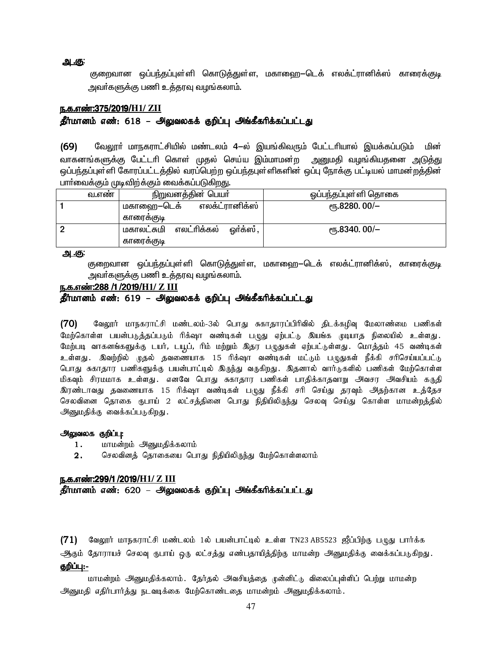<u>அ.கு:</u>

குறைவான ஒப்பந்தப்புள்ளி கொடுத்துள்ள, மகாஹை—டெக் எலக்ட்ரானிக்ஸ் காரைக்குடி அவர்களுக்கு பணி உத்தரவு வழங்கலாம்.

#### <u> ந.க.எண்:375/2019/H1/ ZII</u>

## தீர்மானம் எண்: 618 – அலுவலகக் குறிப்பு அங்கீகரிக்கப்பட்டது

வேலூா் மாநகராட்சியில் மண்டலம் 4-ல் இயங்கிவரும் பேட்டாியால் இயக்கப்படும் மின்  $(69)$ வாகனங்களுக்கு பேட்டாி கொள் முதல் செய்ய இம்மாமன்ற அனுமதி வழங்கியதனை அடுத்து ஒப்பந்தப்புள்ளி கோரப்பட்டத்தில் வரப்பெற்ற ஒப்பந்தபுள்ளிகளின் ஒப்பு நோக்கு பட்டியல் மாமன்றத்தின் பாா்வைக்கும் முடிவிற்க்கும் வைக்கப்படுகிறது.

| வ.எண | நிறுவனத்தின் பெயா்                     | ஒப்பந்தப்புள்ளி தொகை     |
|------|----------------------------------------|--------------------------|
|      | எலக்ட்ரானிக்ஸ்<br>மகாஹை–டெக்           | <sub>(</sub> դ.8280.00/– |
|      | காரைககுடி                              |                          |
|      | எலட்ரிக்கல்<br>மகாலட்சுமி<br>ஒர்க்ஸ் , | <sub>ሮ</sub> դ.8340.00/– |
|      | காரைககுடி                              |                          |

<u>அ.கு:</u>

குறைவான ஒப்பந்தப்புள்ளி கொடுத்துள்ள, மகாஹை—டெக் எலக்ட்ரானிக்ஸ், காரைக்குடி அவா்களுக்கு பணி உத்தரவு வழங்கலாம்.

## ந.க.எண்:288 /1 /2019/H1/ Z III

## தீர்மானம் எண்: 619 – அலுவலகக் குறிப்பு அங்கீகரிக்கப்பட்டது

 $(70)$ வேலூர் மாநகராட்சி மண்டலம்-3ல் பொது சுகாதாரப்பிரிவில் திடக்கழிவு மேலாண்மை பணிகள் மேற்கொள்ள பயன்படுத்தப்படும் ரிக்ஷா வண்டிகள் புழுது ஏற்பட்டு இயங்க முடியாத நிலையில் உள்ளது. மேற்படி வாகனங்களுக்கு டயர், டயூப், ரிம் மற்றும் இதர புழுதுகள் ஏற்பட்டுள்ளது. மொத்தம் 45 வண்டிகள் உள்ளது . இவற்றில் முதல் தவணையாக 15 ரிக்ஷா வண்டிகள் மட்டும் பழுதுகள் நீக்கி சரிசெய்யப்பட்டு பொது சுகாதார பணிகளுக்கு பயன்பாட்டில் இருந்து வருகிறது. இதனால் வார்டுகளில் பணிகள் மேற்கொள்ள மிகவும் சிரமமாக உள்ளது. எனவே பொது சுகாதார பணிகள் பாதிக்காதவாறு அவசர அவசியம் கருதி இரண்டாவது கவணையாக 15 ரிக்ஷா வண்டிகள் பமுது நீக்கி சரி செய்து கரவும் அகற்கான உக்கேச செலவினை தொகை ரூபாய் 2 லட்சத்தினை பொது நிதியிலிருந்து செலவு செய்து கொள்ள மாமன்றத்தில் அனுமதிக்கு வைக்கப்படுகிறது.

#### அலுவலக குறிப்பு:

- மாமன்றம் அனுமதிக்கலாம்  $1.$
- செலவினத் தொகையை பொது நிதியிலிருந்து மேற்கொள்ளலாம்  $2.$

#### ந.க.எண்:299/1/2019/H1/ Z III

தீர்மானம் எண்: 620 – அலுவலகக் குறிப்பு அங்கீகரிக்கப்பட்டது

(71) வேலூர் மாநகராட்சி மண்டலம் 1ல் பயன்பாட்டில் உள்ள TN23 AB5523 ஜீப்பிற்கு பமுது பார்க்க ஆகும் தோராயச் செலவு ருபாய் ஒரு லட்சத்து எண்பதாயித்திற்கு மாமன்ற அனுமதிக்கு வைக்கப்படுகிறது. குறிப்பு:-

மாமன்றம் அனுமதிக்கலாம். தேர்தல் அவசியத்தை முன்னிட்டு விலைப்புள்ளிப் பெற்று மாமன்ற அனுமதி எதிர்பார்த்து நடவடிக்கை மேற்கொண்டதை மாமன்றம் அனுமதிக்கலாம்.